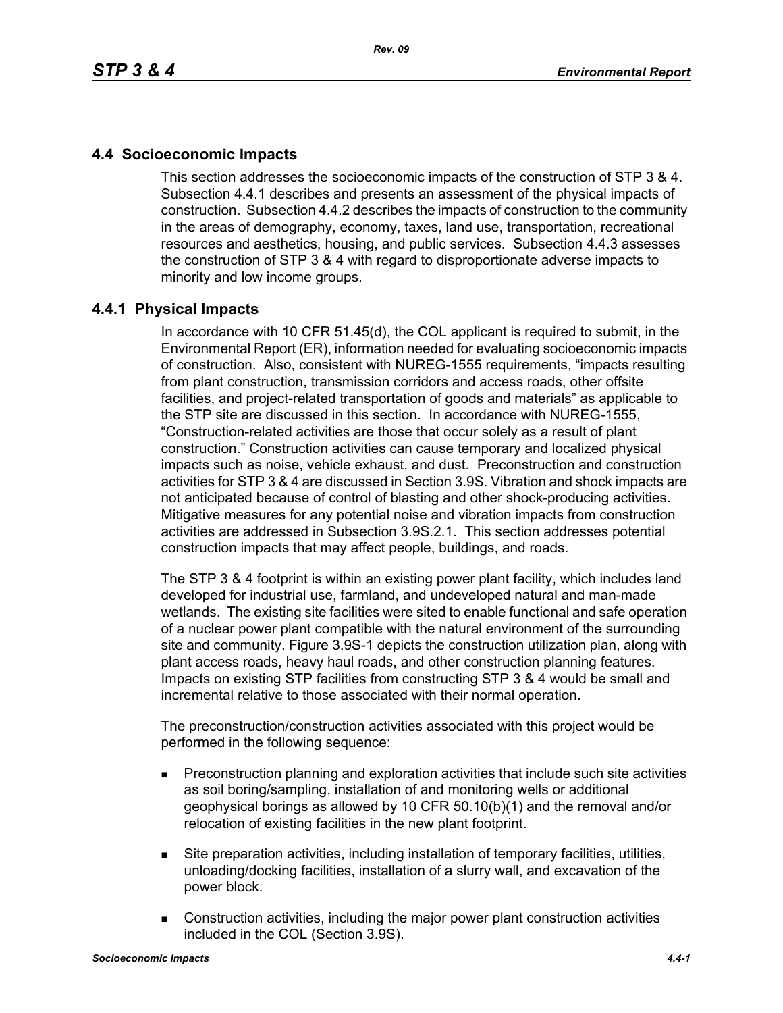# **4.4 Socioeconomic Impacts**

This section addresses the socioeconomic impacts of the construction of STP 3 & 4. Subsection 4.4.1 describes and presents an assessment of the physical impacts of construction. Subsection 4.4.2 describes the impacts of construction to the community in the areas of demography, economy, taxes, land use, transportation, recreational resources and aesthetics, housing, and public services. Subsection 4.4.3 assesses the construction of STP 3 & 4 with regard to disproportionate adverse impacts to minority and low income groups.

## **4.4.1 Physical Impacts**

In accordance with 10 CFR 51.45(d), the COL applicant is required to submit, in the Environmental Report (ER), information needed for evaluating socioeconomic impacts of construction. Also, consistent with NUREG-1555 requirements, "impacts resulting from plant construction, transmission corridors and access roads, other offsite facilities, and project-related transportation of goods and materials" as applicable to the STP site are discussed in this section. In accordance with NUREG-1555, "Construction-related activities are those that occur solely as a result of plant construction." Construction activities can cause temporary and localized physical impacts such as noise, vehicle exhaust, and dust. Preconstruction and construction activities for STP 3 & 4 are discussed in Section 3.9S. Vibration and shock impacts are not anticipated because of control of blasting and other shock-producing activities. Mitigative measures for any potential noise and vibration impacts from construction activities are addressed in Subsection 3.9S.2.1. This section addresses potential construction impacts that may affect people, buildings, and roads.

The STP 3 & 4 footprint is within an existing power plant facility, which includes land developed for industrial use, farmland, and undeveloped natural and man-made wetlands. The existing site facilities were sited to enable functional and safe operation of a nuclear power plant compatible with the natural environment of the surrounding site and community. Figure 3.9S-1 depicts the construction utilization plan, along with plant access roads, heavy haul roads, and other construction planning features. Impacts on existing STP facilities from constructing STP 3 & 4 would be small and incremental relative to those associated with their normal operation.

The preconstruction/construction activities associated with this project would be performed in the following sequence:

- **Preconstruction planning and exploration activities that include such site activities** as soil boring/sampling, installation of and monitoring wells or additional geophysical borings as allowed by 10 CFR 50.10(b)(1) and the removal and/or relocation of existing facilities in the new plant footprint.
- Site preparation activities, including installation of temporary facilities, utilities, unloading/docking facilities, installation of a slurry wall, and excavation of the power block.
- Construction activities, including the major power plant construction activities included in the COL (Section 3.9S).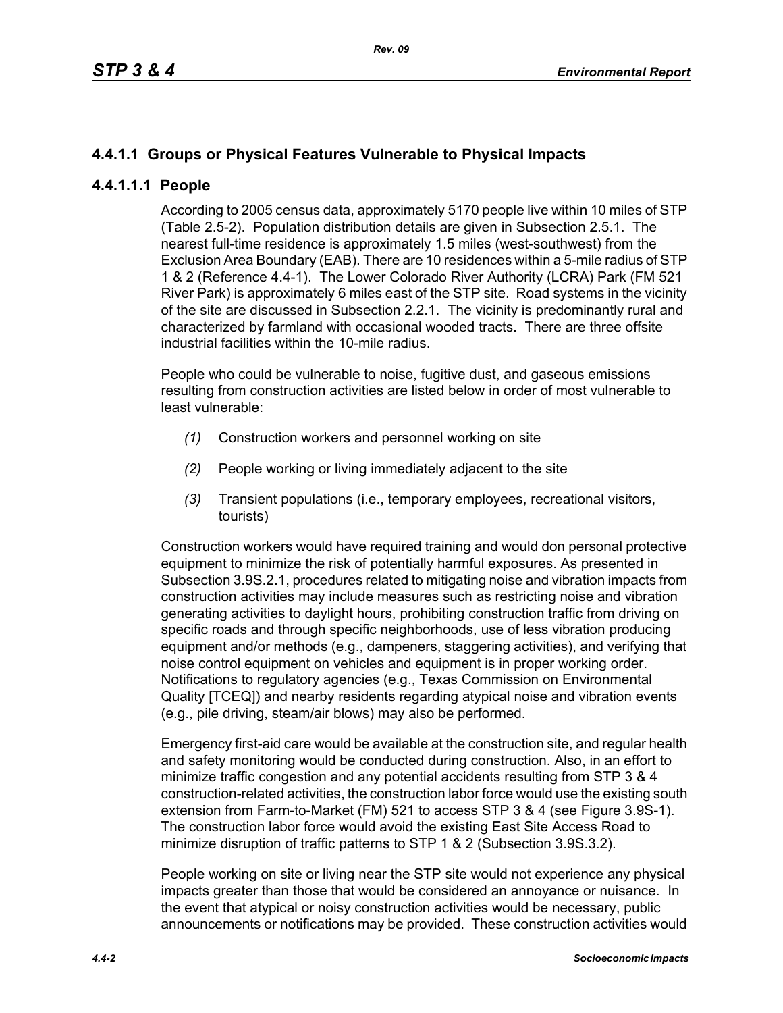# **4.4.1.1 Groups or Physical Features Vulnerable to Physical Impacts**

## **4.4.1.1.1 People**

According to 2005 census data, approximately 5170 people live within 10 miles of STP (Table 2.5-2). Population distribution details are given in Subsection 2.5.1. The nearest full-time residence is approximately 1.5 miles (west-southwest) from the Exclusion Area Boundary (EAB). There are 10 residences within a 5-mile radius of STP 1 & 2 (Reference 4.4-1). The Lower Colorado River Authority (LCRA) Park (FM 521 River Park) is approximately 6 miles east of the STP site. Road systems in the vicinity of the site are discussed in Subsection 2.2.1. The vicinity is predominantly rural and characterized by farmland with occasional wooded tracts. There are three offsite industrial facilities within the 10-mile radius.

People who could be vulnerable to noise, fugitive dust, and gaseous emissions resulting from construction activities are listed below in order of most vulnerable to least vulnerable:

- *(1)* Construction workers and personnel working on site
- *(2)* People working or living immediately adjacent to the site
- *(3)* Transient populations (i.e., temporary employees, recreational visitors, tourists)

Construction workers would have required training and would don personal protective equipment to minimize the risk of potentially harmful exposures. As presented in Subsection 3.9S.2.1, procedures related to mitigating noise and vibration impacts from construction activities may include measures such as restricting noise and vibration generating activities to daylight hours, prohibiting construction traffic from driving on specific roads and through specific neighborhoods, use of less vibration producing equipment and/or methods (e.g., dampeners, staggering activities), and verifying that noise control equipment on vehicles and equipment is in proper working order. Notifications to regulatory agencies (e.g., Texas Commission on Environmental Quality [TCEQ]) and nearby residents regarding atypical noise and vibration events (e.g., pile driving, steam/air blows) may also be performed.

Emergency first-aid care would be available at the construction site, and regular health and safety monitoring would be conducted during construction. Also, in an effort to minimize traffic congestion and any potential accidents resulting from STP 3 & 4 construction-related activities, the construction labor force would use the existing south extension from Farm-to-Market (FM) 521 to access STP 3 & 4 (see Figure 3.9S-1). The construction labor force would avoid the existing East Site Access Road to minimize disruption of traffic patterns to STP 1 & 2 (Subsection 3.9S.3.2).

People working on site or living near the STP site would not experience any physical impacts greater than those that would be considered an annoyance or nuisance. In the event that atypical or noisy construction activities would be necessary, public announcements or notifications may be provided. These construction activities would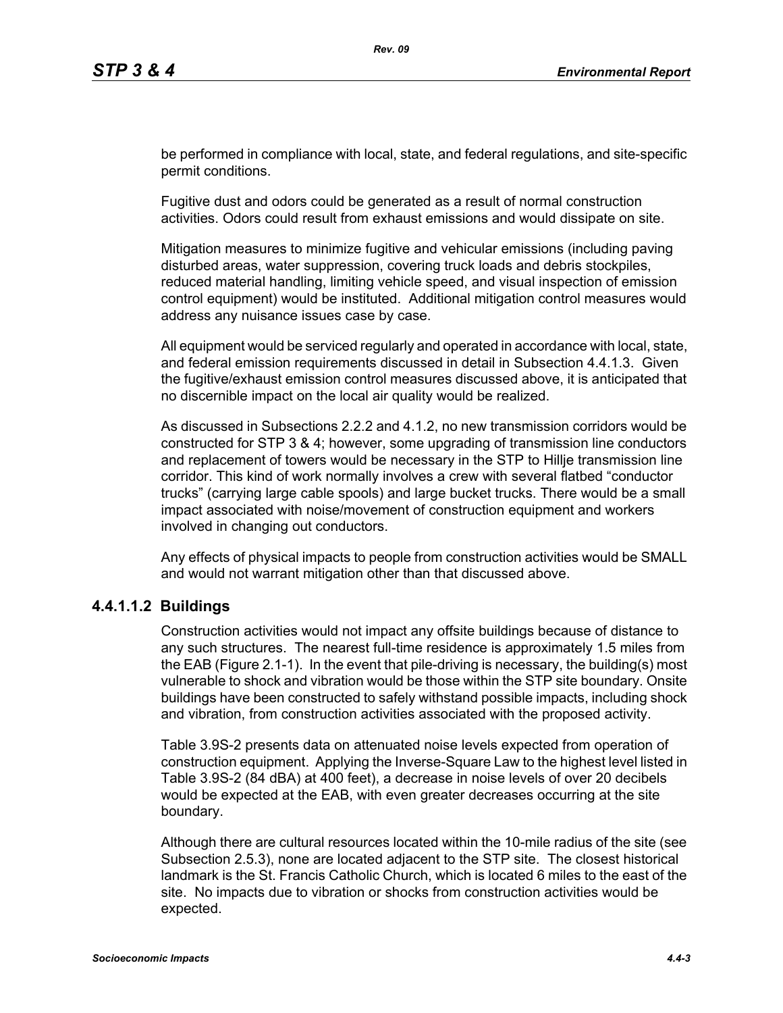be performed in compliance with local, state, and federal regulations, and site-specific permit conditions.

Fugitive dust and odors could be generated as a result of normal construction activities. Odors could result from exhaust emissions and would dissipate on site.

Mitigation measures to minimize fugitive and vehicular emissions (including paving disturbed areas, water suppression, covering truck loads and debris stockpiles, reduced material handling, limiting vehicle speed, and visual inspection of emission control equipment) would be instituted. Additional mitigation control measures would address any nuisance issues case by case.

All equipment would be serviced regularly and operated in accordance with local, state, and federal emission requirements discussed in detail in Subsection 4.4.1.3. Given the fugitive/exhaust emission control measures discussed above, it is anticipated that no discernible impact on the local air quality would be realized.

As discussed in Subsections 2.2.2 and 4.1.2, no new transmission corridors would be constructed for STP 3 & 4; however, some upgrading of transmission line conductors and replacement of towers would be necessary in the STP to Hillje transmission line corridor. This kind of work normally involves a crew with several flatbed "conductor trucks" (carrying large cable spools) and large bucket trucks. There would be a small impact associated with noise/movement of construction equipment and workers involved in changing out conductors.

Any effects of physical impacts to people from construction activities would be SMALL and would not warrant mitigation other than that discussed above.

## **4.4.1.1.2 Buildings**

Construction activities would not impact any offsite buildings because of distance to any such structures. The nearest full-time residence is approximately 1.5 miles from the EAB (Figure 2.1-1). In the event that pile-driving is necessary, the building(s) most vulnerable to shock and vibration would be those within the STP site boundary. Onsite buildings have been constructed to safely withstand possible impacts, including shock and vibration, from construction activities associated with the proposed activity.

Table 3.9S-2 presents data on attenuated noise levels expected from operation of construction equipment. Applying the Inverse-Square Law to the highest level listed in Table 3.9S-2 (84 dBA) at 400 feet), a decrease in noise levels of over 20 decibels would be expected at the EAB, with even greater decreases occurring at the site boundary.

Although there are cultural resources located within the 10-mile radius of the site (see Subsection 2.5.3), none are located adjacent to the STP site. The closest historical landmark is the St. Francis Catholic Church, which is located 6 miles to the east of the site. No impacts due to vibration or shocks from construction activities would be expected.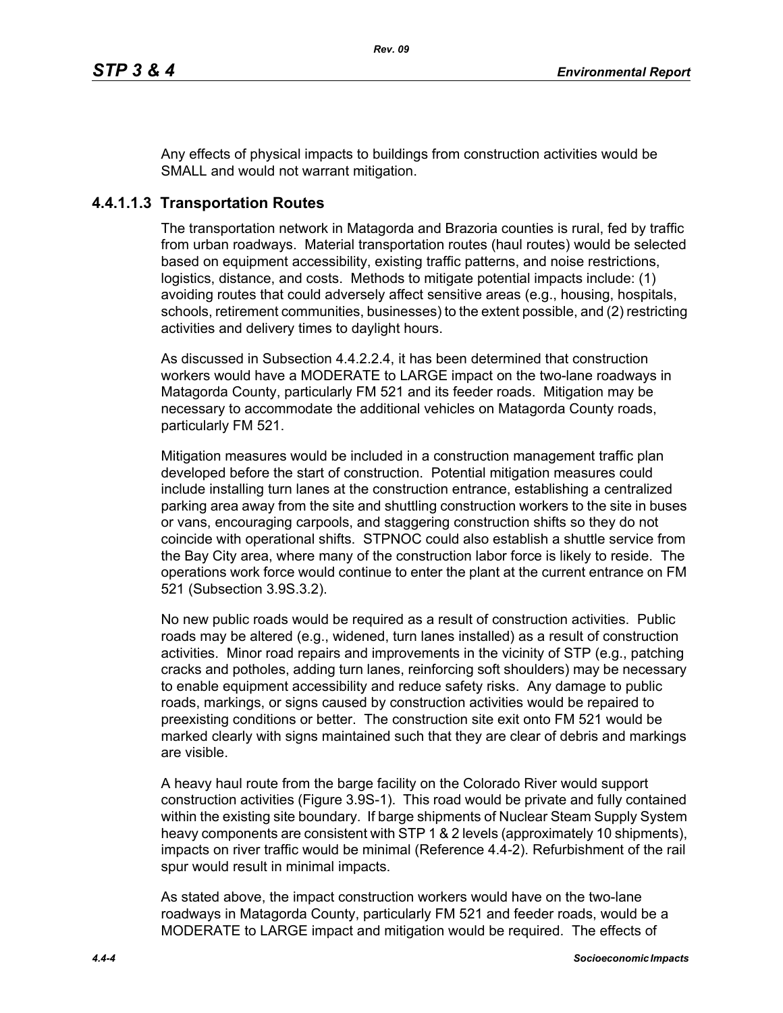Any effects of physical impacts to buildings from construction activities would be SMALL and would not warrant mitigation.

## **4.4.1.1.3 Transportation Routes**

The transportation network in Matagorda and Brazoria counties is rural, fed by traffic from urban roadways. Material transportation routes (haul routes) would be selected based on equipment accessibility, existing traffic patterns, and noise restrictions, logistics, distance, and costs. Methods to mitigate potential impacts include: (1) avoiding routes that could adversely affect sensitive areas (e.g., housing, hospitals, schools, retirement communities, businesses) to the extent possible, and (2) restricting activities and delivery times to daylight hours.

As discussed in Subsection 4.4.2.2.4, it has been determined that construction workers would have a MODERATE to LARGE impact on the two-lane roadways in Matagorda County, particularly FM 521 and its feeder roads. Mitigation may be necessary to accommodate the additional vehicles on Matagorda County roads, particularly FM 521.

Mitigation measures would be included in a construction management traffic plan developed before the start of construction. Potential mitigation measures could include installing turn lanes at the construction entrance, establishing a centralized parking area away from the site and shuttling construction workers to the site in buses or vans, encouraging carpools, and staggering construction shifts so they do not coincide with operational shifts. STPNOC could also establish a shuttle service from the Bay City area, where many of the construction labor force is likely to reside. The operations work force would continue to enter the plant at the current entrance on FM 521 (Subsection 3.9S.3.2).

No new public roads would be required as a result of construction activities. Public roads may be altered (e.g., widened, turn lanes installed) as a result of construction activities. Minor road repairs and improvements in the vicinity of STP (e.g., patching cracks and potholes, adding turn lanes, reinforcing soft shoulders) may be necessary to enable equipment accessibility and reduce safety risks. Any damage to public roads, markings, or signs caused by construction activities would be repaired to preexisting conditions or better. The construction site exit onto FM 521 would be marked clearly with signs maintained such that they are clear of debris and markings are visible.

A heavy haul route from the barge facility on the Colorado River would support construction activities (Figure 3.9S-1). This road would be private and fully contained within the existing site boundary. If barge shipments of Nuclear Steam Supply System heavy components are consistent with STP 1 & 2 levels (approximately 10 shipments). impacts on river traffic would be minimal (Reference 4.4-2). Refurbishment of the rail spur would result in minimal impacts.

As stated above, the impact construction workers would have on the two-lane roadways in Matagorda County, particularly FM 521 and feeder roads, would be a MODERATE to LARGE impact and mitigation would be required. The effects of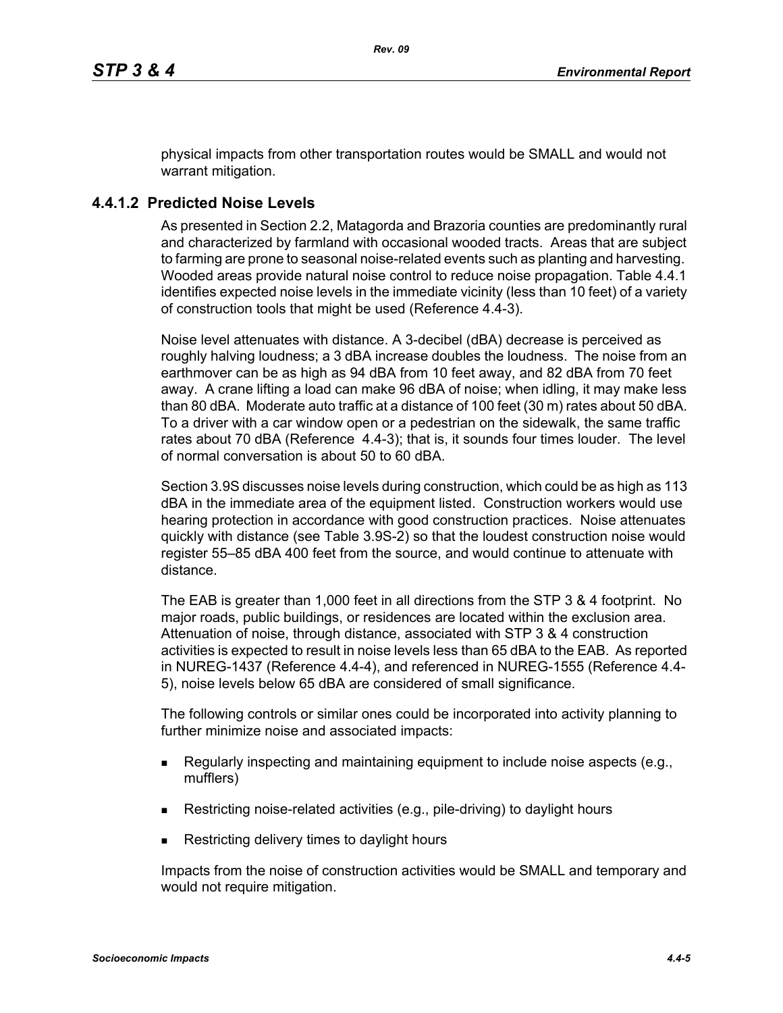physical impacts from other transportation routes would be SMALL and would not warrant mitigation.

## **4.4.1.2 Predicted Noise Levels**

As presented in Section 2.2, Matagorda and Brazoria counties are predominantly rural and characterized by farmland with occasional wooded tracts. Areas that are subject to farming are prone to seasonal noise-related events such as planting and harvesting. Wooded areas provide natural noise control to reduce noise propagation. Table 4.4.1 identifies expected noise levels in the immediate vicinity (less than 10 feet) of a variety of construction tools that might be used (Reference 4.4-3).

Noise level attenuates with distance. A 3-decibel (dBA) decrease is perceived as roughly halving loudness; a 3 dBA increase doubles the loudness. The noise from an earthmover can be as high as 94 dBA from 10 feet away, and 82 dBA from 70 feet away. A crane lifting a load can make 96 dBA of noise; when idling, it may make less than 80 dBA. Moderate auto traffic at a distance of 100 feet (30 m) rates about 50 dBA. To a driver with a car window open or a pedestrian on the sidewalk, the same traffic rates about 70 dBA (Reference 4.4-3); that is, it sounds four times louder. The level of normal conversation is about 50 to 60 dBA.

Section 3.9S discusses noise levels during construction, which could be as high as 113 dBA in the immediate area of the equipment listed. Construction workers would use hearing protection in accordance with good construction practices. Noise attenuates quickly with distance (see Table 3.9S-2) so that the loudest construction noise would register 55–85 dBA 400 feet from the source, and would continue to attenuate with distance.

The EAB is greater than 1,000 feet in all directions from the STP 3 & 4 footprint. No major roads, public buildings, or residences are located within the exclusion area. Attenuation of noise, through distance, associated with STP 3 & 4 construction activities is expected to result in noise levels less than 65 dBA to the EAB. As reported in NUREG-1437 (Reference 4.4-4), and referenced in NUREG-1555 (Reference 4.4- 5), noise levels below 65 dBA are considered of small significance.

The following controls or similar ones could be incorporated into activity planning to further minimize noise and associated impacts:

- Regularly inspecting and maintaining equipment to include noise aspects (e.g., mufflers)
- Restricting noise-related activities (e.g., pile-driving) to daylight hours
- Restricting delivery times to daylight hours

Impacts from the noise of construction activities would be SMALL and temporary and would not require mitigation.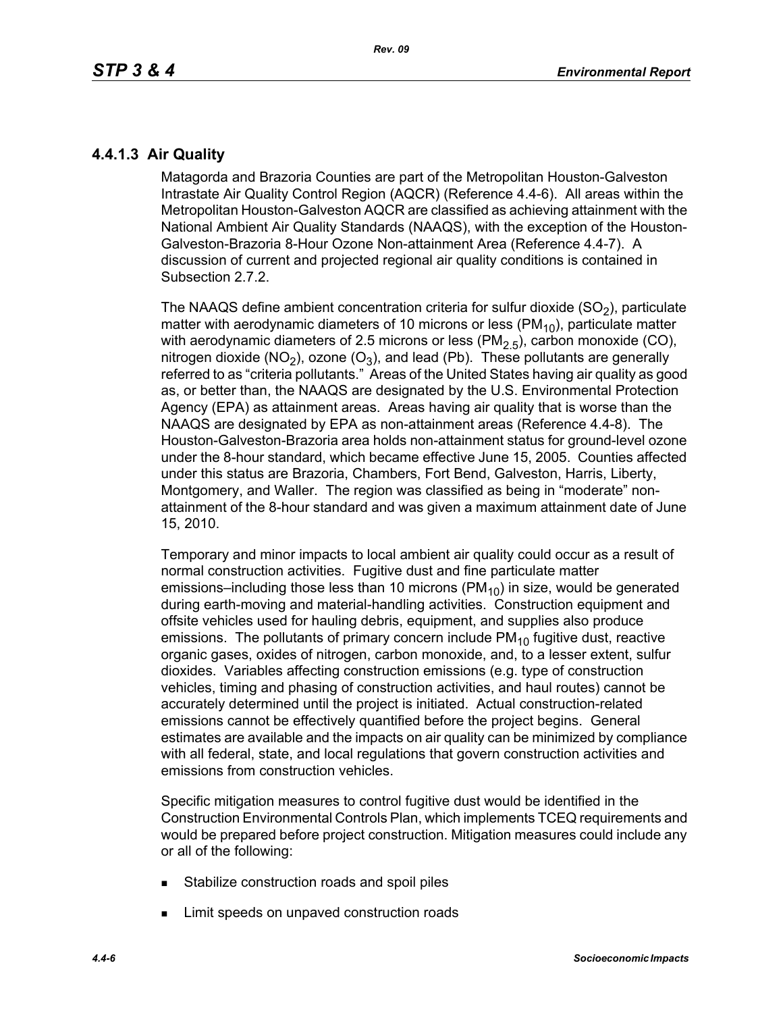## **4.4.1.3 Air Quality**

Matagorda and Brazoria Counties are part of the Metropolitan Houston-Galveston Intrastate Air Quality Control Region (AQCR) (Reference 4.4-6). All areas within the Metropolitan Houston-Galveston AQCR are classified as achieving attainment with the National Ambient Air Quality Standards (NAAQS), with the exception of the Houston-Galveston-Brazoria 8-Hour Ozone Non-attainment Area (Reference 4.4-7). A discussion of current and projected regional air quality conditions is contained in Subsection 2.7.2.

The NAAQS define ambient concentration criteria for sulfur dioxide  $(SO<sub>2</sub>)$ , particulate matter with aerodynamic diameters of 10 microns or less ( $PM_{10}$ ), particulate matter with aerodynamic diameters of 2.5 microns or less ( $PM<sub>2.5</sub>$ ), carbon monoxide (CO), nitrogen dioxide (NO<sub>2</sub>), ozone (O<sub>3</sub>), and lead (Pb). These pollutants are generally referred to as "criteria pollutants." Areas of the United States having air quality as good as, or better than, the NAAQS are designated by the U.S. Environmental Protection Agency (EPA) as attainment areas. Areas having air quality that is worse than the NAAQS are designated by EPA as non-attainment areas (Reference 4.4-8). The Houston-Galveston-Brazoria area holds non-attainment status for ground-level ozone under the 8-hour standard, which became effective June 15, 2005. Counties affected under this status are Brazoria, Chambers, Fort Bend, Galveston, Harris, Liberty, Montgomery, and Waller. The region was classified as being in "moderate" nonattainment of the 8-hour standard and was given a maximum attainment date of June 15, 2010.

Temporary and minor impacts to local ambient air quality could occur as a result of normal construction activities. Fugitive dust and fine particulate matter emissions–including those less than 10 microns  $(PM_{10})$  in size, would be generated during earth-moving and material-handling activities. Construction equipment and offsite vehicles used for hauling debris, equipment, and supplies also produce emissions. The pollutants of primary concern include  $PM_{10}$  fugitive dust, reactive organic gases, oxides of nitrogen, carbon monoxide, and, to a lesser extent, sulfur dioxides. Variables affecting construction emissions (e.g. type of construction vehicles, timing and phasing of construction activities, and haul routes) cannot be accurately determined until the project is initiated. Actual construction-related emissions cannot be effectively quantified before the project begins. General estimates are available and the impacts on air quality can be minimized by compliance with all federal, state, and local regulations that govern construction activities and emissions from construction vehicles.

Specific mitigation measures to control fugitive dust would be identified in the Construction Environmental Controls Plan, which implements TCEQ requirements and would be prepared before project construction. Mitigation measures could include any or all of the following:

- **Stabilize construction roads and spoil piles**
- **EXECUTE:** Limit speeds on unpaved construction roads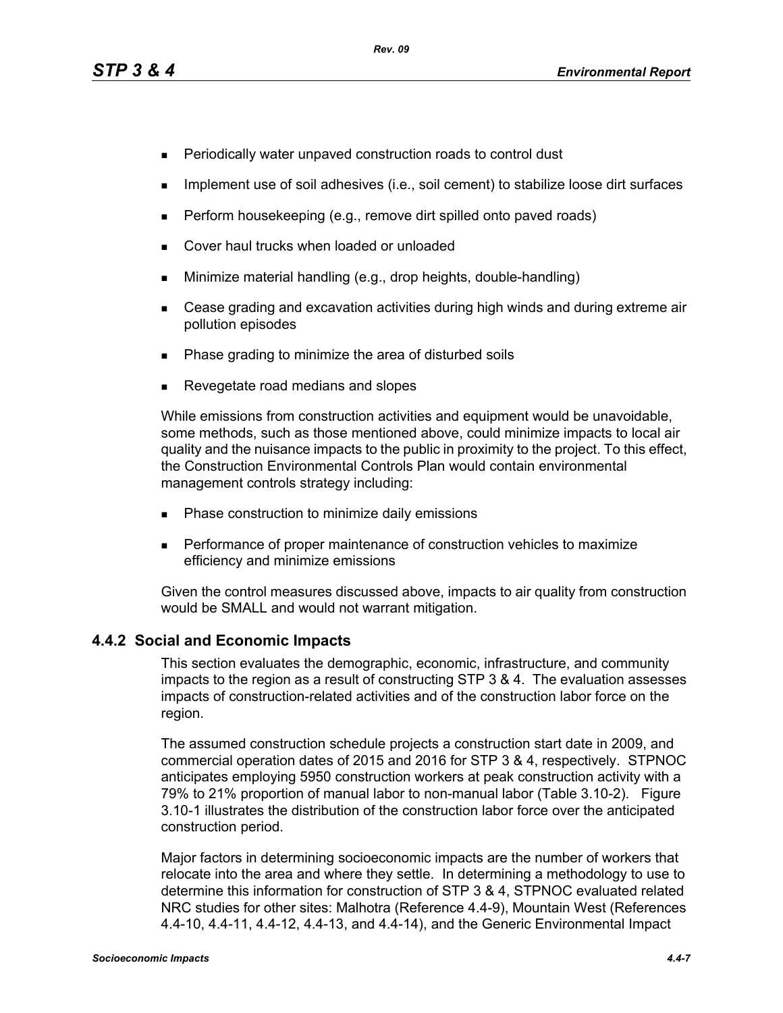- **Periodically water unpaved construction roads to control dust**
- **IMPLEMENT USE OF SOIL ADDES** (i.e., soil cement) to stabilize loose dirt surfaces
- $\blacksquare$  Perform housekeeping (e.g., remove dirt spilled onto paved roads)
- **Cover haul trucks when loaded or unloaded**
- **Minimize material handling (e.g., drop heights, double-handling)**
- Cease grading and excavation activities during high winds and during extreme air pollution episodes
- Phase grading to minimize the area of disturbed soils
- Revegetate road medians and slopes

While emissions from construction activities and equipment would be unavoidable, some methods, such as those mentioned above, could minimize impacts to local air quality and the nuisance impacts to the public in proximity to the project. To this effect, the Construction Environmental Controls Plan would contain environmental management controls strategy including:

- **Phase construction to minimize daily emissions**
- **Performance of proper maintenance of construction vehicles to maximize** efficiency and minimize emissions

[Given the control measures discussed above, impacts to air quality from construction](http://factfinder.census.gov/)  would be SMALL and would not warrant mitigation.

## **4.4.2 Social and Economic Impacts**

This section evaluates the demographic, economic, infrastructure, and community impacts to the region as a result of constructing STP 3 & 4. The evaluation assesses impacts of construction-related activities and of the construction labor force on the region.

The assumed construction schedule projects a construction start date in 2009, and commercial operation dates of 2015 and 2016 for STP 3 & 4, respectively. STPNOC anticipates employing 5950 construction workers at peak construction activity with a 79% to 21% proportion of manual labor to non-manual labor (Table 3.10-2). Figure 3.10-1 illustrates the distribution of the construction labor force over the anticipated construction period.

[Major factors in determining socioeconomic impacts are the number of workers that](http://factfinder.census.gov/)  relocate into the area and where they settle. In determining a methodology to use to determine this information for construction of STP 3 & 4, STPNOC evaluated related [NRC studies for other sites: Malhotra \(Reference 4.4-9\), Mountain West \(References](http://factfinder.census.gov/)  [4.4-10, 4.4-11, 4.4-12, 4.4-13, and 4.4-14\), and the Generic Environmental Impact](http://factfinder.census.gov/)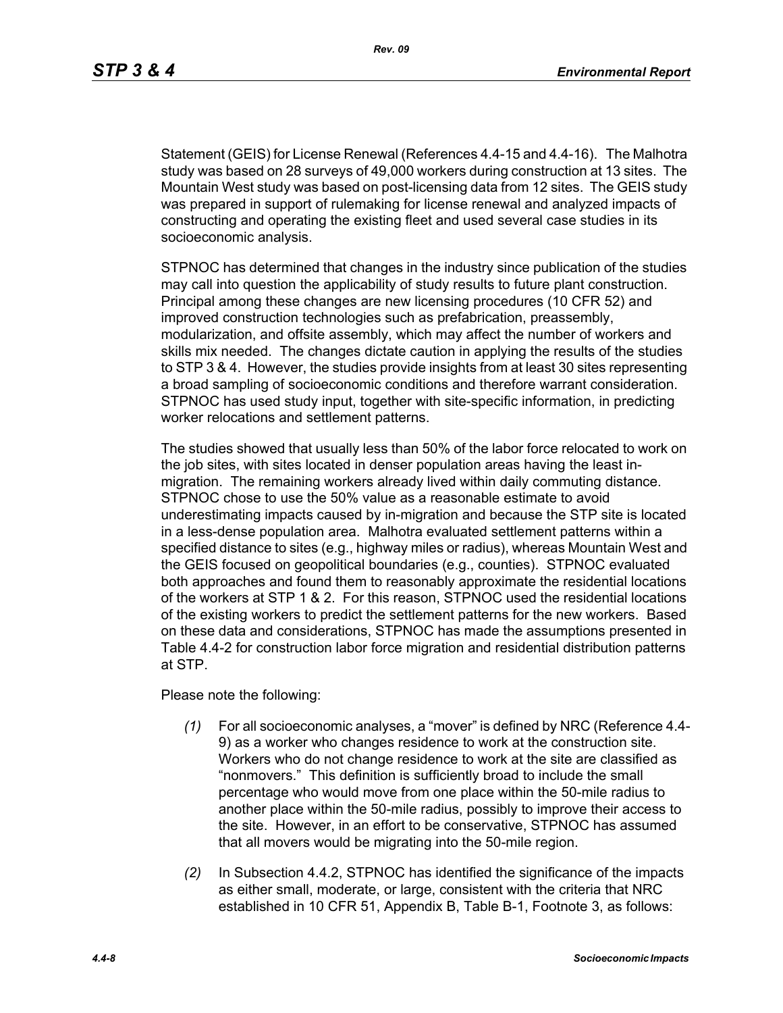[Statement \(GEIS\) for License Renewal \(References 4.4-15 and 4.4-16\). The Malhotra](http://factfinder.census.gov/)  study was based on 28 surveys of 49,000 workers during construction at 13 sites. The Mountain West study was based on post-licensing data from 12 sites. The GEIS study was prepared in support of rulemaking for license renewal and analyzed impacts of constructing and operating the existing fleet and used several case studies in its socioeconomic analysis.

STPNOC has determined that changes in the industry since publication of the studies may call into question the applicability of study results to future plant construction. Principal among these changes are new licensing procedures (10 CFR 52) and improved construction technologies such as prefabrication, preassembly, modularization, and offsite assembly, which may affect the number of workers and skills mix needed. The changes dictate caution in applying the results of the studies to STP 3 & 4. However, the studies provide insights from at least 30 sites representing a broad sampling of socioeconomic conditions and therefore warrant consideration. STPNOC has used study input, together with site-specific information, in predicting worker relocations and settlement patterns.

The studies showed that usually less than 50% of the labor force relocated to work on the job sites, with sites located in denser population areas having the least inmigration. The remaining workers already lived within daily commuting distance. STPNOC chose to use the 50% value as a reasonable estimate to avoid underestimating impacts caused by in-migration and because the STP site is located in a less-dense population area. Malhotra evaluated settlement patterns within a specified distance to sites (e.g., highway miles or radius), whereas Mountain West and the GEIS focused on geopolitical boundaries (e.g., counties). STPNOC evaluated both approaches and found them to reasonably approximate the residential locations of the workers at STP 1 & 2. For this reason, STPNOC used the residential locations of the existing workers to predict the settlement patterns for the new workers. Based on these data and considerations, STPNOC has made the assumptions presented in Table 4.4-2 for construction labor force migration and residential distribution patterns at STP.

Please note the following:

- *(1)* For all socioeconomic analyses, a "mover" is defined by NRC (Reference 4.4- 9) as a worker who changes residence to work at the construction site. Workers who do not change residence to work at the site are classified as "nonmovers." This definition is sufficiently broad to include the small percentage who would move from one place within the 50-mile radius to another place within the 50-mile radius, possibly to improve their access to the site. However, in an effort to be conservative, STPNOC has assumed that all movers would be migrating into the 50-mile region.
- *(2)* In Subsection 4.4.2, STPNOC has identified the significance of the impacts as either small, moderate, or large, consistent with the criteria that NRC established in 10 CFR 51, Appendix B, Table B-1, Footnote 3, as follows: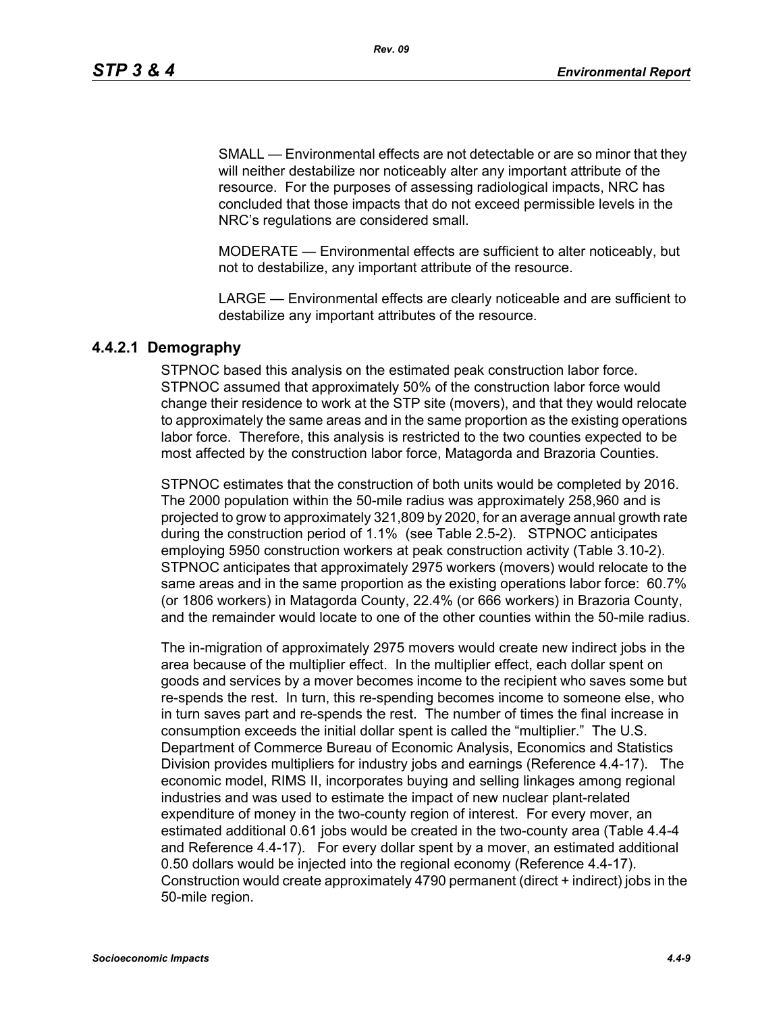SMALL — Environmental effects are not detectable or are so minor that they will neither destabilize nor noticeably alter any important attribute of the resource. For the purposes of assessing radiological impacts, NRC has concluded that those impacts that do not exceed permissible levels in the NRC's regulations are considered small.

MODERATE — Environmental effects are sufficient to alter noticeably, but not to destabilize, any important attribute of the resource.

LARGE — Environmental effects are clearly noticeable and are sufficient to destabilize any important attributes of the resource.

## **4.4.2.1 Demography**

STPNOC based this analysis on the estimated peak construction labor force. STPNOC assumed that approximately 50% of the construction labor force would change their residence to work at the STP site (movers), and that they would relocate to approximately the same areas and in the same proportion as the existing operations labor force. Therefore, this analysis is restricted to the two counties expected to be most affected by the construction labor force, Matagorda and Brazoria Counties.

STPNOC estimates that the construction of both units would be completed by 2016. The 2000 population within the 50-mile radius was approximately 258,960 and is projected to grow to approximately 321,809 by 2020, for an average annual growth rate during the construction period of 1.1% (see Table 2.5-2). STPNOC anticipates employing 5950 construction workers at peak construction activity (Table 3.10-2). STPNOC anticipates that approximately 2975 workers (movers) would relocate to the same areas and in the same proportion as the existing operations labor force: 60.7% (or 1806 workers) in Matagorda County, 22.4% (or 666 workers) in Brazoria County, and the remainder would locate to one of the other counties within the 50-mile radius.

The in-migration of approximately 2975 movers would create new indirect jobs in the area because of the multiplier effect. In the multiplier effect, each dollar spent on goods and services by a mover becomes income to the recipient who saves some but re-spends the rest. In turn, this re-spending becomes income to someone else, who in turn saves part and re-spends the rest. The number of times the final increase in consumption exceeds the initial dollar spent is called the "multiplier." The U.S. Department of Commerce Bureau of Economic Analysis, Economics and Statistics Division provides multipliers for industry jobs and earnings (Reference 4.4-17). The economic model, RIMS II, incorporates buying and selling linkages among regional industries and was used to estimate the impact of new nuclear plant-related expenditure of money in the two-county region of interest. For every mover, an estimated additional 0.61 jobs would be created in the two-county area (Table 4.4-4 and Reference 4.4-17). For every dollar spent by a mover, an estimated additional 0.50 dollars would be injected into the regional economy (Reference 4.4-17). Construction would create approximately 4790 permanent (direct + indirect) jobs in the 50-mile region.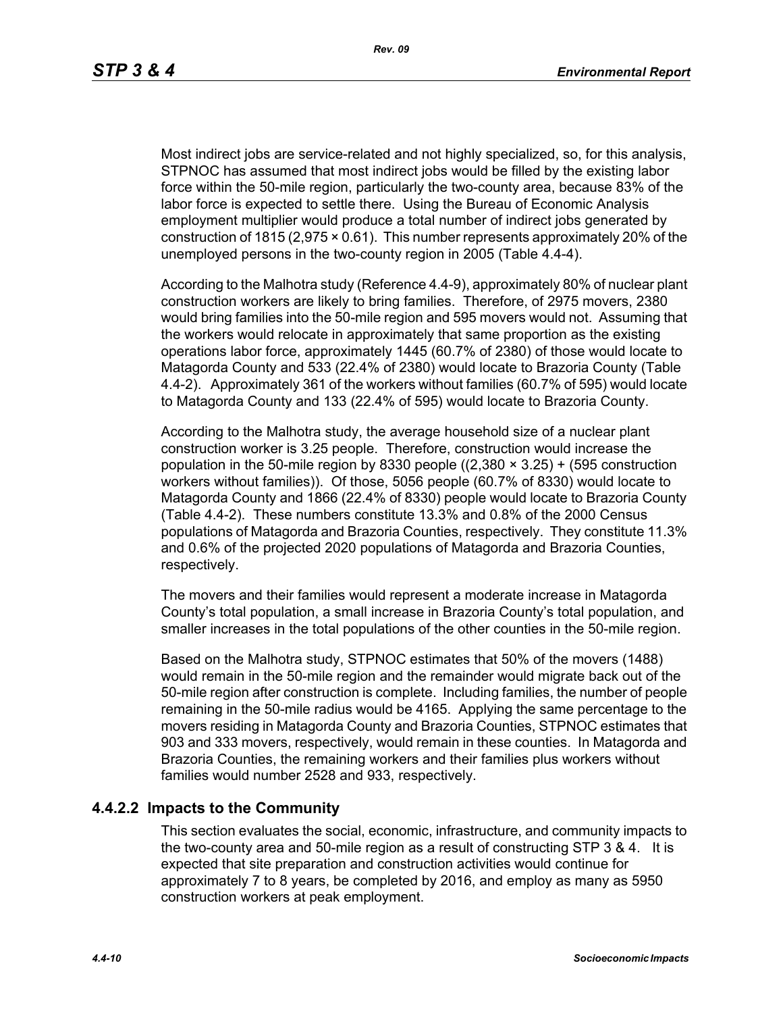Most indirect jobs are service-related and not highly specialized, so, for this analysis, STPNOC has assumed that most indirect jobs would be filled by the existing labor force within the 50-mile region, particularly the two-county area, because 83% of the labor force is expected to settle there. Using the Bureau of Economic Analysis employment multiplier would produce a total number of indirect jobs generated by construction of 1815 (2,975 × 0.61). This number represents approximately 20% of the unemployed persons in the two-county region in 2005 (Table 4.4-4).

According to the Malhotra study (Reference 4.4-9), approximately 80% of nuclear plant construction workers are likely to bring families. Therefore, of 2975 movers, 2380 would bring families into the 50-mile region and 595 movers would not. Assuming that the workers would relocate in approximately that same proportion as the existing operations labor force, approximately 1445 (60.7% of 2380) of those would locate to Matagorda County and 533 (22.4% of 2380) would locate to Brazoria County (Table 4.4-2). Approximately 361 of the workers without families (60.7% of 595) would locate to Matagorda County and 133 (22.4% of 595) would locate to Brazoria County.

According to the Malhotra study, the average household size of a nuclear plant construction worker is 3.25 people. Therefore, construction would increase the population in the 50-mile region by 8330 people  $((2,380 \times 3.25) + (595$  construction workers without families)). Of those, 5056 people (60.7% of 8330) would locate to Matagorda County and 1866 (22.4% of 8330) people would locate to Brazoria County (Table 4.4-2). These numbers constitute 13.3% and 0.8% of the 2000 Census populations of Matagorda and Brazoria Counties, respectively. They constitute 11.3% and 0.6% of the projected 2020 populations of Matagorda and Brazoria Counties, respectively.

The movers and their families would represent a moderate increase in Matagorda County's total population, a small increase in Brazoria County's total population, and smaller increases in the total populations of the other counties in the 50-mile region.

Based on the Malhotra study, STPNOC estimates that 50% of the movers (1488) would remain in the 50-mile region and the remainder would migrate back out of the 50-mile region after construction is complete. Including families, the number of people remaining in the 50-mile radius would be 4165. Applying the same percentage to the movers residing in Matagorda County and Brazoria Counties, STPNOC estimates that 903 and 333 movers, respectively, would remain in these counties. In Matagorda and Brazoria Counties, the remaining workers and their families plus workers without families would number 2528 and 933, respectively.

## **4.4.2.2 Impacts to the Community**

This section evaluates the social, economic, infrastructure, and community impacts to the two-county area and 50-mile region as a result of constructing STP 3 & 4. It is expected that site preparation and construction activities would continue for approximately 7 to 8 years, be completed by 2016, and employ as many as 5950 construction workers at peak employment.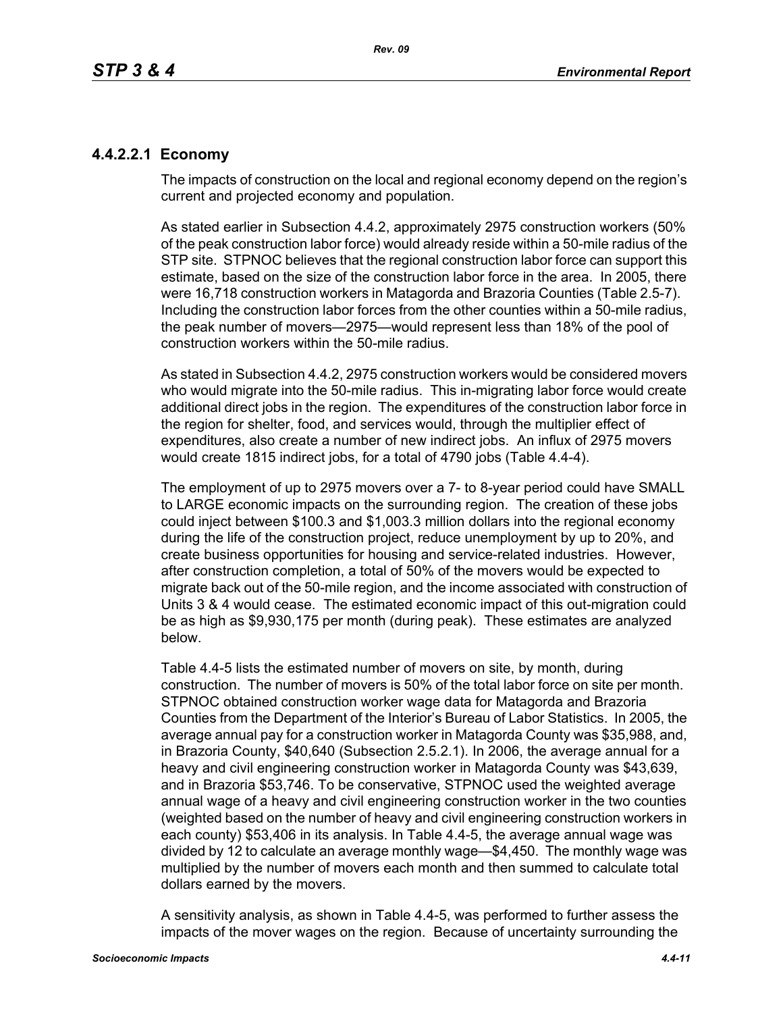# **4.4.2.2.1 Economy**

The impacts of construction on the local and regional economy depend on the region's current and projected economy and population.

As stated earlier in Subsection 4.4.2, approximately 2975 construction workers (50% of the peak construction labor force) would already reside within a 50-mile radius of the STP site. STPNOC believes that the regional construction labor force can support this estimate, based on the size of the construction labor force in the area. In 2005, there were 16,718 construction workers in Matagorda and Brazoria Counties (Table 2.5-7). Including the construction labor forces from the other counties within a 50-mile radius, the peak number of movers—2975—would represent less than 18% of the pool of construction workers within the 50-mile radius.

As stated in Subsection 4.4.2, 2975 construction workers would be considered movers who would migrate into the 50-mile radius. This in-migrating labor force would create additional direct jobs in the region. The expenditures of the construction labor force in the region for shelter, food, and services would, through the multiplier effect of expenditures, also create a number of new indirect jobs. An influx of 2975 movers would create 1815 indirect jobs, for a total of 4790 jobs (Table 4.4-4).

The employment of up to 2975 movers over a 7- to 8-year period could have SMALL to LARGE economic impacts on the surrounding region. The creation of these jobs could inject between \$100.3 and \$1,003.3 million dollars into the regional economy during the life of the construction project, reduce unemployment by up to 20%, and create business opportunities for housing and service-related industries. However, after construction completion, a total of 50% of the movers would be expected to migrate back out of the 50-mile region, and the income associated with construction of Units 3 & 4 would cease. The estimated economic impact of this out-migration could be as high as \$9,930,175 per month (during peak). These estimates are analyzed below.

Table 4.4-5 lists the estimated number of movers on site, by month, during construction. The number of movers is 50% of the total labor force on site per month. STPNOC obtained construction worker wage data for Matagorda and Brazoria Counties from the Department of the Interior's Bureau of Labor Statistics. In 2005, the average annual pay for a construction worker in Matagorda County was \$35,988, and, in Brazoria County, \$40,640 (Subsection 2.5.2.1). In 2006, the average annual for a heavy and civil engineering construction worker in Matagorda County was \$43,639, and in Brazoria \$53,746. To be conservative, STPNOC used the weighted average annual wage of a heavy and civil engineering construction worker in the two counties (weighted based on the number of heavy and civil engineering construction workers in each county) \$53,406 in its analysis. In Table 4.4-5, the average annual wage was divided by 12 to calculate an average monthly wage—\$4,450. The monthly wage was multiplied by the number of movers each month and then summed to calculate total dollars earned by the movers.

A sensitivity analysis, as shown in Table 4.4-5, was performed to further assess the impacts of the mover wages on the region. Because of uncertainty surrounding the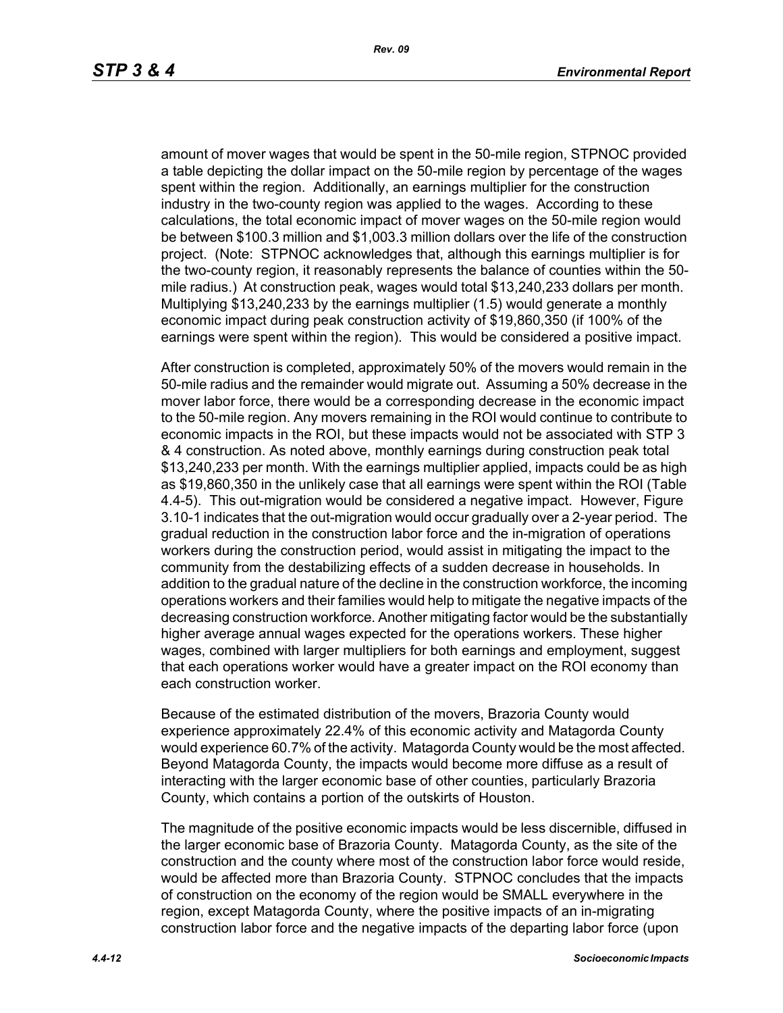amount of mover wages that would be spent in the 50-mile region, STPNOC provided a table depicting the dollar impact on the 50-mile region by percentage of the wages spent within the region. Additionally, an earnings multiplier for the construction industry in the two-county region was applied to the wages. According to these calculations, the total economic impact of mover wages on the 50-mile region would be between \$100.3 million and \$1,003.3 million dollars over the life of the construction project. (Note: STPNOC acknowledges that, although this earnings multiplier is for the two-county region, it reasonably represents the balance of counties within the 50 mile radius.) At construction peak, wages would total \$13,240,233 dollars per month. Multiplying \$13,240,233 by the earnings multiplier (1.5) would generate a monthly economic impact during peak construction activity of \$19,860,350 (if 100% of the earnings were spent within the region). This would be considered a positive impact.

After construction is completed, approximately 50% of the movers would remain in the 50-mile radius and the remainder would migrate out. Assuming a 50% decrease in the mover labor force, there would be a corresponding decrease in the economic impact to the 50-mile region. Any movers remaining in the ROI would continue to contribute to economic impacts in the ROI, but these impacts would not be associated with STP 3 & 4 construction. As noted above, monthly earnings during construction peak total \$13,240,233 per month. With the earnings multiplier applied, impacts could be as high as \$19,860,350 in the unlikely case that all earnings were spent within the ROI (Table 4.4-5). This out-migration would be considered a negative impact. However, Figure 3.10-1 indicates that the out-migration would occur gradually over a 2-year period. The gradual reduction in the construction labor force and the in-migration of operations workers during the construction period, would assist in mitigating the impact to the community from the destabilizing effects of a sudden decrease in households. In addition to the gradual nature of the decline in the construction workforce, the incoming operations workers and their families would help to mitigate the negative impacts of the decreasing construction workforce. Another mitigating factor would be the substantially higher average annual wages expected for the operations workers. These higher wages, combined with larger multipliers for both earnings and employment, suggest that each operations worker would have a greater impact on the ROI economy than each construction worker.

Because of the estimated distribution of the movers, Brazoria County would experience approximately 22.4% of this economic activity and Matagorda County would experience 60.7% of the activity. Matagorda County would be the most affected. Beyond Matagorda County, the impacts would become more diffuse as a result of interacting with the larger economic base of other counties, particularly Brazoria County, which contains a portion of the outskirts of Houston.

The magnitude of the positive economic impacts would be less discernible, diffused in the larger economic base of Brazoria County. Matagorda County, as the site of the construction and the county where most of the construction labor force would reside, would be affected more than Brazoria County. STPNOC concludes that the impacts of construction on the economy of the region would be SMALL everywhere in the region, except Matagorda County, where the positive impacts of an in-migrating construction labor force and the negative impacts of the departing labor force (upon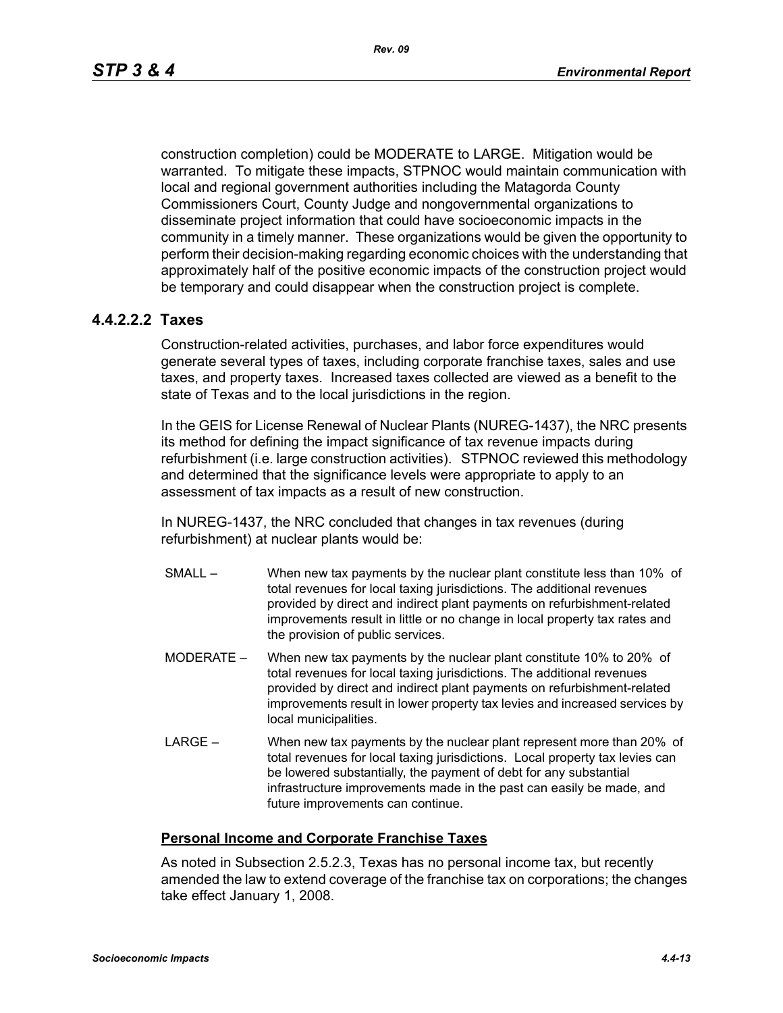construction completion) could be MODERATE to LARGE. Mitigation would be warranted. To mitigate these impacts, STPNOC would maintain communication with local and regional government authorities including the Matagorda County Commissioners Court, County Judge and nongovernmental organizations to disseminate project information that could have socioeconomic impacts in the community in a timely manner. These organizations would be given the opportunity to perform their decision-making regarding economic choices with the understanding that approximately half of the positive economic impacts of the construction project would be temporary and could disappear when the construction project is complete.

## **4.4.2.2.2 Taxes**

Construction-related activities, purchases, and labor force expenditures would generate several types of taxes, including corporate franchise taxes, sales and use taxes, and property taxes. Increased taxes collected are viewed as a benefit to the state of Texas and to the local jurisdictions in the region.

In the GEIS for License Renewal of Nuclear Plants (NUREG-1437), the NRC presents its method for defining the impact significance of tax revenue impacts during refurbishment (i.e. large construction activities). STPNOC reviewed this methodology and determined that the significance levels were appropriate to apply to an assessment of tax impacts as a result of new construction.

In NUREG-1437, the NRC concluded that changes in tax revenues (during refurbishment) at nuclear plants would be:

- SMALL When new tax payments by the nuclear plant constitute less than 10% of total revenues for local taxing jurisdictions. The additional revenues provided by direct and indirect plant payments on refurbishment-related improvements result in little or no change in local property tax rates and the provision of public services.
- MODERATE When new tax payments by the nuclear plant constitute 10% to 20% of total revenues for local taxing jurisdictions. The additional revenues provided by direct and indirect plant payments on refurbishment-related improvements result in lower property tax levies and increased services by local municipalities.
- LARGE When new tax payments by the nuclear plant represent more than 20% of total revenues for local taxing jurisdictions. Local property tax levies can be lowered substantially, the payment of debt for any substantial infrastructure improvements made in the past can easily be made, and future improvements can continue.

## **Personal Income and Corporate Franchise Taxes**

As noted in Subsection 2.5.2.3, Texas has no personal income tax, but recently amended the law to extend coverage of the franchise tax on corporations; the changes take effect January 1, 2008.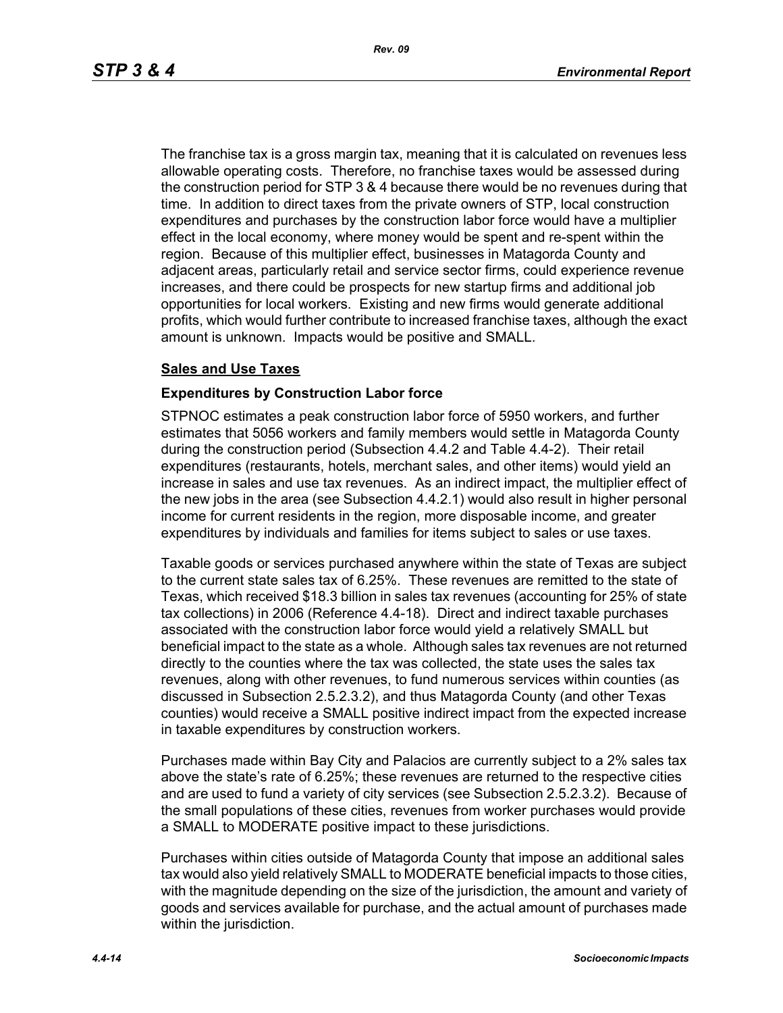The franchise tax is a gross margin tax, meaning that it is calculated on revenues less allowable operating costs. Therefore, no franchise taxes would be assessed during the construction period for STP 3 & 4 because there would be no revenues during that time. In addition to direct taxes from the private owners of STP, local construction expenditures and purchases by the construction labor force would have a multiplier effect in the local economy, where money would be spent and re-spent within the region. Because of this multiplier effect, businesses in Matagorda County and adjacent areas, particularly retail and service sector firms, could experience revenue increases, and there could be prospects for new startup firms and additional job opportunities for local workers. Existing and new firms would generate additional profits, which would further contribute to increased franchise taxes, although the exact amount is unknown. Impacts would be positive and SMALL.

#### **Sales and Use Taxes**

#### **Expenditures by Construction Labor force**

STPNOC estimates a peak construction labor force of 5950 workers, and further estimates that 5056 workers and family members would settle in Matagorda County during the construction period (Subsection 4.4.2 and Table 4.4-2). Their retail expenditures (restaurants, hotels, merchant sales, and other items) would yield an increase in sales and use tax revenues. As an indirect impact, the multiplier effect of the new jobs in the area (see Subsection 4.4.2.1) would also result in higher personal income for current residents in the region, more disposable income, and greater expenditures by individuals and families for items subject to sales or use taxes.

Taxable goods or services purchased anywhere within the state of Texas are subject to the current state sales tax of 6.25%. These revenues are remitted to the state of Texas, which received \$18.3 billion in sales tax revenues (accounting for 25% of state tax collections) in 2006 (Reference 4.4-18). Direct and indirect taxable purchases associated with the construction labor force would yield a relatively SMALL but beneficial impact to the state as a whole. Although sales tax revenues are not returned directly to the counties where the tax was collected, the state uses the sales tax revenues, along with other revenues, to fund numerous services within counties (as discussed in Subsection 2.5.2.3.2), and thus Matagorda County (and other Texas counties) would receive a SMALL positive indirect impact from the expected increase in taxable expenditures by construction workers.

Purchases made within Bay City and Palacios are currently subject to a 2% sales tax above the state's rate of 6.25%; these revenues are returned to the respective cities and are used to fund a variety of city services (see Subsection 2.5.2.3.2). Because of the small populations of these cities, revenues from worker purchases would provide a SMALL to MODERATE positive impact to these jurisdictions.

Purchases within cities outside of Matagorda County that impose an additional sales tax would also yield relatively SMALL to MODERATE beneficial impacts to those cities, with the magnitude depending on the size of the jurisdiction, the amount and variety of goods and services available for purchase, and the actual amount of purchases made within the jurisdiction.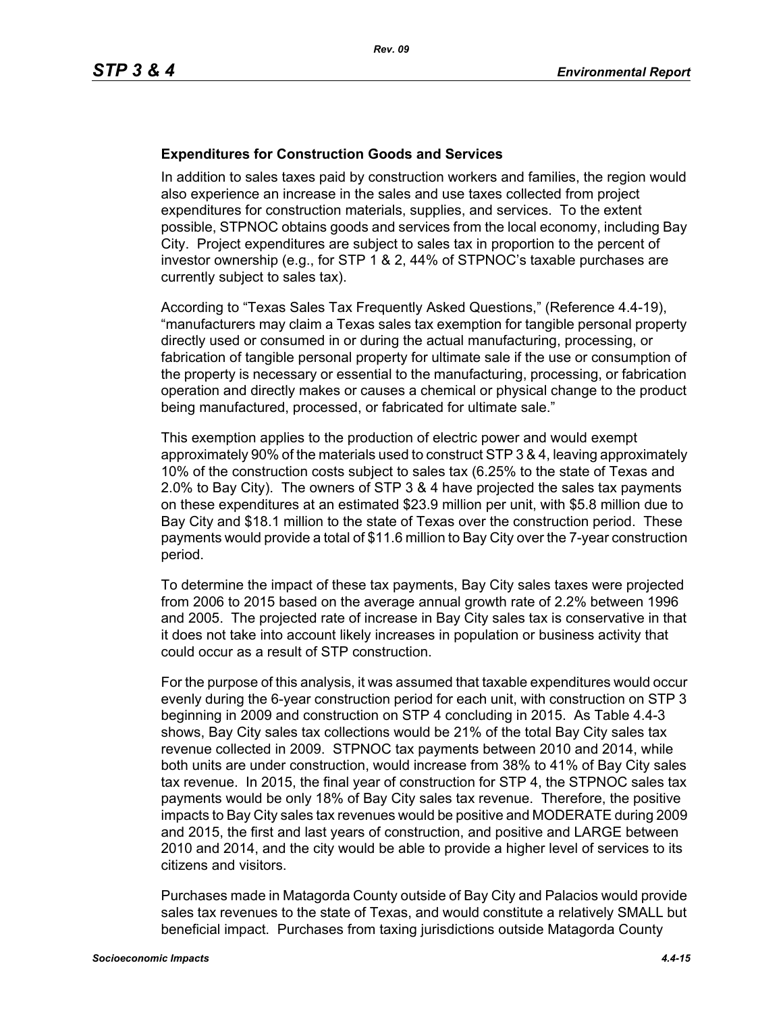#### **Expenditures for Construction Goods and Services**

In addition to sales taxes paid by construction workers and families, the region would also experience an increase in the sales and use taxes collected from project expenditures for construction materials, supplies, and services. To the extent possible, STPNOC obtains goods and services from the local economy, including Bay City. Project expenditures are subject to sales tax in proportion to the percent of investor ownership (e.g., for STP 1 & 2, 44% of STPNOC's taxable purchases are currently subject to sales tax).

According to "Texas Sales Tax Frequently Asked Questions," (Reference 4.4-19), "manufacturers may claim a Texas sales tax exemption for tangible personal property directly used or consumed in or during the actual manufacturing, processing, or fabrication of tangible personal property for ultimate sale if the use or consumption of the property is necessary or essential to the manufacturing, processing, or fabrication operation and directly makes or causes a chemical or physical change to the product being manufactured, processed, or fabricated for ultimate sale."

This exemption applies to the production of electric power and would exempt approximately 90% of the materials used to construct STP 3 & 4, leaving approximately 10% of the construction costs subject to sales tax (6.25% to the state of Texas and 2.0% to Bay City). The owners of STP 3 & 4 have projected the sales tax payments on these expenditures at an estimated \$23.9 million per unit, with \$5.8 million due to Bay City and \$18.1 million to the state of Texas over the construction period. These payments would provide a total of \$11.6 million to Bay City over the 7-year construction period.

To determine the impact of these tax payments, Bay City sales taxes were projected from 2006 to 2015 based on the average annual growth rate of 2.2% between 1996 and 2005. The projected rate of increase in Bay City sales tax is conservative in that it does not take into account likely increases in population or business activity that could occur as a result of STP construction.

For the purpose of this analysis, it was assumed that taxable expenditures would occur evenly during the 6-year construction period for each unit, with construction on STP 3 beginning in 2009 and construction on STP 4 concluding in 2015. As Table 4.4-3 shows, Bay City sales tax collections would be 21% of the total Bay City sales tax revenue collected in 2009. STPNOC tax payments between 2010 and 2014, while both units are under construction, would increase from 38% to 41% of Bay City sales tax revenue. In 2015, the final year of construction for STP 4, the STPNOC sales tax payments would be only 18% of Bay City sales tax revenue. Therefore, the positive impacts to Bay City sales tax revenues would be positive and MODERATE during 2009 and 2015, the first and last years of construction, and positive and LARGE between 2010 and 2014, and the city would be able to provide a higher level of services to its citizens and visitors.

Purchases made in Matagorda County outside of Bay City and Palacios would provide sales tax revenues to the state of Texas, and would constitute a relatively SMALL but beneficial impact. Purchases from taxing jurisdictions outside Matagorda County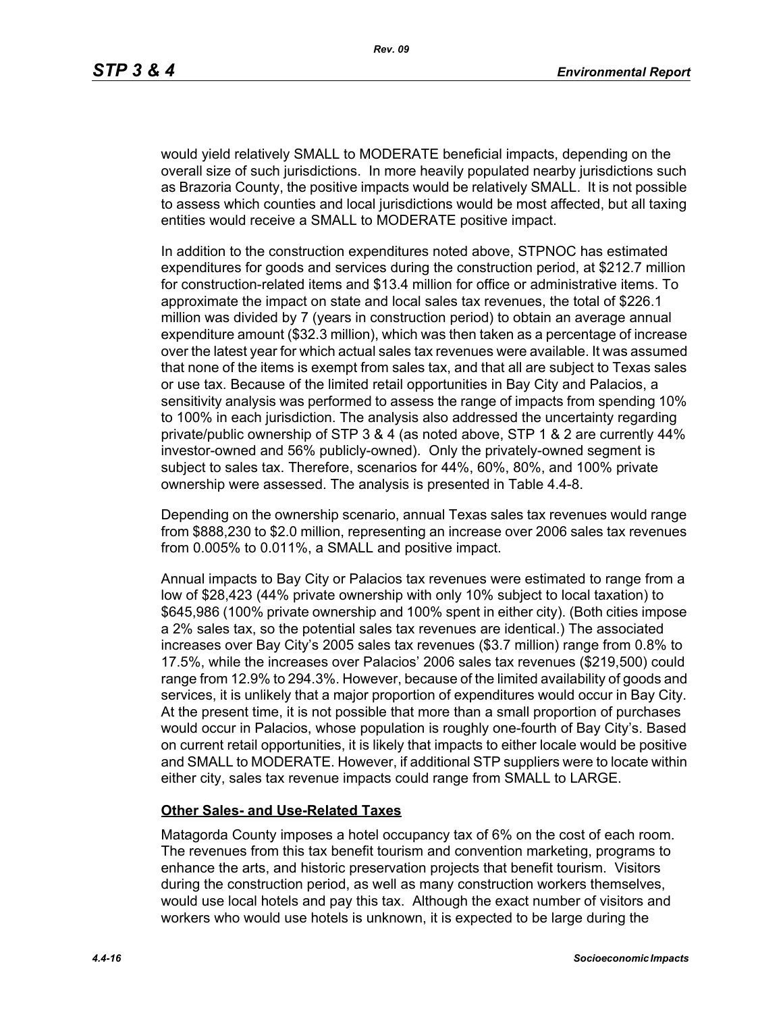would yield relatively SMALL to MODERATE beneficial impacts, depending on the overall size of such jurisdictions. In more heavily populated nearby jurisdictions such as Brazoria County, the positive impacts would be relatively SMALL. It is not possible to assess which counties and local jurisdictions would be most affected, but all taxing entities would receive a SMALL to MODERATE positive impact.

In addition to the construction expenditures noted above, STPNOC has estimated expenditures for goods and services during the construction period, at \$212.7 million for construction-related items and \$13.4 million for office or administrative items. To approximate the impact on state and local sales tax revenues, the total of \$226.1 million was divided by 7 (years in construction period) to obtain an average annual expenditure amount (\$32.3 million), which was then taken as a percentage of increase over the latest year for which actual sales tax revenues were available. It was assumed that none of the items is exempt from sales tax, and that all are subject to Texas sales or use tax. Because of the limited retail opportunities in Bay City and Palacios, a sensitivity analysis was performed to assess the range of impacts from spending 10% to 100% in each jurisdiction. The analysis also addressed the uncertainty regarding private/public ownership of STP 3 & 4 (as noted above, STP 1 & 2 are currently 44% investor-owned and 56% publicly-owned). Only the privately-owned segment is subject to sales tax. Therefore, scenarios for 44%, 60%, 80%, and 100% private ownership were assessed. The analysis is presented in Table 4.4-8.

Depending on the ownership scenario, annual Texas sales tax revenues would range from \$888,230 to \$2.0 million, representing an increase over 2006 sales tax revenues from 0.005% to 0.011%, a SMALL and positive impact.

Annual impacts to Bay City or Palacios tax revenues were estimated to range from a low of \$28,423 (44% private ownership with only 10% subject to local taxation) to \$645,986 (100% private ownership and 100% spent in either city). (Both cities impose a 2% sales tax, so the potential sales tax revenues are identical.) The associated increases over Bay City's 2005 sales tax revenues (\$3.7 million) range from 0.8% to 17.5%, while the increases over Palacios' 2006 sales tax revenues (\$219,500) could range from 12.9% to 294.3%. However, because of the limited availability of goods and services, it is unlikely that a major proportion of expenditures would occur in Bay City. At the present time, it is not possible that more than a small proportion of purchases would occur in Palacios, whose population is roughly one-fourth of Bay City's. Based on current retail opportunities, it is likely that impacts to either locale would be positive and SMALL to MODERATE. However, if additional STP suppliers were to locate within either city, sales tax revenue impacts could range from SMALL to LARGE.

#### **Other Sales- and Use-Related Taxes**

Matagorda County imposes a hotel occupancy tax of 6% on the cost of each room. The revenues from this tax benefit tourism and convention marketing, programs to enhance the arts, and historic preservation projects that benefit tourism. Visitors during the construction period, as well as many construction workers themselves, would use local hotels and pay this tax. Although the exact number of visitors and workers who would use hotels is unknown, it is expected to be large during the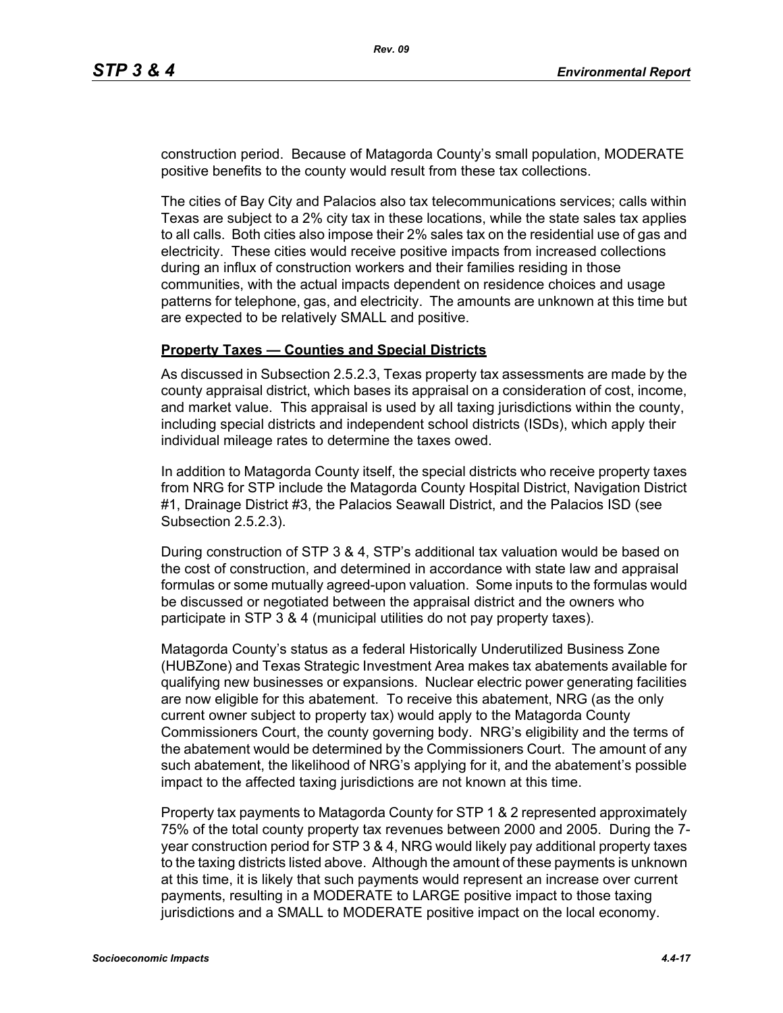construction period. Because of Matagorda County's small population, MODERATE positive benefits to the county would result from these tax collections.

The cities of Bay City and Palacios also tax telecommunications services; calls within Texas are subject to a 2% city tax in these locations, while the state sales tax applies to all calls. Both cities also impose their 2% sales tax on the residential use of gas and electricity. These cities would receive positive impacts from increased collections during an influx of construction workers and their families residing in those communities, with the actual impacts dependent on residence choices and usage patterns for telephone, gas, and electricity. The amounts are unknown at this time but are expected to be relatively SMALL and positive.

#### **Property Taxes — Counties and Special Districts**

As discussed in Subsection 2.5.2.3, Texas property tax assessments are made by the county appraisal district, which bases its appraisal on a consideration of cost, income, and market value. This appraisal is used by all taxing jurisdictions within the county, including special districts and independent school districts (ISDs), which apply their individual mileage rates to determine the taxes owed.

In addition to Matagorda County itself, the special districts who receive property taxes from NRG for STP include the Matagorda County Hospital District, Navigation District #1, Drainage District #3, the Palacios Seawall District, and the Palacios ISD (see Subsection 2.5.2.3).

During construction of STP 3 & 4, STP's additional tax valuation would be based on the cost of construction, and determined in accordance with state law and appraisal formulas or some mutually agreed-upon valuation. Some inputs to the formulas would be discussed or negotiated between the appraisal district and the owners who participate in STP 3 & 4 (municipal utilities do not pay property taxes).

Matagorda County's status as a federal Historically Underutilized Business Zone (HUBZone) and Texas Strategic Investment Area makes tax abatements available for qualifying new businesses or expansions. Nuclear electric power generating facilities are now eligible for this abatement. To receive this abatement, NRG (as the only current owner subject to property tax) would apply to the Matagorda County Commissioners Court, the county governing body. NRG's eligibility and the terms of the abatement would be determined by the Commissioners Court. The amount of any such abatement, the likelihood of NRG's applying for it, and the abatement's possible impact to the affected taxing jurisdictions are not known at this time.

Property tax payments to Matagorda County for STP 1 & 2 represented approximately 75% of the total county property tax revenues between 2000 and 2005. During the 7 year construction period for STP 3 & 4, NRG would likely pay additional property taxes to the taxing districts listed above. Although the amount of these payments is unknown at this time, it is likely that such payments would represent an increase over current payments, resulting in a MODERATE to LARGE positive impact to those taxing jurisdictions and a SMALL to MODERATE positive impact on the local economy.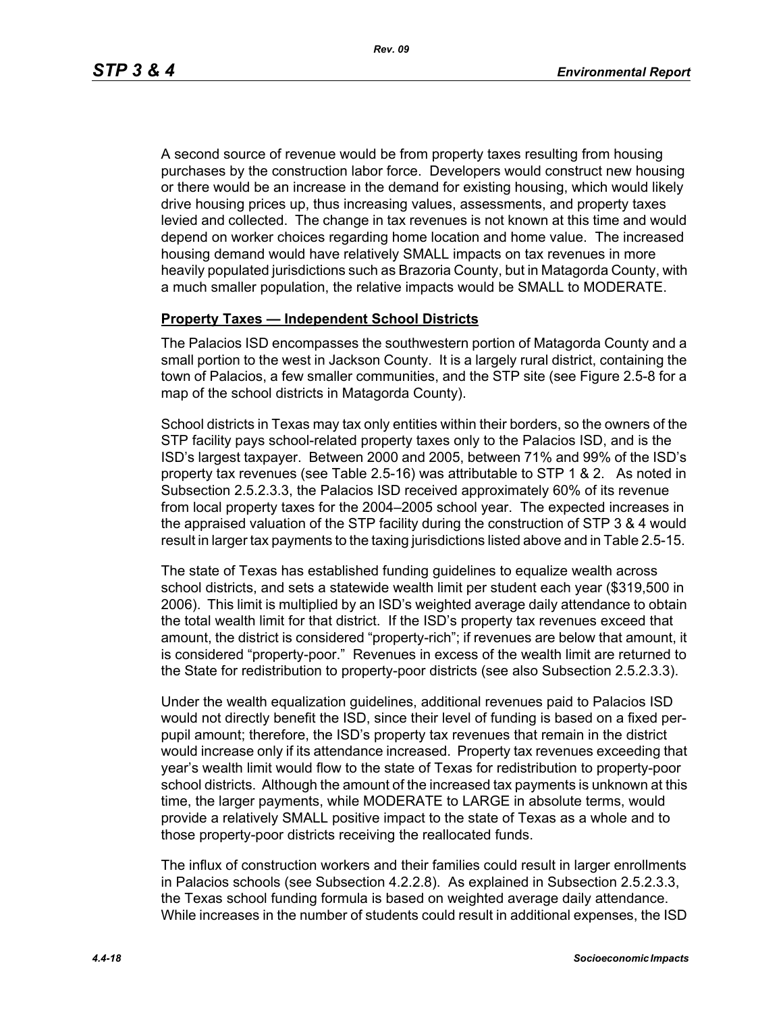A second source of revenue would be from property taxes resulting from housing purchases by the construction labor force. Developers would construct new housing or there would be an increase in the demand for existing housing, which would likely drive housing prices up, thus increasing values, assessments, and property taxes levied and collected. The change in tax revenues is not known at this time and would depend on worker choices regarding home location and home value. The increased housing demand would have relatively SMALL impacts on tax revenues in more heavily populated jurisdictions such as Brazoria County, but in Matagorda County, with a much smaller population, the relative impacts would be SMALL to MODERATE.

#### **Property Taxes — Independent School Districts**

The Palacios ISD encompasses the southwestern portion of Matagorda County and a small portion to the west in Jackson County. It is a largely rural district, containing the town of Palacios, a few smaller communities, and the STP site (see Figure 2.5-8 for a map of the school districts in Matagorda County).

School districts in Texas may tax only entities within their borders, so the owners of the STP facility pays school-related property taxes only to the Palacios ISD, and is the ISD's largest taxpayer. Between 2000 and 2005, between 71% and 99% of the ISD's property tax revenues (see Table 2.5-16) was attributable to STP 1 & 2. As noted in Subsection 2.5.2.3.3, the Palacios ISD received approximately 60% of its revenue from local property taxes for the 2004–2005 school year. The expected increases in the appraised valuation of the STP facility during the construction of STP 3 & 4 would result in larger tax payments to the taxing jurisdictions listed above and in Table 2.5-15.

The state of Texas has established funding guidelines to equalize wealth across school districts, and sets a statewide wealth limit per student each year (\$319,500 in 2006). This limit is multiplied by an ISD's weighted average daily attendance to obtain the total wealth limit for that district. If the ISD's property tax revenues exceed that amount, the district is considered "property-rich"; if revenues are below that amount, it is considered "property-poor." Revenues in excess of the wealth limit are returned to the State for redistribution to property-poor districts (see also Subsection 2.5.2.3.3).

Under the wealth equalization guidelines, additional revenues paid to Palacios ISD would not directly benefit the ISD, since their level of funding is based on a fixed perpupil amount; therefore, the ISD's property tax revenues that remain in the district would increase only if its attendance increased. Property tax revenues exceeding that year's wealth limit would flow to the state of Texas for redistribution to property-poor school districts. Although the amount of the increased tax payments is unknown at this time, the larger payments, while MODERATE to LARGE in absolute terms, would provide a relatively SMALL positive impact to the state of Texas as a whole and to those property-poor districts receiving the reallocated funds.

The influx of construction workers and their families could result in larger enrollments in Palacios schools (see Subsection 4.2.2.8). As explained in Subsection 2.5.2.3.3, the Texas school funding formula is based on weighted average daily attendance. While increases in the number of students could result in additional expenses, the ISD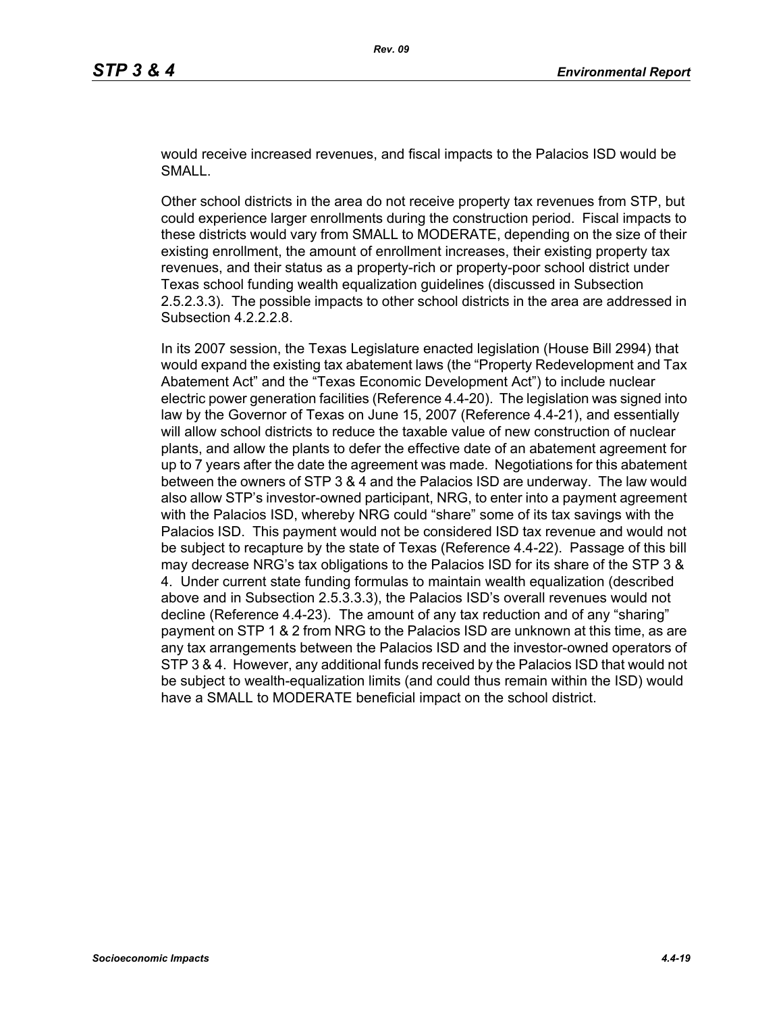would receive increased revenues, and fiscal impacts to the Palacios ISD would be SMALL.

Other school districts in the area do not receive property tax revenues from STP, but could experience larger enrollments during the construction period. Fiscal impacts to these districts would vary from SMALL to MODERATE, depending on the size of their existing enrollment, the amount of enrollment increases, their existing property tax revenues, and their status as a property-rich or property-poor school district under Texas school funding wealth equalization guidelines (discussed in Subsection 2.5.2.3.3). The possible impacts to other school districts in the area are addressed in Subsection 4.2.2.2.8.

In its 2007 session, the Texas Legislature enacted legislation (House Bill 2994) that would expand the existing tax abatement laws (the "Property Redevelopment and Tax Abatement Act" and the "Texas Economic Development Act") to include nuclear electric power generation facilities (Reference 4.4-20). The legislation was signed into law by the Governor of Texas on June 15, 2007 (Reference 4.4-21), and essentially will allow school districts to reduce the taxable value of new construction of nuclear plants, and allow the plants to defer the effective date of an abatement agreement for up to 7 years after the date the agreement was made. Negotiations for this abatement between the owners of STP 3 & 4 and the Palacios ISD are underway. The law would also allow STP's investor-owned participant, NRG, to enter into a payment agreement with the Palacios ISD, whereby NRG could "share" some of its tax savings with the Palacios ISD. This payment would not be considered ISD tax revenue and would not be subject to recapture by the state of Texas (Reference 4.4-22). Passage of this bill may decrease NRG's tax obligations to the Palacios ISD for its share of the STP 3 & 4. Under current state funding formulas to maintain wealth equalization (described above and in Subsection 2.5.3.3.3), the Palacios ISD's overall revenues would not decline (Reference 4.4-23). The amount of any tax reduction and of any "sharing" payment on STP 1 & 2 from NRG to the Palacios ISD are unknown at this time, as are any tax arrangements between the Palacios ISD and the investor-owned operators of STP 3 & 4. However, any additional funds received by the Palacios ISD that would not be subject to wealth-equalization limits (and could thus remain within the ISD) would have a SMALL to MODERATE beneficial impact on the school district.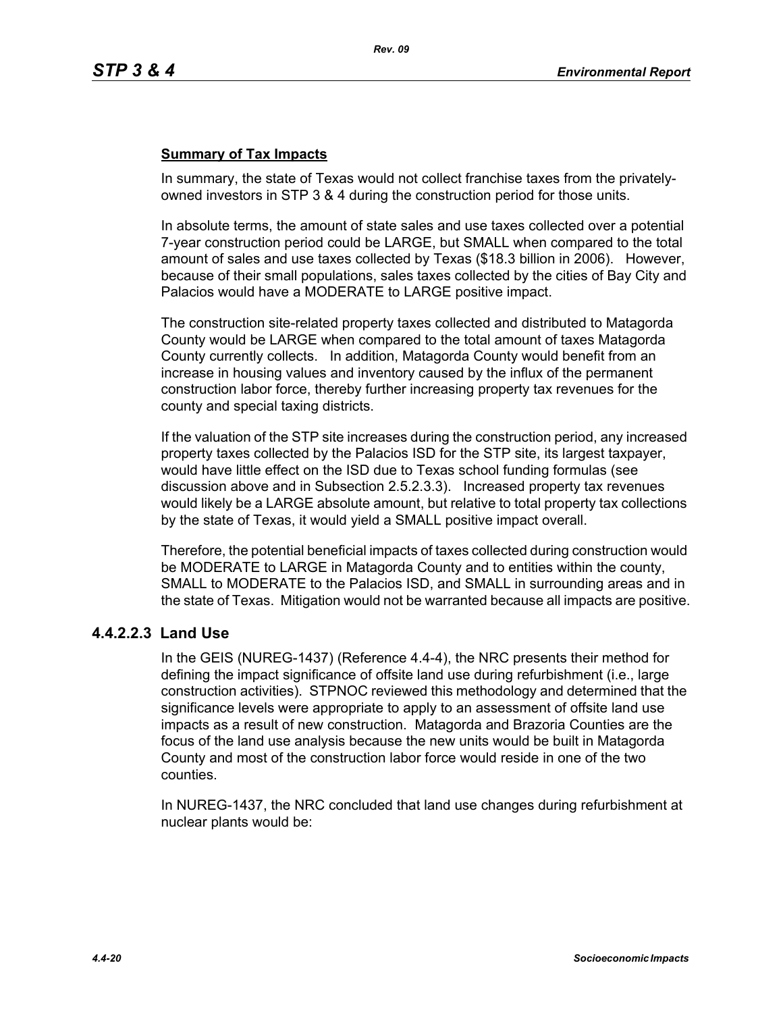## **Summary of Tax Impacts**

In summary, the state of Texas would not collect franchise taxes from the privatelyowned investors in STP 3 & 4 during the construction period for those units.

In absolute terms, the amount of state sales and use taxes collected over a potential 7-year construction period could be LARGE, but SMALL when compared to the total amount of sales and use taxes collected by Texas (\$18.3 billion in 2006). However, because of their small populations, sales taxes collected by the cities of Bay City and Palacios would have a MODERATE to LARGE positive impact.

The construction site-related property taxes collected and distributed to Matagorda County would be LARGE when compared to the total amount of taxes Matagorda County currently collects. In addition, Matagorda County would benefit from an increase in housing values and inventory caused by the influx of the permanent construction labor force, thereby further increasing property tax revenues for the county and special taxing districts.

If the valuation of the STP site increases during the construction period, any increased property taxes collected by the Palacios ISD for the STP site, its largest taxpayer, would have little effect on the ISD due to Texas school funding formulas (see discussion above and in Subsection 2.5.2.3.3). Increased property tax revenues would likely be a LARGE absolute amount, but relative to total property tax collections by the state of Texas, it would yield a SMALL positive impact overall.

Therefore, the potential beneficial impacts of taxes collected during construction would be MODERATE to LARGE in Matagorda County and to entities within the county, SMALL to MODERATE to the Palacios ISD, and SMALL in surrounding areas and in the state of Texas. Mitigation would not be warranted because all impacts are positive.

## **4.4.2.2.3 Land Use**

In the GEIS (NUREG-1437) (Reference 4.4-4), the NRC presents their method for defining the impact significance of offsite land use during refurbishment (i.e., large construction activities). STPNOC reviewed this methodology and determined that the significance levels were appropriate to apply to an assessment of offsite land use impacts as a result of new construction. Matagorda and Brazoria Counties are the focus of the land use analysis because the new units would be built in Matagorda County and most of the construction labor force would reside in one of the two counties.

In NUREG-1437, the NRC concluded that land use changes during refurbishment at nuclear plants would be: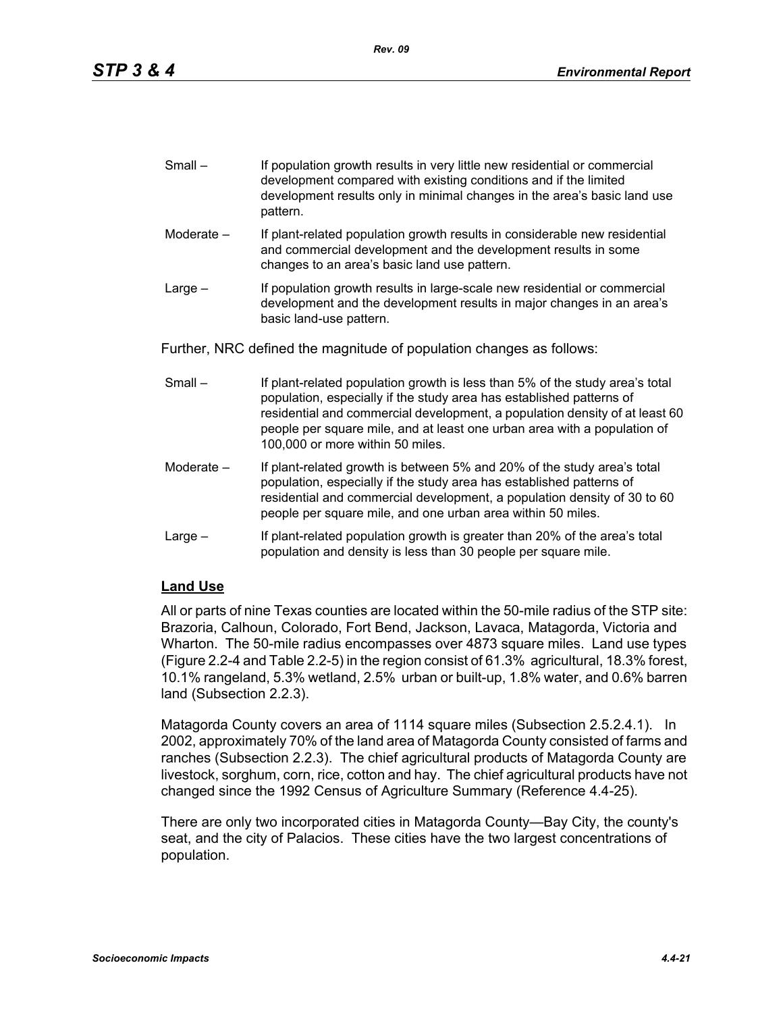| $Small -$ | If population growth results in very little new residential or commercial |
|-----------|---------------------------------------------------------------------------|
|           | development compared with existing conditions and if the limited          |
|           | development results only in minimal changes in the area's basic land use  |
|           | pattern.                                                                  |

- Moderate If plant-related population growth results in considerable new residential and commercial development and the development results in some changes to an area's basic land use pattern.
- Large If population growth results in large-scale new residential or commercial development and the development results in major changes in an area's basic land-use pattern.

Further, NRC defined the magnitude of population changes as follows:

- Small If plant-related population growth is less than 5% of the study area's total population, especially if the study area has established patterns of residential and commercial development, a population density of at least 60 people per square mile, and at least one urban area with a population of 100,000 or more within 50 miles.
- Moderate If plant-related growth is between 5% and 20% of the study area's total population, especially if the study area has established patterns of residential and commercial development, a population density of 30 to 60 people per square mile, and one urban area within 50 miles.
- Large If plant-related population growth is greater than 20% of the area's total population and density is less than 30 people per square mile.

## **Land Use**

All or parts of nine Texas counties are located within the 50-mile radius of the STP site: Brazoria, Calhoun, Colorado, Fort Bend, Jackson, Lavaca, Matagorda, Victoria and Wharton. The 50-mile radius encompasses over 4873 square miles. Land use types (Figure 2.2-4 and Table 2.2-5) in the region consist of 61.3% agricultural, 18.3% forest, 10.1% rangeland, 5.3% wetland, 2.5% urban or built-up, 1.8% water, and 0.6% barren land (Subsection 2.2.3).

Matagorda County covers an area of 1114 square miles (Subsection 2.5.2.4.1). In 2002, approximately 70% of the land area of Matagorda County consisted of farms and ranches (Subsection 2.2.3). The chief agricultural products of Matagorda County are livestock, sorghum, corn, rice, cotton and hay. The chief agricultural products have not changed since the 1992 Census of Agriculture Summary (Reference 4.4-25).

There are only two incorporated cities in Matagorda County—Bay City, the county's seat, and the city of Palacios. These cities have the two largest concentrations of population.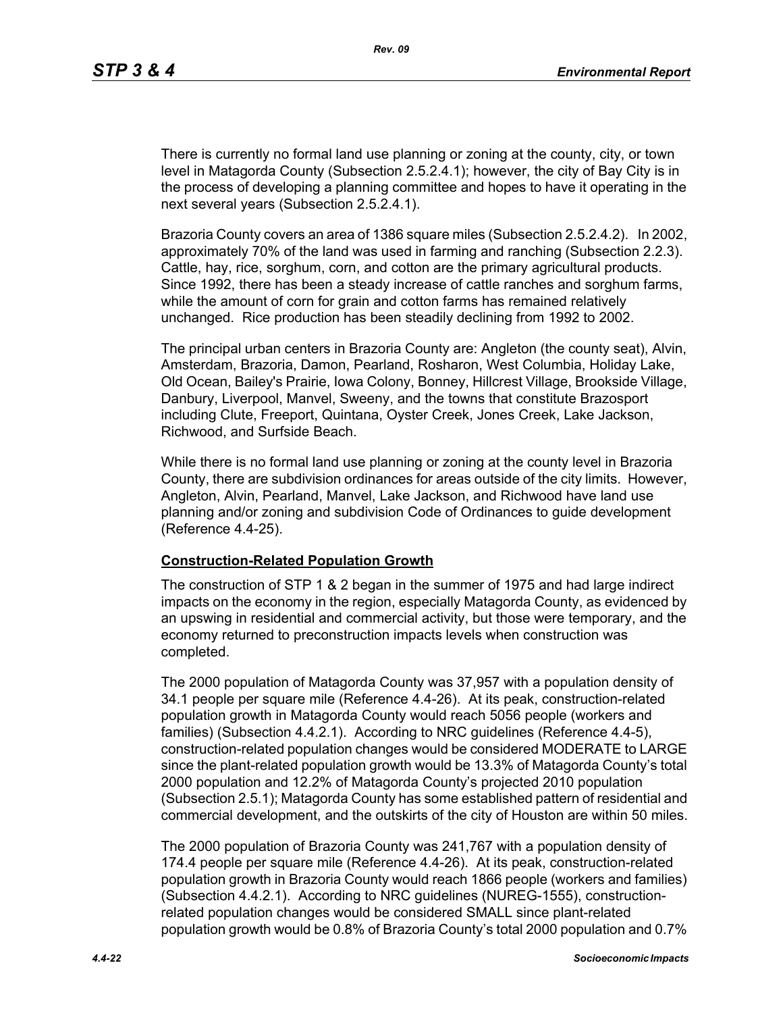There is currently no formal land use planning or zoning at the county, city, or town level in Matagorda County (Subsection 2.5.2.4.1); however, the city of Bay City is in the process of developing a planning committee and hopes to have it operating in the next several years (Subsection 2.5.2.4.1).

Brazoria County covers an area of 1386 square miles (Subsection 2.5.2.4.2). In 2002, approximately 70% of the land was used in farming and ranching (Subsection 2.2.3). Cattle, hay, rice, sorghum, corn, and cotton are the primary agricultural products. Since 1992, there has been a steady increase of cattle ranches and sorghum farms, while the amount of corn for grain and cotton farms has remained relatively unchanged. Rice production has been steadily declining from 1992 to 2002.

The principal urban centers in Brazoria County are: Angleton (the county seat), Alvin, Amsterdam, Brazoria, Damon, Pearland, Rosharon, West Columbia, Holiday Lake, Old Ocean, Bailey's Prairie, Iowa Colony, Bonney, Hillcrest Village, Brookside Village, Danbury, Liverpool, Manvel, Sweeny, and the towns that constitute Brazosport including Clute, Freeport, Quintana, Oyster Creek, Jones Creek, Lake Jackson, Richwood, and Surfside Beach.

While there is no formal land use planning or zoning at the county level in Brazoria County, there are subdivision ordinances for areas outside of the city limits. However, Angleton, Alvin, Pearland, Manvel, Lake Jackson, and Richwood have land use planning and/or zoning and subdivision Code of Ordinances to guide development (Reference 4.4-25).

#### **Construction-Related Population Growth**

The construction of STP 1 & 2 began in the summer of 1975 and had large indirect impacts on the economy in the region, especially Matagorda County, as evidenced by an upswing in residential and commercial activity, but those were temporary, and the economy returned to preconstruction impacts levels when construction was completed.

The 2000 population of Matagorda County was 37,957 with a population density of 34.1 people per square mile (Reference 4.4-26). At its peak, construction-related population growth in Matagorda County would reach 5056 people (workers and families) (Subsection 4.4.2.1). According to NRC guidelines (Reference 4.4-5), construction-related population changes would be considered MODERATE to LARGE since the plant-related population growth would be 13.3% of Matagorda County's total 2000 population and 12.2% of Matagorda County's projected 2010 population (Subsection 2.5.1); Matagorda County has some established pattern of residential and commercial development, and the outskirts of the city of Houston are within 50 miles.

The 2000 population of Brazoria County was 241,767 with a population density of 174.4 people per square mile (Reference 4.4-26). At its peak, construction-related population growth in Brazoria County would reach 1866 people (workers and families) (Subsection 4.4.2.1). According to NRC guidelines (NUREG-1555), constructionrelated population changes would be considered SMALL since plant-related population growth would be 0.8% of Brazoria County's total 2000 population and 0.7%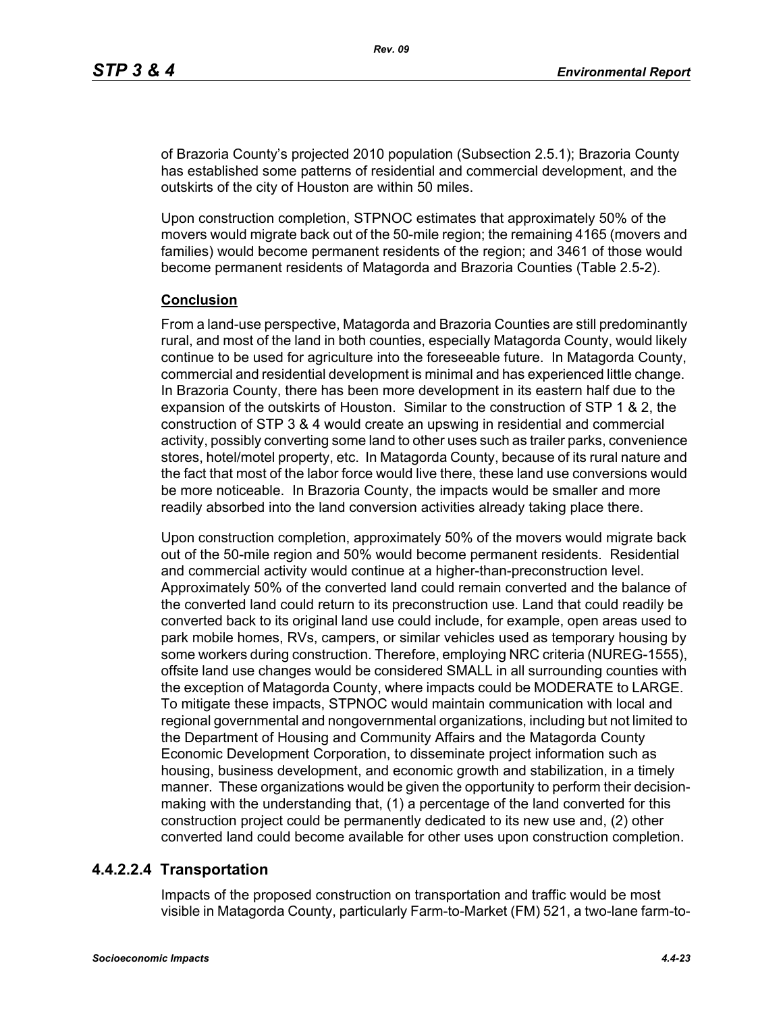of Brazoria County's projected 2010 population (Subsection 2.5.1); Brazoria County has established some patterns of residential and commercial development, and the outskirts of the city of Houston are within 50 miles.

Upon construction completion, STPNOC estimates that approximately 50% of the movers would migrate back out of the 50-mile region; the remaining 4165 (movers and families) would become permanent residents of the region; and 3461 of those would become permanent residents of Matagorda and Brazoria Counties (Table 2.5-2).

## **Conclusion**

From a land-use perspective, Matagorda and Brazoria Counties are still predominantly rural, and most of the land in both counties, especially Matagorda County, would likely continue to be used for agriculture into the foreseeable future. In Matagorda County, commercial and residential development is minimal and has experienced little change. In Brazoria County, there has been more development in its eastern half due to the expansion of the outskirts of Houston. Similar to the construction of STP 1 & 2, the construction of STP 3 & 4 would create an upswing in residential and commercial activity, possibly converting some land to other uses such as trailer parks, convenience stores, hotel/motel property, etc. In Matagorda County, because of its rural nature and the fact that most of the labor force would live there, these land use conversions would be more noticeable. In Brazoria County, the impacts would be smaller and more readily absorbed into the land conversion activities already taking place there.

Upon construction completion, approximately 50% of the movers would migrate back out of the 50-mile region and 50% would become permanent residents. Residential and commercial activity would continue at a higher-than-preconstruction level. Approximately 50% of the converted land could remain converted and the balance of the converted land could return to its preconstruction use. Land that could readily be converted back to its original land use could include, for example, open areas used to park mobile homes, RVs, campers, or similar vehicles used as temporary housing by some workers during construction. Therefore, employing NRC criteria (NUREG-1555), offsite land use changes would be considered SMALL in all surrounding counties with the exception of Matagorda County, where impacts could be MODERATE to LARGE. To mitigate these impacts, STPNOC would maintain communication with local and regional governmental and nongovernmental organizations, including but not limited to the Department of Housing and Community Affairs and the Matagorda County Economic Development Corporation, to disseminate project information such as housing, business development, and economic growth and stabilization, in a timely manner. These organizations would be given the opportunity to perform their decisionmaking with the understanding that, (1) a percentage of the land converted for this construction project could be permanently dedicated to its new use and, (2) other converted land could become available for other uses upon construction completion.

## **4.4.2.2.4 Transportation**

Impacts of the proposed construction on transportation and traffic would be most visible in Matagorda County, particularly Farm-to-Market (FM) 521, a two-lane farm-to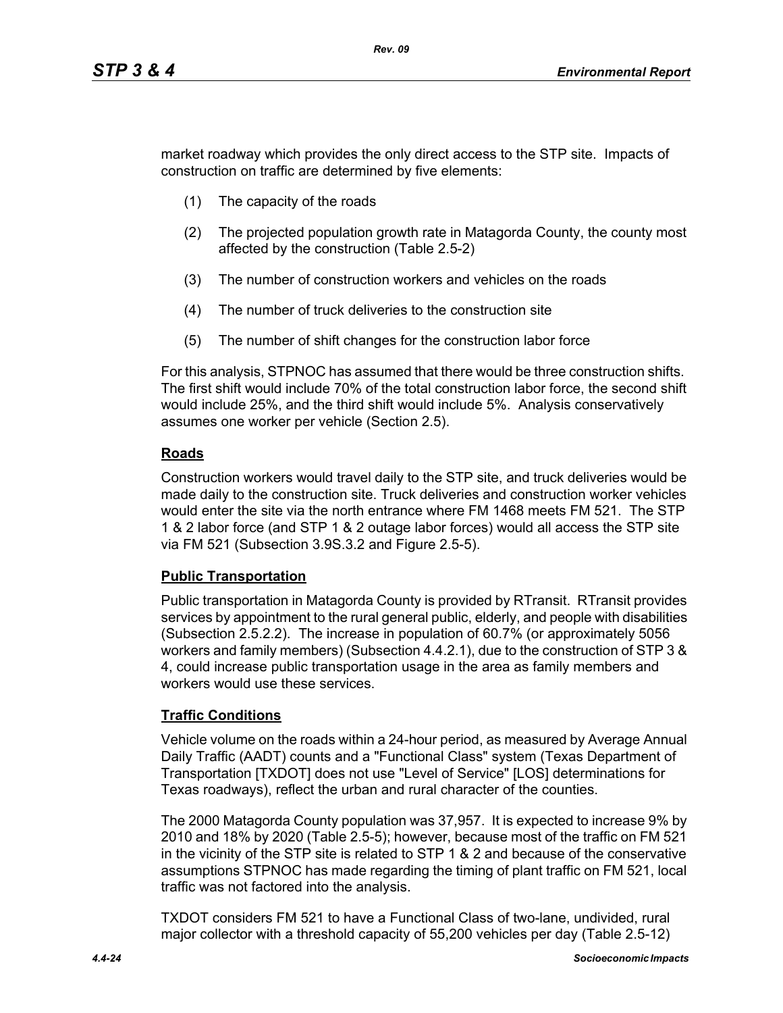market roadway which provides the only direct access to the STP site. Impacts of construction on traffic are determined by five elements:

- (1) The capacity of the roads
- (2) The projected population growth rate in Matagorda County, the county most affected by the construction (Table 2.5-2)
- (3) The number of construction workers and vehicles on the roads
- (4) The number of truck deliveries to the construction site
- (5) The number of shift changes for the construction labor force

For this analysis, STPNOC has assumed that there would be three construction shifts. The first shift would include 70% of the total construction labor force, the second shift would include 25%, and the third shift would include 5%. Analysis conservatively assumes one worker per vehicle (Section 2.5).

## **Roads**

Construction workers would travel daily to the STP site, and truck deliveries would be made daily to the construction site. Truck deliveries and construction worker vehicles would enter the site via the north entrance where FM 1468 meets FM 521. The STP 1 & 2 labor force (and STP 1 & 2 outage labor forces) would all access the STP site via FM 521 (Subsection 3.9S.3.2 and Figure 2.5-5).

## **Public Transportation**

Public transportation in Matagorda County is provided by RTransit. RTransit provides services by appointment to the rural general public, elderly, and people with disabilities (Subsection 2.5.2.2). The increase in population of 60.7% (or approximately 5056 workers and family members) (Subsection 4.4.2.1), due to the construction of STP 3 & 4, could increase public transportation usage in the area as family members and workers would use these services.

## **Traffic Conditions**

Vehicle volume on the roads within a 24-hour period, as measured by Average Annual Daily Traffic (AADT) counts and a "Functional Class" system (Texas Department of Transportation [TXDOT] does not use "Level of Service" [LOS] determinations for Texas roadways), reflect the urban and rural character of the counties.

The 2000 Matagorda County population was 37,957. It is expected to increase 9% by 2010 and 18% by 2020 (Table 2.5-5); however, because most of the traffic on FM 521 in the vicinity of the STP site is related to STP 1 & 2 and because of the conservative assumptions STPNOC has made regarding the timing of plant traffic on FM 521, local traffic was not factored into the analysis.

TXDOT considers FM 521 to have a Functional Class of two-lane, undivided, rural major collector with a threshold capacity of 55,200 vehicles per day (Table 2.5-12)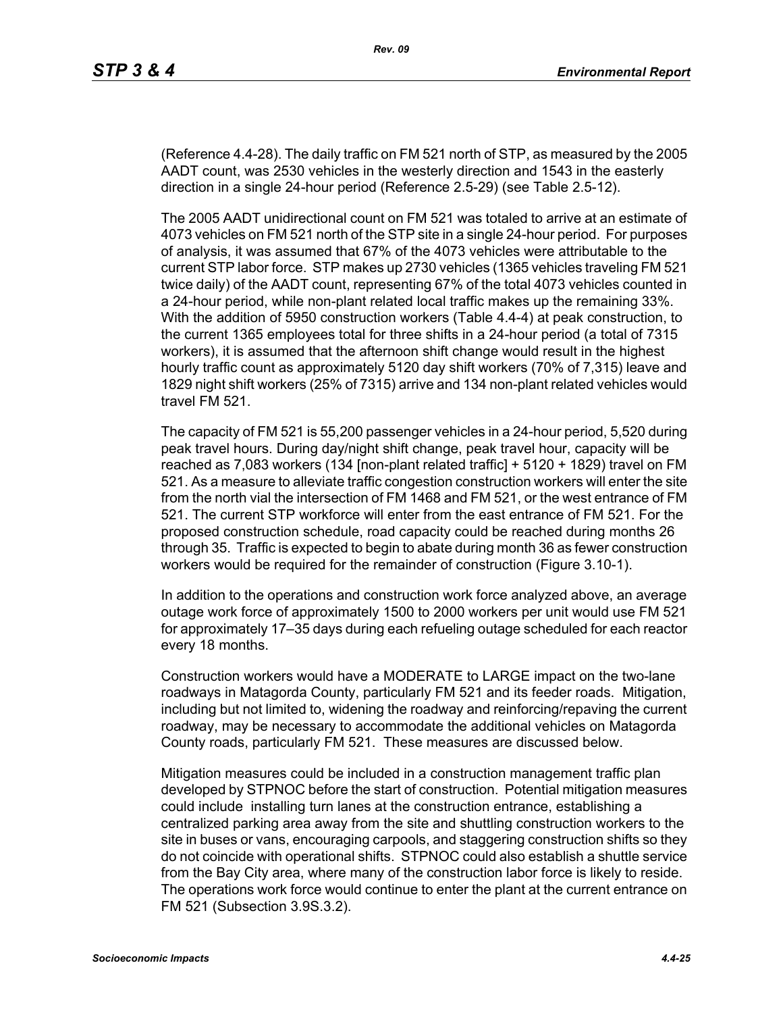(Reference 4.4-28). The daily traffic on FM 521 north of STP, as measured by the 2005 AADT count, was 2530 vehicles in the westerly direction and 1543 in the easterly direction in a single 24-hour period (Reference 2.5-29) (see Table 2.5-12).

The 2005 AADT unidirectional count on FM 521 was totaled to arrive at an estimate of 4073 vehicles on FM 521 north of the STP site in a single 24-hour period. For purposes of analysis, it was assumed that 67% of the 4073 vehicles were attributable to the current STP labor force. STP makes up 2730 vehicles (1365 vehicles traveling FM 521 twice daily) of the AADT count, representing 67% of the total 4073 vehicles counted in a 24-hour period, while non-plant related local traffic makes up the remaining 33%. With the addition of 5950 construction workers (Table 4.4-4) at peak construction, to the current 1365 employees total for three shifts in a 24-hour period (a total of 7315 workers), it is assumed that the afternoon shift change would result in the highest hourly traffic count as approximately 5120 day shift workers (70% of 7,315) leave and 1829 night shift workers (25% of 7315) arrive and 134 non-plant related vehicles would travel FM 521.

The capacity of FM 521 is 55,200 passenger vehicles in a 24-hour period, 5,520 during peak travel hours. During day/night shift change, peak travel hour, capacity will be reached as 7,083 workers (134 [non-plant related traffic] + 5120 + 1829) travel on FM 521. As a measure to alleviate traffic congestion construction workers will enter the site from the north vial the intersection of FM 1468 and FM 521, or the west entrance of FM 521. The current STP workforce will enter from the east entrance of FM 521. For the proposed construction schedule, road capacity could be reached during months 26 through 35. Traffic is expected to begin to abate during month 36 as fewer construction workers would be required for the remainder of construction (Figure 3.10-1).

In addition to the operations and construction work force analyzed above, an average outage work force of approximately 1500 to 2000 workers per unit would use FM 521 for approximately 17–35 days during each refueling outage scheduled for each reactor every 18 months.

Construction workers would have a MODERATE to LARGE impact on the two-lane roadways in Matagorda County, particularly FM 521 and its feeder roads. Mitigation, including but not limited to, widening the roadway and reinforcing/repaving the current roadway, may be necessary to accommodate the additional vehicles on Matagorda County roads, particularly FM 521. These measures are discussed below.

Mitigation measures could be included in a construction management traffic plan developed by STPNOC before the start of construction. Potential mitigation measures could include installing turn lanes at the construction entrance, establishing a centralized parking area away from the site and shuttling construction workers to the site in buses or vans, encouraging carpools, and staggering construction shifts so they do not coincide with operational shifts. STPNOC could also establish a shuttle service from the Bay City area, where many of the construction labor force is likely to reside. The operations work force would continue to enter the plant at the current entrance on FM 521 (Subsection 3.9S.3.2).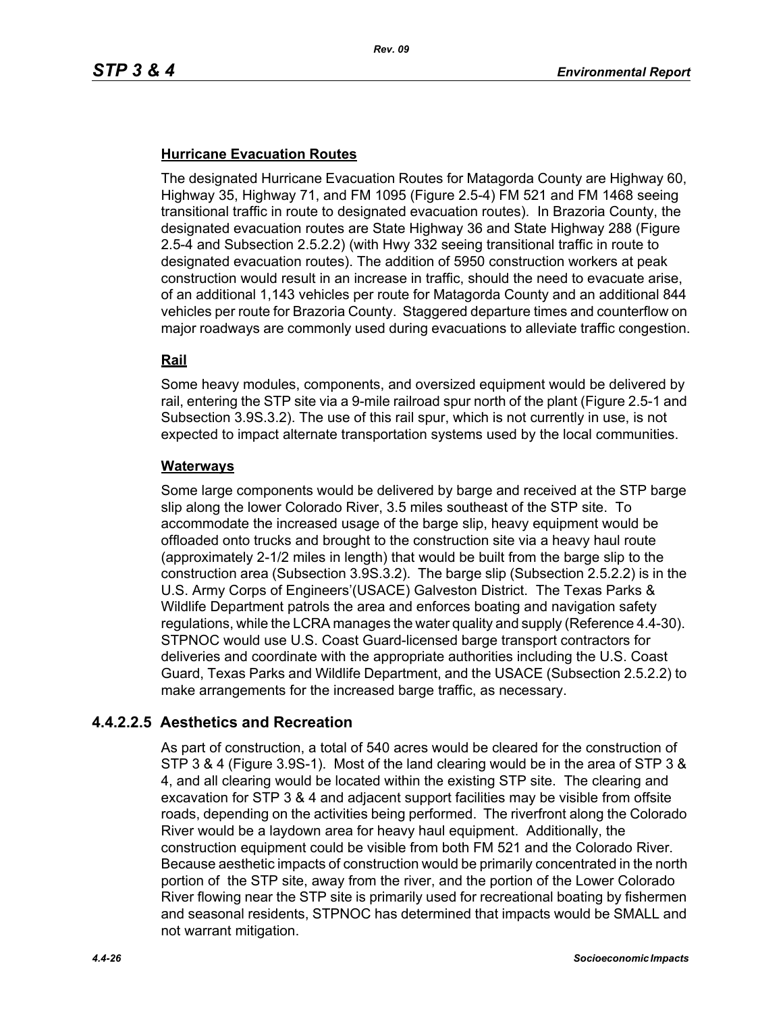## **Hurricane Evacuation Routes**

The designated Hurricane Evacuation Routes for Matagorda County are Highway 60, Highway 35, Highway 71, and FM 1095 (Figure 2.5-4) FM 521 and FM 1468 seeing transitional traffic in route to designated evacuation routes). In Brazoria County, the designated evacuation routes are State Highway 36 and State Highway 288 (Figure 2.5-4 and Subsection 2.5.2.2) (with Hwy 332 seeing transitional traffic in route to designated evacuation routes). The addition of 5950 construction workers at peak construction would result in an increase in traffic, should the need to evacuate arise, of an additional 1,143 vehicles per route for Matagorda County and an additional 844 vehicles per route for Brazoria County. Staggered departure times and counterflow on major roadways are commonly used during evacuations to alleviate traffic congestion.

## **Rail**

Some heavy modules, components, and oversized equipment would be delivered by rail, entering the STP site via a 9-mile railroad spur north of the plant (Figure 2.5-1 and Subsection 3.9S.3.2). The use of this rail spur, which is not currently in use, is not expected to impact alternate transportation systems used by the local communities.

#### **Waterways**

Some large components would be delivered by barge and received at the STP barge slip along the lower Colorado River, 3.5 miles southeast of the STP site. To accommodate the increased usage of the barge slip, heavy equipment would be offloaded onto trucks and brought to the construction site via a heavy haul route (approximately 2-1/2 miles in length) that would be built from the barge slip to the construction area (Subsection 3.9S.3.2). The barge slip (Subsection 2.5.2.2) is in the U.S. Army Corps of Engineers'(USACE) Galveston District. The Texas Parks & Wildlife Department patrols the area and enforces boating and navigation safety regulations, while the LCRA manages the water quality and supply (Reference 4.4-30). STPNOC would use U.S. Coast Guard-licensed barge transport contractors for deliveries and coordinate with the appropriate authorities including the U.S. Coast Guard, Texas Parks and Wildlife Department, and the USACE (Subsection 2.5.2.2) to make arrangements for the increased barge traffic, as necessary.

## **4.4.2.2.5 Aesthetics and Recreation**

As part of construction, a total of 540 acres would be cleared for the construction of STP 3 & 4 (Figure 3.9S-1). Most of the land clearing would be in the area of STP 3 & 4, and all clearing would be located within the existing STP site. The clearing and excavation for STP 3 & 4 and adjacent support facilities may be visible from offsite roads, depending on the activities being performed. The riverfront along the Colorado River would be a laydown area for heavy haul equipment. Additionally, the construction equipment could be visible from both FM 521 and the Colorado River. Because aesthetic impacts of construction would be primarily concentrated in the north portion of the STP site, away from the river, and the portion of the Lower Colorado River flowing near the STP site is primarily used for recreational boating by fishermen and seasonal residents, STPNOC has determined that impacts would be SMALL and not warrant mitigation.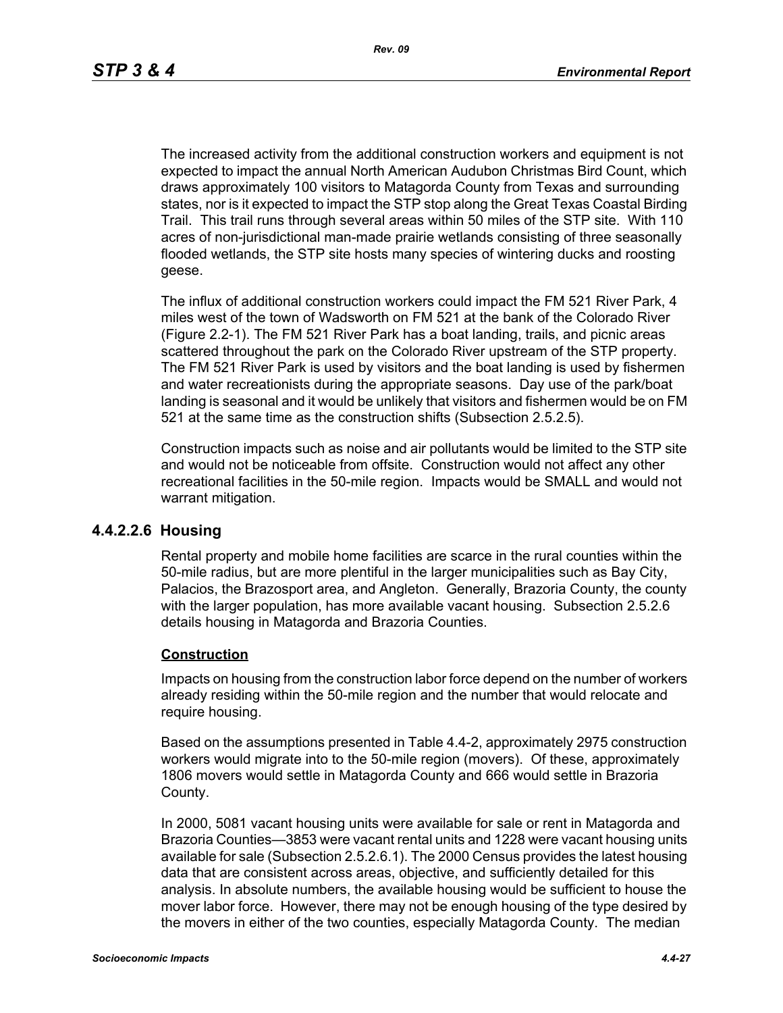The increased activity from the additional construction workers and equipment is not expected to impact the annual North American Audubon Christmas Bird Count, which draws approximately 100 visitors to Matagorda County from Texas and surrounding states, nor is it expected to impact the STP stop along the Great Texas Coastal Birding Trail. This trail runs through several areas within 50 miles of the STP site. With 110 acres of non-jurisdictional man-made prairie wetlands consisting of three seasonally flooded wetlands, the STP site hosts many species of wintering ducks and roosting geese.

The influx of additional construction workers could impact the FM 521 River Park, 4 miles west of the town of Wadsworth on FM 521 at the bank of the Colorado River (Figure 2.2-1). The FM 521 River Park has a boat landing, trails, and picnic areas scattered throughout the park on the Colorado River upstream of the STP property. The FM 521 River Park is used by visitors and the boat landing is used by fishermen and water recreationists during the appropriate seasons. Day use of the park/boat landing is seasonal and it would be unlikely that visitors and fishermen would be on FM 521 at the same time as the construction shifts (Subsection 2.5.2.5).

Construction impacts such as noise and air pollutants would be limited to the STP site and would not be noticeable from offsite. Construction would not affect any other recreational facilities in the 50-mile region. Impacts would be SMALL and would not warrant mitigation.

#### **4.4.2.2.6 Housing**

Rental property and mobile home facilities are scarce in the rural counties within the 50-mile radius, but are more plentiful in the larger municipalities such as Bay City, Palacios, the Brazosport area, and Angleton. Generally, Brazoria County, the county with the larger population, has more available vacant housing. Subsection 2.5.2.6 details housing in Matagorda and Brazoria Counties.

#### **Construction**

Impacts on housing from the construction labor force depend on the number of workers already residing within the 50-mile region and the number that would relocate and require housing.

Based on the assumptions presented in Table 4.4-2, approximately 2975 construction workers would migrate into to the 50-mile region (movers). Of these, approximately 1806 movers would settle in Matagorda County and 666 would settle in Brazoria County.

In 2000, 5081 vacant housing units were available for sale or rent in Matagorda and Brazoria Counties—3853 were vacant rental units and 1228 were vacant housing units available for sale (Subsection 2.5.2.6.1). The 2000 Census provides the latest housing data that are consistent across areas, objective, and sufficiently detailed for this analysis. In absolute numbers, the available housing would be sufficient to house the mover labor force. However, there may not be enough housing of the type desired by the movers in either of the two counties, especially Matagorda County. The median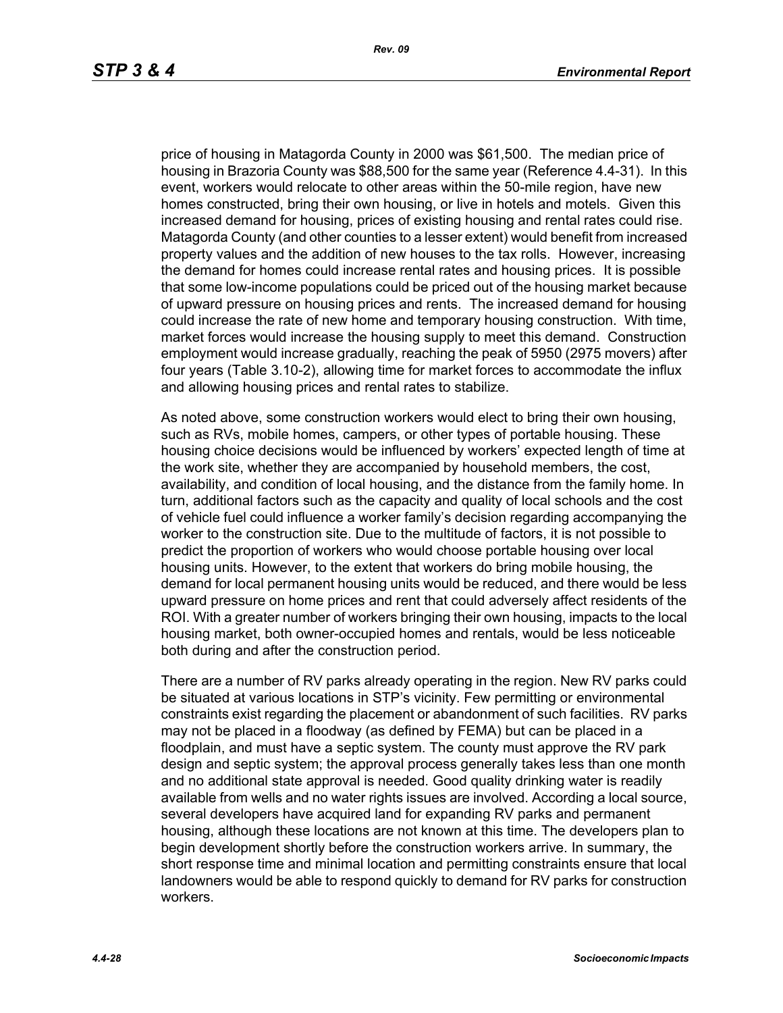price of housing in Matagorda County in 2000 was \$61,500. The median price of housing in Brazoria County was \$88,500 for the same year (Reference 4.4-31). In this event, workers would relocate to other areas within the 50-mile region, have new homes constructed, bring their own housing, or live in hotels and motels. Given this increased demand for housing, prices of existing housing and rental rates could rise. Matagorda County (and other counties to a lesser extent) would benefit from increased property values and the addition of new houses to the tax rolls. However, increasing the demand for homes could increase rental rates and housing prices. It is possible that some low-income populations could be priced out of the housing market because of upward pressure on housing prices and rents. The increased demand for housing could increase the rate of new home and temporary housing construction. With time, market forces would increase the housing supply to meet this demand. Construction employment would increase gradually, reaching the peak of 5950 (2975 movers) after four years (Table 3.10-2), allowing time for market forces to accommodate the influx and allowing housing prices and rental rates to stabilize.

As noted above, some construction workers would elect to bring their own housing, such as RVs, mobile homes, campers, or other types of portable housing. These housing choice decisions would be influenced by workers' expected length of time at the work site, whether they are accompanied by household members, the cost, availability, and condition of local housing, and the distance from the family home. In turn, additional factors such as the capacity and quality of local schools and the cost of vehicle fuel could influence a worker family's decision regarding accompanying the worker to the construction site. Due to the multitude of factors, it is not possible to predict the proportion of workers who would choose portable housing over local housing units. However, to the extent that workers do bring mobile housing, the demand for local permanent housing units would be reduced, and there would be less upward pressure on home prices and rent that could adversely affect residents of the ROI. With a greater number of workers bringing their own housing, impacts to the local housing market, both owner-occupied homes and rentals, would be less noticeable both during and after the construction period.

There are a number of RV parks already operating in the region. New RV parks could be situated at various locations in STP's vicinity. Few permitting or environmental constraints exist regarding the placement or abandonment of such facilities. RV parks may not be placed in a floodway (as defined by FEMA) but can be placed in a floodplain, and must have a septic system. The county must approve the RV park design and septic system; the approval process generally takes less than one month and no additional state approval is needed. Good quality drinking water is readily available from wells and no water rights issues are involved. According a local source, several developers have acquired land for expanding RV parks and permanent housing, although these locations are not known at this time. The developers plan to begin development shortly before the construction workers arrive. In summary, the short response time and minimal location and permitting constraints ensure that local landowners would be able to respond quickly to demand for RV parks for construction workers.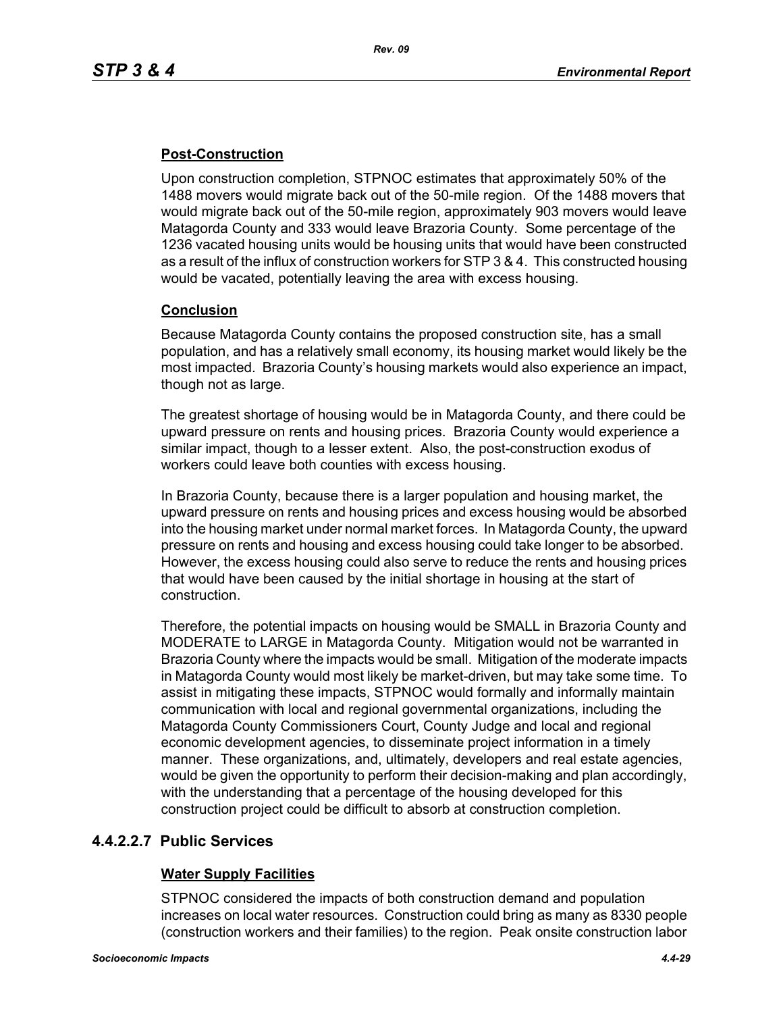## **Post-Construction**

Upon construction completion, STPNOC estimates that approximately 50% of the 1488 movers would migrate back out of the 50-mile region. Of the 1488 movers that would migrate back out of the 50-mile region, approximately 903 movers would leave Matagorda County and 333 would leave Brazoria County. Some percentage of the 1236 vacated housing units would be housing units that would have been constructed as a result of the influx of construction workers for STP 3 & 4. This constructed housing would be vacated, potentially leaving the area with excess housing.

## **Conclusion**

Because Matagorda County contains the proposed construction site, has a small population, and has a relatively small economy, its housing market would likely be the most impacted. Brazoria County's housing markets would also experience an impact, though not as large.

The greatest shortage of housing would be in Matagorda County, and there could be upward pressure on rents and housing prices. Brazoria County would experience a similar impact, though to a lesser extent. Also, the post-construction exodus of workers could leave both counties with excess housing.

In Brazoria County, because there is a larger population and housing market, the upward pressure on rents and housing prices and excess housing would be absorbed into the housing market under normal market forces. In Matagorda County, the upward pressure on rents and housing and excess housing could take longer to be absorbed. However, the excess housing could also serve to reduce the rents and housing prices that would have been caused by the initial shortage in housing at the start of construction.

Therefore, the potential impacts on housing would be SMALL in Brazoria County and MODERATE to LARGE in Matagorda County. Mitigation would not be warranted in Brazoria County where the impacts would be small. Mitigation of the moderate impacts in Matagorda County would most likely be market-driven, but may take some time. To assist in mitigating these impacts, STPNOC would formally and informally maintain communication with local and regional governmental organizations, including the Matagorda County Commissioners Court, County Judge and local and regional economic development agencies, to disseminate project information in a timely manner. These organizations, and, ultimately, developers and real estate agencies, would be given the opportunity to perform their decision-making and plan accordingly, with the understanding that a percentage of the housing developed for this construction project could be difficult to absorb at construction completion.

## **4.4.2.2.7 Public Services**

## **Water Supply Facilities**

STPNOC considered the impacts of both construction demand and population increases on local water resources. Construction could bring as many as 8330 people (construction workers and their families) to the region. Peak onsite construction labor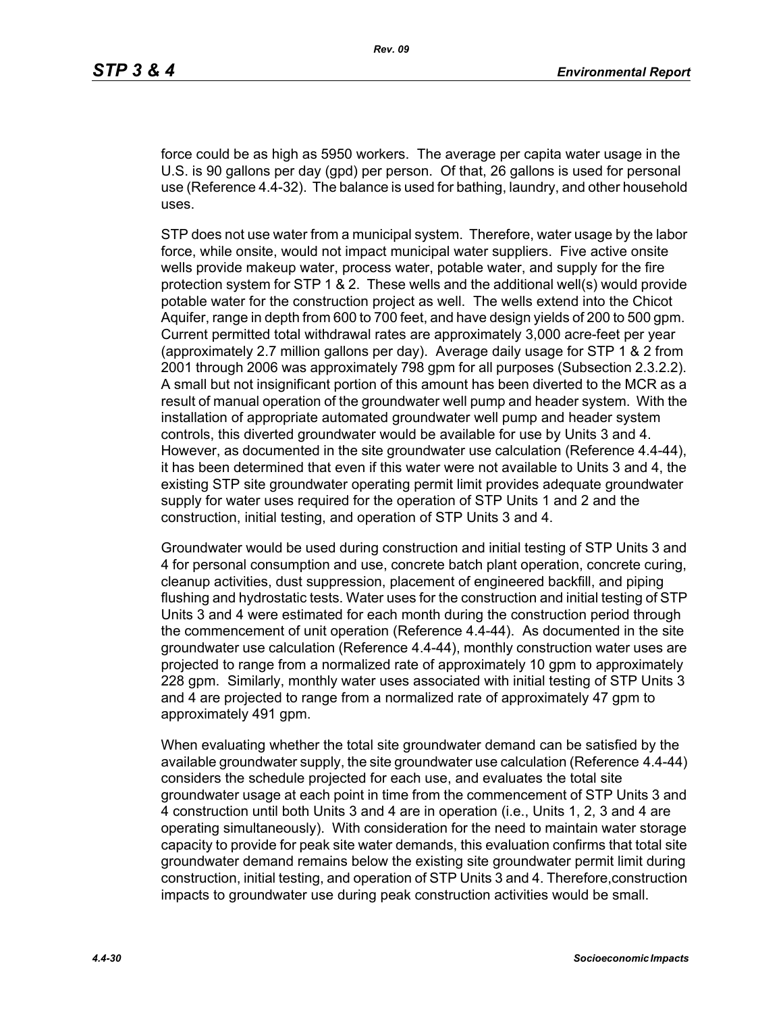force could be as high as 5950 workers. The average per capita water usage in the U.S. is 90 gallons per day (gpd) per person. Of that, 26 gallons is used for personal use (Reference 4.4-32). The balance is used for bathing, laundry, and other household uses.

STP does not use water from a municipal system. Therefore, water usage by the labor force, while onsite, would not impact municipal water suppliers. Five active onsite wells provide makeup water, process water, potable water, and supply for the fire protection system for STP 1 & 2. These wells and the additional well(s) would provide potable water for the construction project as well. The wells extend into the Chicot Aquifer, range in depth from 600 to 700 feet, and have design yields of 200 to 500 gpm. Current permitted total withdrawal rates are approximately 3,000 acre-feet per year (approximately 2.7 million gallons per day). Average daily usage for STP 1 & 2 from 2001 through 2006 was approximately 798 gpm for all purposes (Subsection 2.3.2.2). A small but not insignificant portion of this amount has been diverted to the MCR as a result of manual operation of the groundwater well pump and header system. With the installation of appropriate automated groundwater well pump and header system controls, this diverted groundwater would be available for use by Units 3 and 4. However, as documented in the site groundwater use calculation (Reference 4.4-44), it has been determined that even if this water were not available to Units 3 and 4, the existing STP site groundwater operating permit limit provides adequate groundwater supply for water uses required for the operation of STP Units 1 and 2 and the construction, initial testing, and operation of STP Units 3 and 4.

Groundwater would be used during construction and initial testing of STP Units 3 and 4 for personal consumption and use, concrete batch plant operation, concrete curing, cleanup activities, dust suppression, placement of engineered backfill, and piping flushing and hydrostatic tests. Water uses for the construction and initial testing of STP Units 3 and 4 were estimated for each month during the construction period through the commencement of unit operation (Reference 4.4-44). As documented in the site groundwater use calculation (Reference 4.4-44), monthly construction water uses are projected to range from a normalized rate of approximately 10 gpm to approximately 228 gpm. Similarly, monthly water uses associated with initial testing of STP Units 3 and 4 are projected to range from a normalized rate of approximately 47 gpm to approximately 491 gpm.

When evaluating whether the total site groundwater demand can be satisfied by the available groundwater supply, the site groundwater use calculation (Reference 4.4-44) considers the schedule projected for each use, and evaluates the total site groundwater usage at each point in time from the commencement of STP Units 3 and 4 construction until both Units 3 and 4 are in operation (i.e., Units 1, 2, 3 and 4 are operating simultaneously). With consideration for the need to maintain water storage capacity to provide for peak site water demands, this evaluation confirms that total site groundwater demand remains below the existing site groundwater permit limit during construction, initial testing, and operation of STP Units 3 and 4. Therefore,construction impacts to groundwater use during peak construction activities would be small.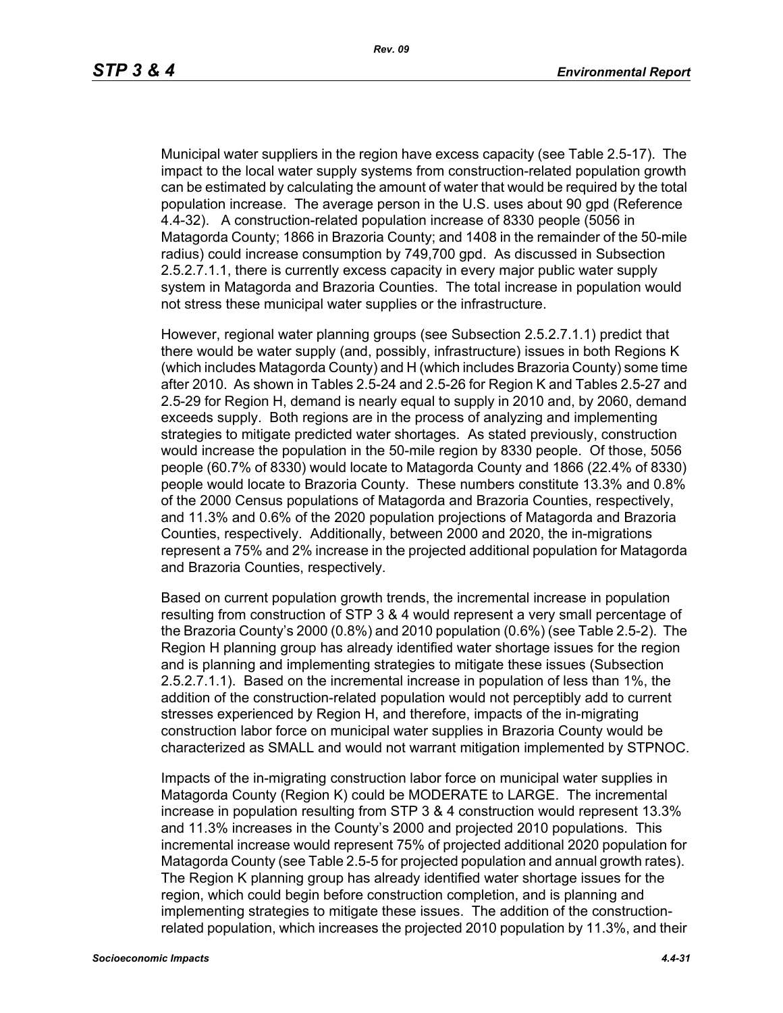Municipal water suppliers in the region have excess capacity (see Table 2.5-17). The impact to the local water supply systems from construction-related population growth can be estimated by calculating the amount of water that would be required by the total population increase. The average person in the U.S. uses about 90 gpd (Reference 4.4-32). A construction-related population increase of 8330 people (5056 in Matagorda County; 1866 in Brazoria County; and 1408 in the remainder of the 50-mile radius) could increase consumption by 749,700 gpd. As discussed in Subsection 2.5.2.7.1.1, there is currently excess capacity in every major public water supply system in Matagorda and Brazoria Counties. The total increase in population would not stress these municipal water supplies or the infrastructure.

However, regional water planning groups (see Subsection 2.5.2.7.1.1) predict that there would be water supply (and, possibly, infrastructure) issues in both Regions K (which includes Matagorda County) and H (which includes Brazoria County) some time after 2010. As shown in Tables 2.5-24 and 2.5-26 for Region K and Tables 2.5-27 and 2.5-29 for Region H, demand is nearly equal to supply in 2010 and, by 2060, demand exceeds supply. Both regions are in the process of analyzing and implementing strategies to mitigate predicted water shortages. As stated previously, construction would increase the population in the 50-mile region by 8330 people. Of those, 5056 people (60.7% of 8330) would locate to Matagorda County and 1866 (22.4% of 8330) people would locate to Brazoria County. These numbers constitute 13.3% and 0.8% of the 2000 Census populations of Matagorda and Brazoria Counties, respectively, and 11.3% and 0.6% of the 2020 population projections of Matagorda and Brazoria Counties, respectively. Additionally, between 2000 and 2020, the in-migrations represent a 75% and 2% increase in the projected additional population for Matagorda and Brazoria Counties, respectively.

Based on current population growth trends, the incremental increase in population resulting from construction of STP 3 & 4 would represent a very small percentage of the Brazoria County's 2000 (0.8%) and 2010 population (0.6%) (see Table 2.5-2). The Region H planning group has already identified water shortage issues for the region and is planning and implementing strategies to mitigate these issues (Subsection 2.5.2.7.1.1). Based on the incremental increase in population of less than 1%, the addition of the construction-related population would not perceptibly add to current stresses experienced by Region H, and therefore, impacts of the in-migrating construction labor force on municipal water supplies in Brazoria County would be characterized as SMALL and would not warrant mitigation implemented by STPNOC.

Impacts of the in-migrating construction labor force on municipal water supplies in Matagorda County (Region K) could be MODERATE to LARGE. The incremental increase in population resulting from STP 3 & 4 construction would represent 13.3% and 11.3% increases in the County's 2000 and projected 2010 populations. This incremental increase would represent 75% of projected additional 2020 population for Matagorda County (see Table 2.5-5 for projected population and annual growth rates). The Region K planning group has already identified water shortage issues for the region, which could begin before construction completion, and is planning and implementing strategies to mitigate these issues. The addition of the constructionrelated population, which increases the projected 2010 population by 11.3%, and their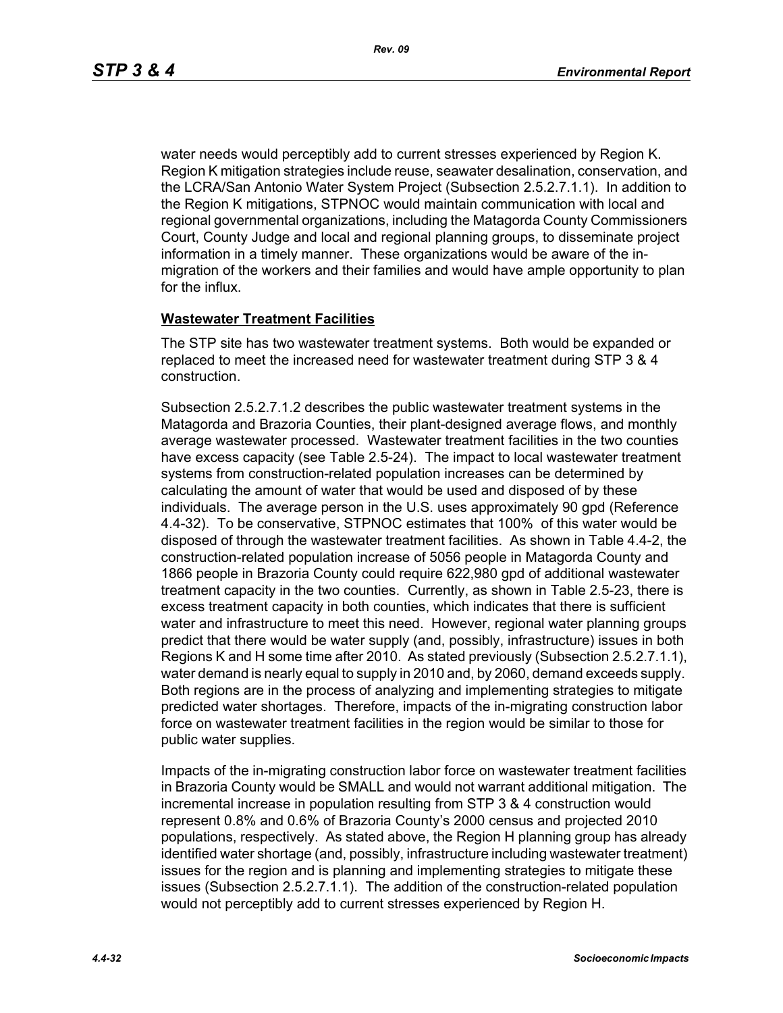water needs would perceptibly add to current stresses experienced by Region K. Region K mitigation strategies include reuse, seawater desalination, conservation, and the LCRA/San Antonio Water System Project (Subsection 2.5.2.7.1.1). In addition to the Region K mitigations, STPNOC would maintain communication with local and regional governmental organizations, including the Matagorda County Commissioners Court, County Judge and local and regional planning groups, to disseminate project information in a timely manner. These organizations would be aware of the inmigration of the workers and their families and would have ample opportunity to plan for the influx.

## **Wastewater Treatment Facilities**

The STP site has two wastewater treatment systems. Both would be expanded or replaced to meet the increased need for wastewater treatment during STP 3 & 4 construction.

Subsection 2.5.2.7.1.2 describes the public wastewater treatment systems in the Matagorda and Brazoria Counties, their plant-designed average flows, and monthly average wastewater processed. Wastewater treatment facilities in the two counties have excess capacity (see Table 2.5-24). The impact to local wastewater treatment systems from construction-related population increases can be determined by calculating the amount of water that would be used and disposed of by these individuals. The average person in the U.S. uses approximately 90 gpd (Reference 4.4-32). To be conservative, STPNOC estimates that 100% of this water would be disposed of through the wastewater treatment facilities. As shown in Table 4.4-2, the construction-related population increase of 5056 people in Matagorda County and 1866 people in Brazoria County could require 622,980 gpd of additional wastewater treatment capacity in the two counties. Currently, as shown in Table 2.5-23, there is excess treatment capacity in both counties, which indicates that there is sufficient water and infrastructure to meet this need. However, regional water planning groups predict that there would be water supply (and, possibly, infrastructure) issues in both Regions K and H some time after 2010. As stated previously (Subsection 2.5.2.7.1.1), water demand is nearly equal to supply in 2010 and, by 2060, demand exceeds supply. Both regions are in the process of analyzing and implementing strategies to mitigate predicted water shortages. Therefore, impacts of the in-migrating construction labor force on wastewater treatment facilities in the region would be similar to those for public water supplies.

Impacts of the in-migrating construction labor force on wastewater treatment facilities in Brazoria County would be SMALL and would not warrant additional mitigation. The incremental increase in population resulting from STP 3 & 4 construction would represent 0.8% and 0.6% of Brazoria County's 2000 census and projected 2010 populations, respectively. As stated above, the Region H planning group has already identified water shortage (and, possibly, infrastructure including wastewater treatment) issues for the region and is planning and implementing strategies to mitigate these issues (Subsection 2.5.2.7.1.1). The addition of the construction-related population would not perceptibly add to current stresses experienced by Region H.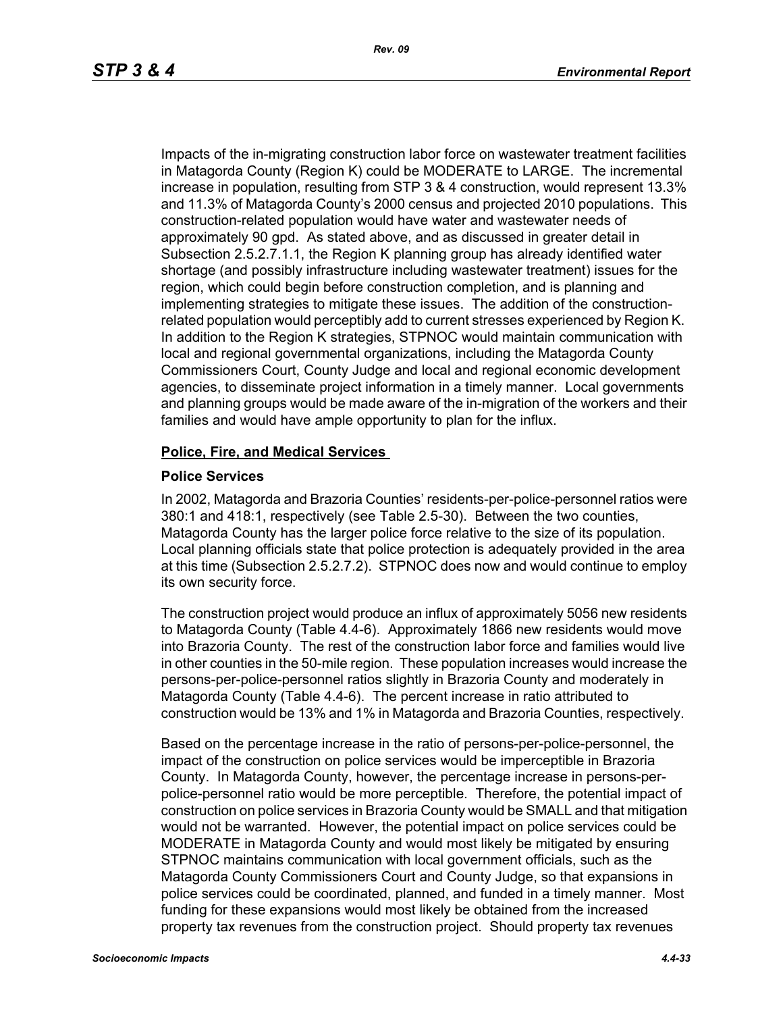Impacts of the in-migrating construction labor force on wastewater treatment facilities in Matagorda County (Region K) could be MODERATE to LARGE. The incremental increase in population, resulting from STP 3 & 4 construction, would represent 13.3% and 11.3% of Matagorda County's 2000 census and projected 2010 populations. This construction-related population would have water and wastewater needs of approximately 90 gpd. As stated above, and as discussed in greater detail in Subsection 2.5.2.7.1.1, the Region K planning group has already identified water shortage (and possibly infrastructure including wastewater treatment) issues for the region, which could begin before construction completion, and is planning and implementing strategies to mitigate these issues. The addition of the constructionrelated population would perceptibly add to current stresses experienced by Region K. In addition to the Region K strategies, STPNOC would maintain communication with local and regional governmental organizations, including the Matagorda County Commissioners Court, County Judge and local and regional economic development agencies, to disseminate project information in a timely manner. Local governments and planning groups would be made aware of the in-migration of the workers and their families and would have ample opportunity to plan for the influx.

#### **Police, Fire, and Medical Services**

#### **Police Services**

In 2002, Matagorda and Brazoria Counties' residents-per-police-personnel ratios were 380:1 and 418:1, respectively (see Table 2.5-30). Between the two counties, Matagorda County has the larger police force relative to the size of its population. Local planning officials state that police protection is adequately provided in the area at this time (Subsection 2.5.2.7.2). STPNOC does now and would continue to employ its own security force.

The construction project would produce an influx of approximately 5056 new residents to Matagorda County (Table 4.4-6). Approximately 1866 new residents would move into Brazoria County. The rest of the construction labor force and families would live in other counties in the 50-mile region. These population increases would increase the persons-per-police-personnel ratios slightly in Brazoria County and moderately in Matagorda County (Table 4.4-6). The percent increase in ratio attributed to construction would be 13% and 1% in Matagorda and Brazoria Counties, respectively.

Based on the percentage increase in the ratio of persons-per-police-personnel, the impact of the construction on police services would be imperceptible in Brazoria County. In Matagorda County, however, the percentage increase in persons-perpolice-personnel ratio would be more perceptible. Therefore, the potential impact of construction on police services in Brazoria County would be SMALL and that mitigation would not be warranted. However, the potential impact on police services could be MODERATE in Matagorda County and would most likely be mitigated by ensuring STPNOC maintains communication with local government officials, such as the Matagorda County Commissioners Court and County Judge, so that expansions in police services could be coordinated, planned, and funded in a timely manner. Most funding for these expansions would most likely be obtained from the increased property tax revenues from the construction project. Should property tax revenues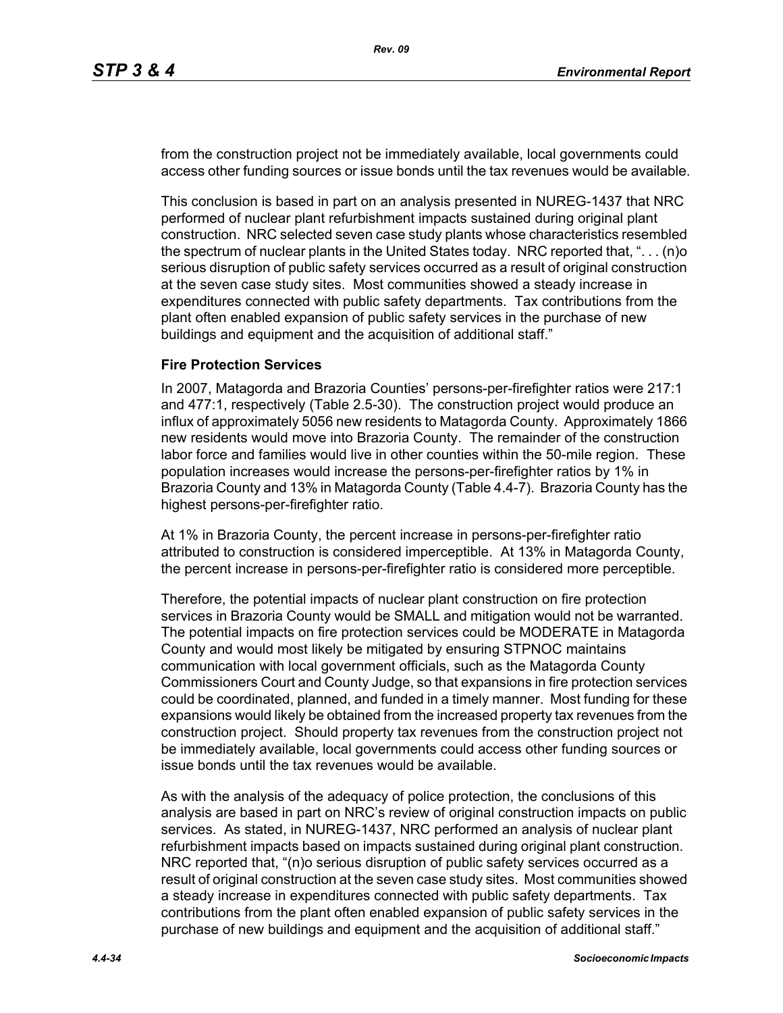from the construction project not be immediately available, local governments could access other funding sources or issue bonds until the tax revenues would be available.

This conclusion is based in part on an analysis presented in NUREG-1437 that NRC performed of nuclear plant refurbishment impacts sustained during original plant construction. NRC selected seven case study plants whose characteristics resembled the spectrum of nuclear plants in the United States today. NRC reported that, ". . . (n)o serious disruption of public safety services occurred as a result of original construction at the seven case study sites. Most communities showed a steady increase in expenditures connected with public safety departments. Tax contributions from the plant often enabled expansion of public safety services in the purchase of new buildings and equipment and the acquisition of additional staff."

#### **Fire Protection Services**

In 2007, Matagorda and Brazoria Counties' persons-per-firefighter ratios were 217:1 and 477:1, respectively (Table 2.5-30). The construction project would produce an influx of approximately 5056 new residents to Matagorda County. Approximately 1866 new residents would move into Brazoria County. The remainder of the construction labor force and families would live in other counties within the 50-mile region. These population increases would increase the persons-per-firefighter ratios by 1% in Brazoria County and 13% in Matagorda County (Table 4.4-7). Brazoria County has the highest persons-per-firefighter ratio.

At 1% in Brazoria County, the percent increase in persons-per-firefighter ratio attributed to construction is considered imperceptible. At 13% in Matagorda County, the percent increase in persons-per-firefighter ratio is considered more perceptible.

Therefore, the potential impacts of nuclear plant construction on fire protection services in Brazoria County would be SMALL and mitigation would not be warranted. The potential impacts on fire protection services could be MODERATE in Matagorda County and would most likely be mitigated by ensuring STPNOC maintains communication with local government officials, such as the Matagorda County Commissioners Court and County Judge, so that expansions in fire protection services could be coordinated, planned, and funded in a timely manner. Most funding for these expansions would likely be obtained from the increased property tax revenues from the construction project. Should property tax revenues from the construction project not be immediately available, local governments could access other funding sources or issue bonds until the tax revenues would be available.

As with the analysis of the adequacy of police protection, the conclusions of this analysis are based in part on NRC's review of original construction impacts on public services. As stated, in NUREG-1437, NRC performed an analysis of nuclear plant refurbishment impacts based on impacts sustained during original plant construction. NRC reported that, "(n)o serious disruption of public safety services occurred as a result of original construction at the seven case study sites. Most communities showed a steady increase in expenditures connected with public safety departments. Tax contributions from the plant often enabled expansion of public safety services in the purchase of new buildings and equipment and the acquisition of additional staff."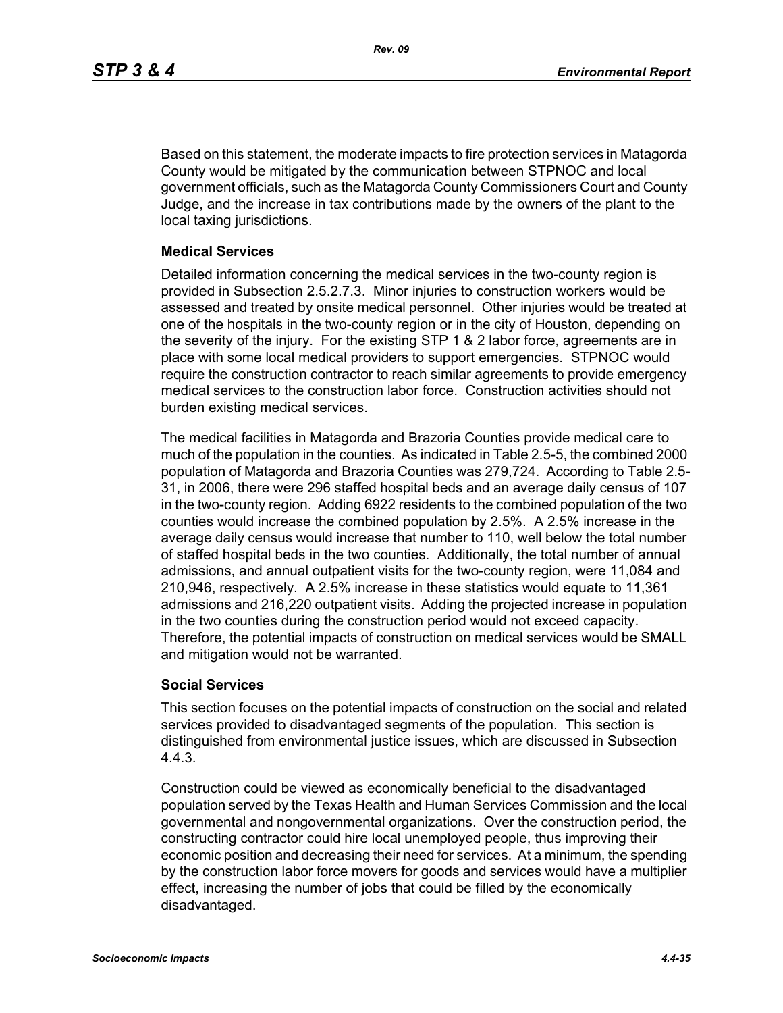Based on this statement, the moderate impacts to fire protection services in Matagorda County would be mitigated by the communication between STPNOC and local government officials, such as the Matagorda County Commissioners Court and County Judge, and the increase in tax contributions made by the owners of the plant to the local taxing jurisdictions.

#### **Medical Services**

Detailed information concerning the medical services in the two-county region is provided in Subsection 2.5.2.7.3. Minor injuries to construction workers would be assessed and treated by onsite medical personnel. Other injuries would be treated at one of the hospitals in the two-county region or in the city of Houston, depending on the severity of the injury. For the existing STP 1 & 2 labor force, agreements are in place with some local medical providers to support emergencies. STPNOC would require the construction contractor to reach similar agreements to provide emergency medical services to the construction labor force. Construction activities should not burden existing medical services.

The medical facilities in Matagorda and Brazoria Counties provide medical care to much of the population in the counties. As indicated in Table 2.5-5, the combined 2000 population of Matagorda and Brazoria Counties was 279,724. According to Table 2.5- 31, in 2006, there were 296 staffed hospital beds and an average daily census of 107 in the two-county region. Adding 6922 residents to the combined population of the two counties would increase the combined population by 2.5%. A 2.5% increase in the average daily census would increase that number to 110, well below the total number of staffed hospital beds in the two counties. Additionally, the total number of annual admissions, and annual outpatient visits for the two-county region, were 11,084 and 210,946, respectively. A 2.5% increase in these statistics would equate to 11,361 admissions and 216,220 outpatient visits. Adding the projected increase in population in the two counties during the construction period would not exceed capacity. Therefore, the potential impacts of construction on medical services would be SMALL and mitigation would not be warranted.

#### **Social Services**

This section focuses on the potential impacts of construction on the social and related services provided to disadvantaged segments of the population. This section is distinguished from environmental justice issues, which are discussed in Subsection 4.4.3.

Construction could be viewed as economically beneficial to the disadvantaged population served by the Texas Health and Human Services Commission and the local governmental and nongovernmental organizations. Over the construction period, the constructing contractor could hire local unemployed people, thus improving their economic position and decreasing their need for services. At a minimum, the spending by the construction labor force movers for goods and services would have a multiplier effect, increasing the number of jobs that could be filled by the economically disadvantaged.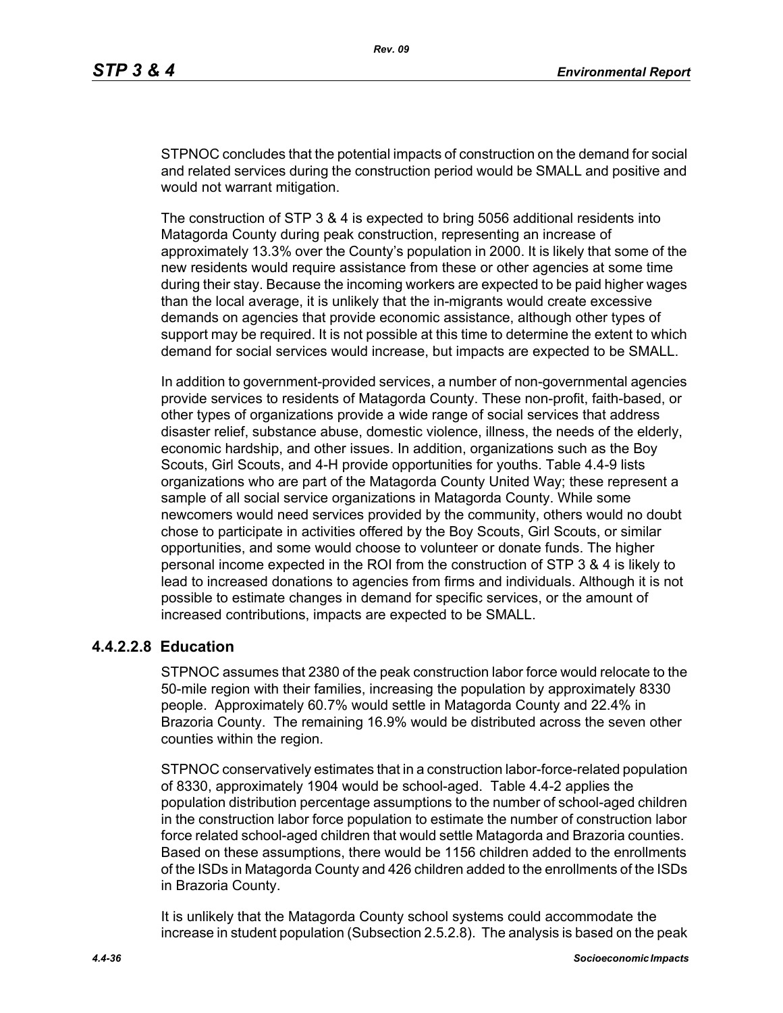STPNOC concludes that the potential impacts of construction on the demand for social and related services during the construction period would be SMALL and positive and would not warrant mitigation.

The construction of STP 3 & 4 is expected to bring 5056 additional residents into Matagorda County during peak construction, representing an increase of approximately 13.3% over the County's population in 2000. It is likely that some of the new residents would require assistance from these or other agencies at some time during their stay. Because the incoming workers are expected to be paid higher wages than the local average, it is unlikely that the in-migrants would create excessive demands on agencies that provide economic assistance, although other types of support may be required. It is not possible at this time to determine the extent to which demand for social services would increase, but impacts are expected to be SMALL.

In addition to government-provided services, a number of non-governmental agencies provide services to residents of Matagorda County. These non-profit, faith-based, or other types of organizations provide a wide range of social services that address disaster relief, substance abuse, domestic violence, illness, the needs of the elderly, economic hardship, and other issues. In addition, organizations such as the Boy Scouts, Girl Scouts, and 4-H provide opportunities for youths. Table 4.4-9 lists organizations who are part of the Matagorda County United Way; these represent a sample of all social service organizations in Matagorda County. While some newcomers would need services provided by the community, others would no doubt chose to participate in activities offered by the Boy Scouts, Girl Scouts, or similar opportunities, and some would choose to volunteer or donate funds. The higher personal income expected in the ROI from the construction of STP 3 & 4 is likely to lead to increased donations to agencies from firms and individuals. Although it is not possible to estimate changes in demand for specific services, or the amount of increased contributions, impacts are expected to be SMALL.

## **4.4.2.2.8 Education**

STPNOC assumes that 2380 of the peak construction labor force would relocate to the 50-mile region with their families, increasing the population by approximately 8330 people. Approximately 60.7% would settle in Matagorda County and 22.4% in Brazoria County. The remaining 16.9% would be distributed across the seven other counties within the region.

STPNOC conservatively estimates that in a construction labor-force-related population of 8330, approximately 1904 would be school-aged. Table 4.4-2 applies the population distribution percentage assumptions to the number of school-aged children in the construction labor force population to estimate the number of construction labor force related school-aged children that would settle Matagorda and Brazoria counties. Based on these assumptions, there would be 1156 children added to the enrollments of the ISDs in Matagorda County and 426 children added to the enrollments of the ISDs in Brazoria County.

It is unlikely that the Matagorda County school systems could accommodate the increase in student population (Subsection 2.5.2.8). The analysis is based on the peak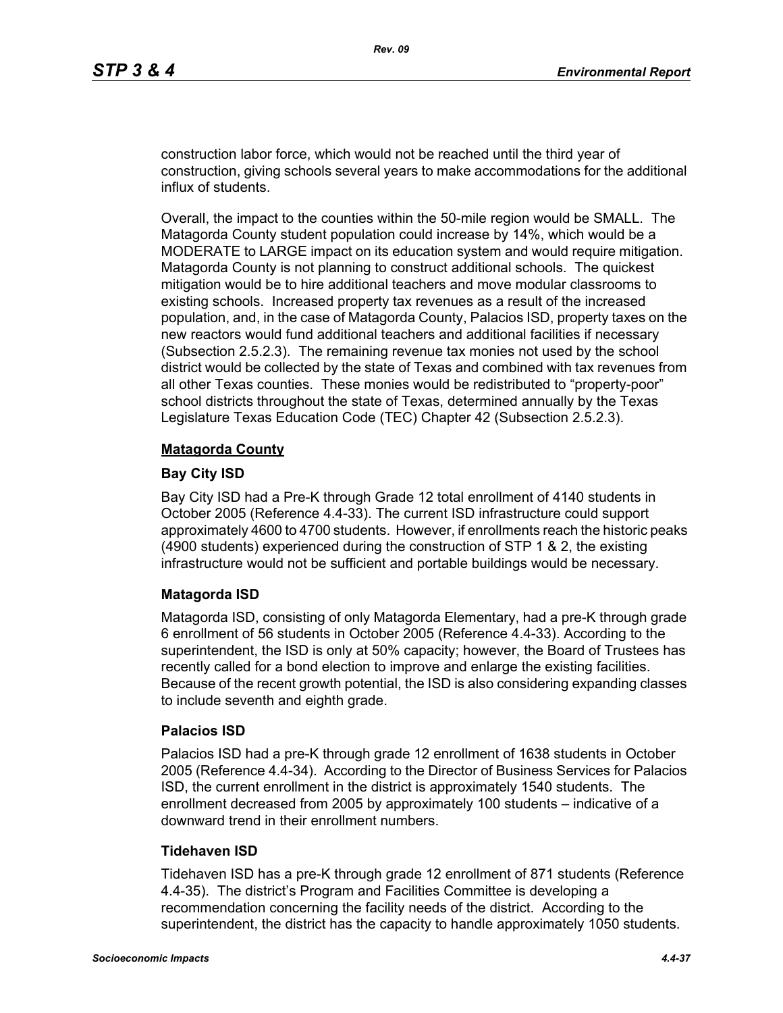construction labor force, which would not be reached until the third year of construction, giving schools several years to make accommodations for the additional influx of students.

Overall, the impact to the counties within the 50-mile region would be SMALL. The Matagorda County student population could increase by 14%, which would be a MODERATE to LARGE impact on its education system and would require mitigation. Matagorda County is not planning to construct additional schools. The quickest mitigation would be to hire additional teachers and move modular classrooms to existing schools. Increased property tax revenues as a result of the increased population, and, in the case of Matagorda County, Palacios ISD, property taxes on the new reactors would fund additional teachers and additional facilities if necessary (Subsection 2.5.2.3). The remaining revenue tax monies not used by the school district would be collected by the state of Texas and combined with tax revenues from all other Texas counties. These monies would be redistributed to "property-poor" school districts throughout the state of Texas, determined annually by the Texas Legislature Texas Education Code (TEC) Chapter 42 (Subsection 2.5.2.3).

#### **Matagorda County**

#### **Bay City ISD**

Bay City ISD had a Pre-K through Grade 12 total enrollment of 4140 students in October 2005 (Reference 4.4-33). The current ISD infrastructure could support approximately 4600 to 4700 students. However, if enrollments reach the historic peaks (4900 students) experienced during the construction of STP 1 & 2, the existing infrastructure would not be sufficient and portable buildings would be necessary.

## **Matagorda ISD**

Matagorda ISD, consisting of only Matagorda Elementary, had a pre-K through grade 6 enrollment of 56 students in October 2005 (Reference 4.4-33). According to the superintendent, the ISD is only at 50% capacity; however, the Board of Trustees has recently called for a bond election to improve and enlarge the existing facilities. Because of the recent growth potential, the ISD is also considering expanding classes to include seventh and eighth grade.

#### **Palacios ISD**

Palacios ISD had a pre-K through grade 12 enrollment of 1638 students in October 2005 (Reference 4.4-34). According to the Director of Business Services for Palacios ISD, the current enrollment in the district is approximately 1540 students. The enrollment decreased from 2005 by approximately 100 students – indicative of a downward trend in their enrollment numbers.

#### **Tidehaven ISD**

Tidehaven ISD has a pre-K through grade 12 enrollment of 871 students (Reference 4.4-35). The district's Program and Facilities Committee is developing a recommendation concerning the facility needs of the district. According to the superintendent, the district has the capacity to handle approximately 1050 students.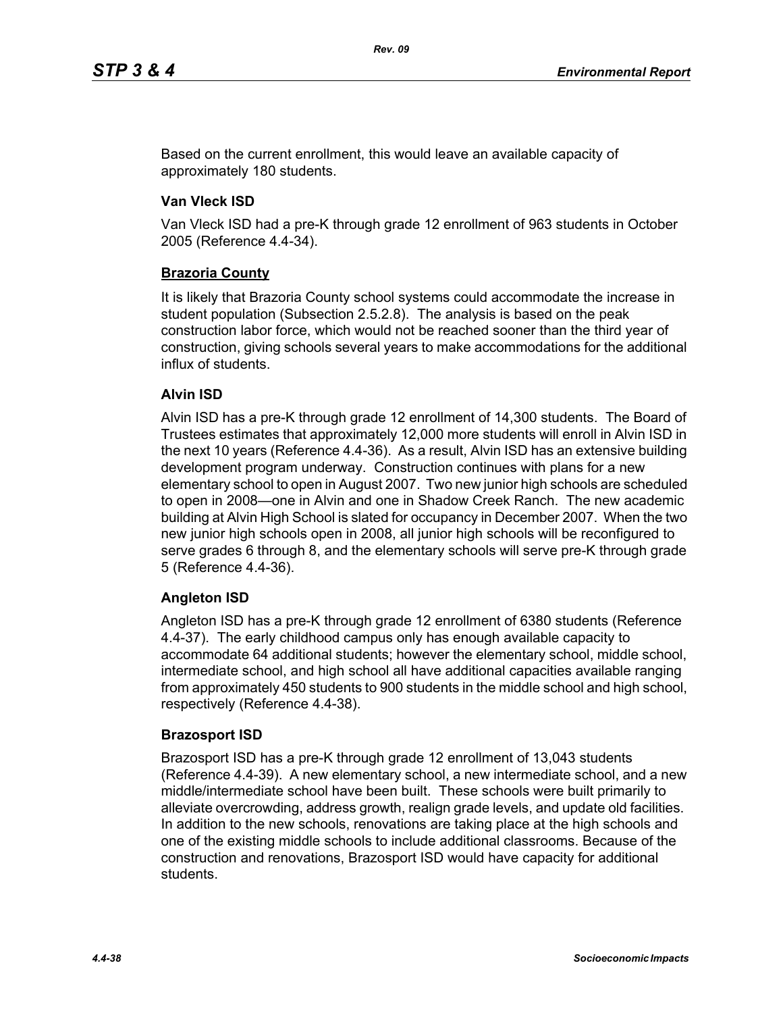Based on the current enrollment, this would leave an available capacity of approximately 180 students.

## **Van Vleck ISD**

Van Vleck ISD had a pre-K through grade 12 enrollment of 963 students in October 2005 (Reference 4.4-34).

## **Brazoria County**

It is likely that Brazoria County school systems could accommodate the increase in student population (Subsection 2.5.2.8). The analysis is based on the peak construction labor force, which would not be reached sooner than the third year of construction, giving schools several years to make accommodations for the additional influx of students.

## **Alvin ISD**

Alvin ISD has a pre-K through grade 12 enrollment of 14,300 students. The Board of Trustees estimates that approximately 12,000 more students will enroll in Alvin ISD in the next 10 years (Reference 4.4-36). As a result, Alvin ISD has an extensive building development program underway. Construction continues with plans for a new elementary school to open in August 2007. Two new junior high schools are scheduled to open in 2008—one in Alvin and one in Shadow Creek Ranch. The new academic building at Alvin High School is slated for occupancy in December 2007. When the two new junior high schools open in 2008, all junior high schools will be reconfigured to serve grades 6 through 8, and the elementary schools will serve pre-K through grade 5 (Reference 4.4-36).

## **Angleton ISD**

Angleton ISD has a pre-K through grade 12 enrollment of 6380 students (Reference 4.4-37). The early childhood campus only has enough available capacity to accommodate 64 additional students; however the elementary school, middle school, intermediate school, and high school all have additional capacities available ranging from approximately 450 students to 900 students in the middle school and high school, respectively (Reference 4.4-38).

## **Brazosport ISD**

Brazosport ISD has a pre-K through grade 12 enrollment of 13,043 students (Reference 4.4-39). A new elementary school, a new intermediate school, and a new middle/intermediate school have been built. These schools were built primarily to alleviate overcrowding, address growth, realign grade levels, and update old facilities. In addition to the new schools, renovations are taking place at the high schools and one of the existing middle schools to include additional classrooms. Because of the construction and renovations, Brazosport ISD would have capacity for additional students.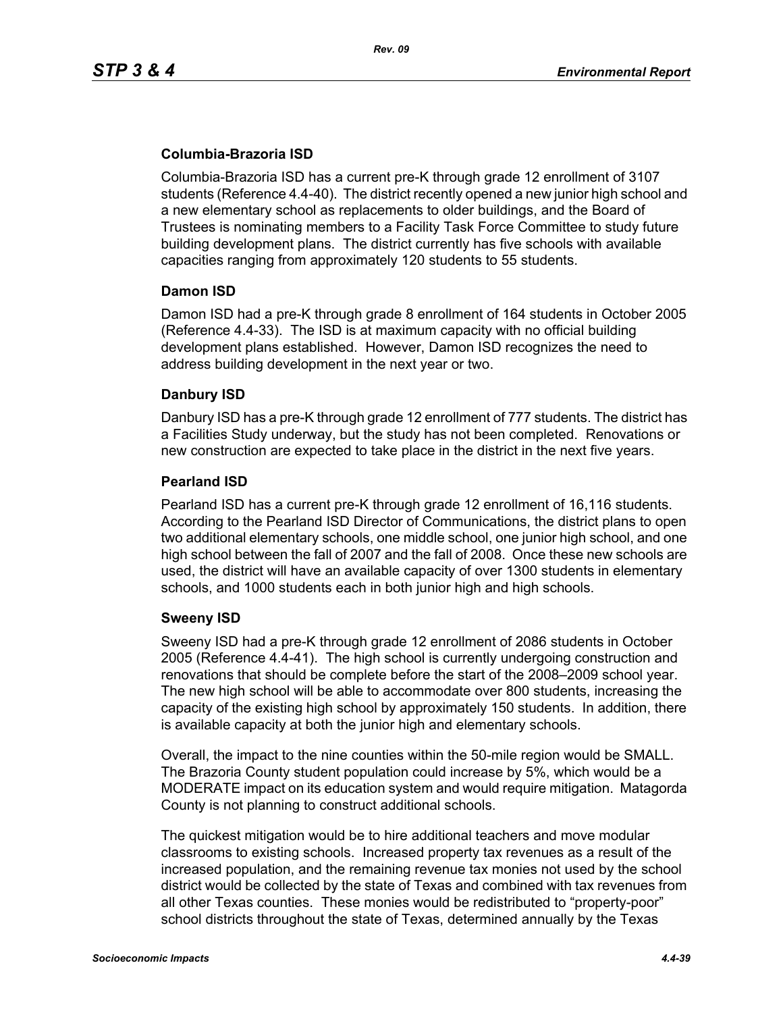## **Columbia-Brazoria ISD**

Columbia-Brazoria ISD has a current pre-K through grade 12 enrollment of 3107 students (Reference 4.4-40). The district recently opened a new junior high school and a new elementary school as replacements to older buildings, and the Board of Trustees is nominating members to a Facility Task Force Committee to study future building development plans. The district currently has five schools with available capacities ranging from approximately 120 students to 55 students.

#### **Damon ISD**

Damon ISD had a pre-K through grade 8 enrollment of 164 students in October 2005 (Reference 4.4-33). The ISD is at maximum capacity with no official building development plans established. However, Damon ISD recognizes the need to address building development in the next year or two.

## **Danbury ISD**

Danbury ISD has a pre-K through grade 12 enrollment of 777 students. The district has a Facilities Study underway, but the study has not been completed. Renovations or new construction are expected to take place in the district in the next five years.

#### **Pearland ISD**

Pearland ISD has a current pre-K through grade 12 enrollment of 16,116 students. According to the Pearland ISD Director of Communications, the district plans to open two additional elementary schools, one middle school, one junior high school, and one high school between the fall of 2007 and the fall of 2008. Once these new schools are used, the district will have an available capacity of over 1300 students in elementary schools, and 1000 students each in both junior high and high schools.

## **Sweeny ISD**

Sweeny ISD had a pre-K through grade 12 enrollment of 2086 students in October 2005 (Reference 4.4-41). The high school is currently undergoing construction and renovations that should be complete before the start of the 2008–2009 school year. The new high school will be able to accommodate over 800 students, increasing the capacity of the existing high school by approximately 150 students. In addition, there is available capacity at both the junior high and elementary schools.

Overall, the impact to the nine counties within the 50-mile region would be SMALL. The Brazoria County student population could increase by 5%, which would be a MODERATE impact on its education system and would require mitigation. Matagorda County is not planning to construct additional schools.

The quickest mitigation would be to hire additional teachers and move modular classrooms to existing schools. Increased property tax revenues as a result of the increased population, and the remaining revenue tax monies not used by the school district would be collected by the state of Texas and combined with tax revenues from all other Texas counties. These monies would be redistributed to "property-poor" school districts throughout the state of Texas, determined annually by the Texas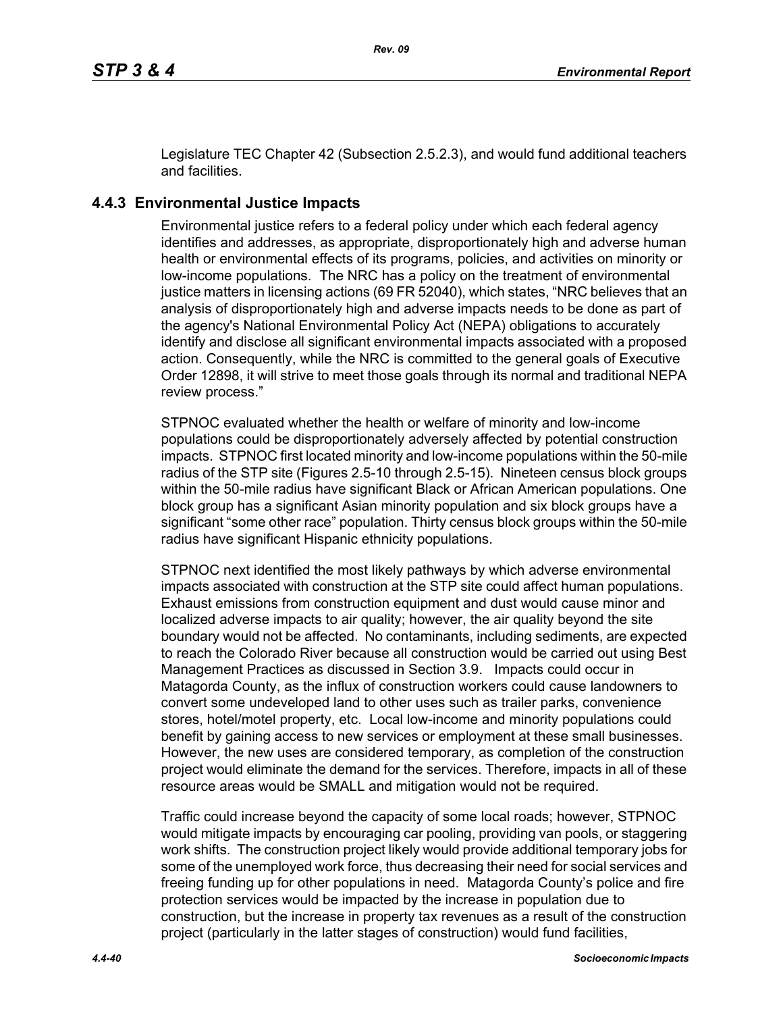Legislature TEC Chapter 42 (Subsection 2.5.2.3), and would fund additional teachers and facilities.

# **4.4.3 Environmental Justice Impacts**

Environmental justice refers to a federal policy under which each federal agency identifies and addresses, as appropriate, disproportionately high and adverse human health or environmental effects of its programs, policies, and activities on minority or low-income populations. The NRC has a policy on the treatment of environmental justice matters in licensing actions (69 FR 52040), which states, "NRC believes that an analysis of disproportionately high and adverse impacts needs to be done as part of the agency's National Environmental Policy Act (NEPA) obligations to accurately identify and disclose all significant environmental impacts associated with a proposed action. Consequently, while the NRC is committed to the general goals of Executive Order 12898, it will strive to meet those goals through its normal and traditional NEPA review process."

STPNOC evaluated whether the health or welfare of minority and low-income populations could be disproportionately adversely affected by potential construction impacts. STPNOC first located minority and low-income populations within the 50-mile radius of the STP site (Figures 2.5-10 through 2.5-15). Nineteen census block groups within the 50-mile radius have significant Black or African American populations. One block group has a significant Asian minority population and six block groups have a significant "some other race" population. Thirty census block groups within the 50-mile radius have significant Hispanic ethnicity populations.

STPNOC next identified the most likely pathways by which adverse environmental impacts associated with construction at the STP site could affect human populations. Exhaust emissions from construction equipment and dust would cause minor and localized adverse impacts to air quality; however, the air quality beyond the site boundary would not be affected. No contaminants, including sediments, are expected to reach the Colorado River because all construction would be carried out using Best Management Practices as discussed in Section 3.9. Impacts could occur in Matagorda County, as the influx of construction workers could cause landowners to convert some undeveloped land to other uses such as trailer parks, convenience stores, hotel/motel property, etc. Local low-income and minority populations could benefit by gaining access to new services or employment at these small businesses. However, the new uses are considered temporary, as completion of the construction project would eliminate the demand for the services. Therefore, impacts in all of these resource areas would be SMALL and mitigation would not be required.

Traffic could increase beyond the capacity of some local roads; however, STPNOC would mitigate impacts by encouraging car pooling, providing van pools, or staggering work shifts. The construction project likely would provide additional temporary jobs for some of the unemployed work force, thus decreasing their need for social services and freeing funding up for other populations in need. Matagorda County's police and fire protection services would be impacted by the increase in population due to construction, but the increase in property tax revenues as a result of the construction project (particularly in the latter stages of construction) would fund facilities,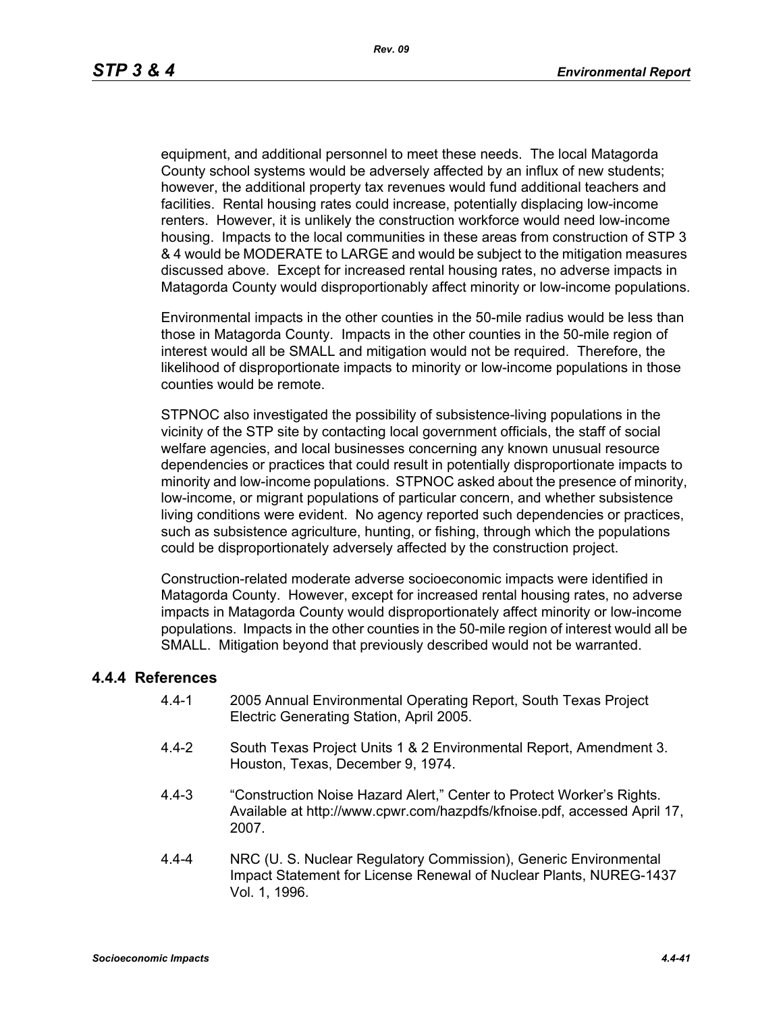equipment, and additional personnel to meet these needs. The local Matagorda County school systems would be adversely affected by an influx of new students; however, the additional property tax revenues would fund additional teachers and facilities. Rental housing rates could increase, potentially displacing low-income renters. However, it is unlikely the construction workforce would need low-income housing. Impacts to the local communities in these areas from construction of STP 3 & 4 would be MODERATE to LARGE and would be subject to the mitigation measures discussed above. Except for increased rental housing rates, no adverse impacts in Matagorda County would disproportionably affect minority or low-income populations.

Environmental impacts in the other counties in the 50-mile radius would be less than those in Matagorda County. Impacts in the other counties in the 50-mile region of interest would all be SMALL and mitigation would not be required. Therefore, the likelihood of disproportionate impacts to minority or low-income populations in those counties would be remote.

STPNOC also investigated the possibility of subsistence-living populations in the vicinity of the STP site by contacting local government officials, the staff of social welfare agencies, and local businesses concerning any known unusual resource dependencies or practices that could result in potentially disproportionate impacts to minority and low-income populations. STPNOC asked about the presence of minority, low-income, or migrant populations of particular concern, and whether subsistence living conditions were evident. No agency reported such dependencies or practices, such as subsistence agriculture, hunting, or fishing, through which the populations could be disproportionately adversely affected by the construction project.

Construction-related moderate adverse socioeconomic impacts were identified in Matagorda County. However, except for increased rental housing rates, no adverse impacts in Matagorda County would disproportionately affect minority or low-income populations. Impacts in the other counties in the 50-mile region of interest would all be SMALL. Mitigation beyond that previously described would not be warranted.

#### **4.4.4 References**

- 4.4-1 2005 Annual Environmental Operating Report, South Texas Project Electric Generating Station, April 2005.
- 4.4-2 South Texas Project Units 1 & 2 Environmental Report, Amendment 3. Houston, Texas, December 9, 1974.
- 4.4-3 "Construction Noise Hazard Alert," Center to Protect Worker's Rights. Available at http://www.cpwr.com/hazpdfs/kfnoise.pdf, accessed April 17, 2007.
- 4.4-4 NRC (U. S. Nuclear Regulatory Commission), Generic Environmental Impact Statement for License Renewal of Nuclear Plants, NUREG-1437 Vol. 1, 1996.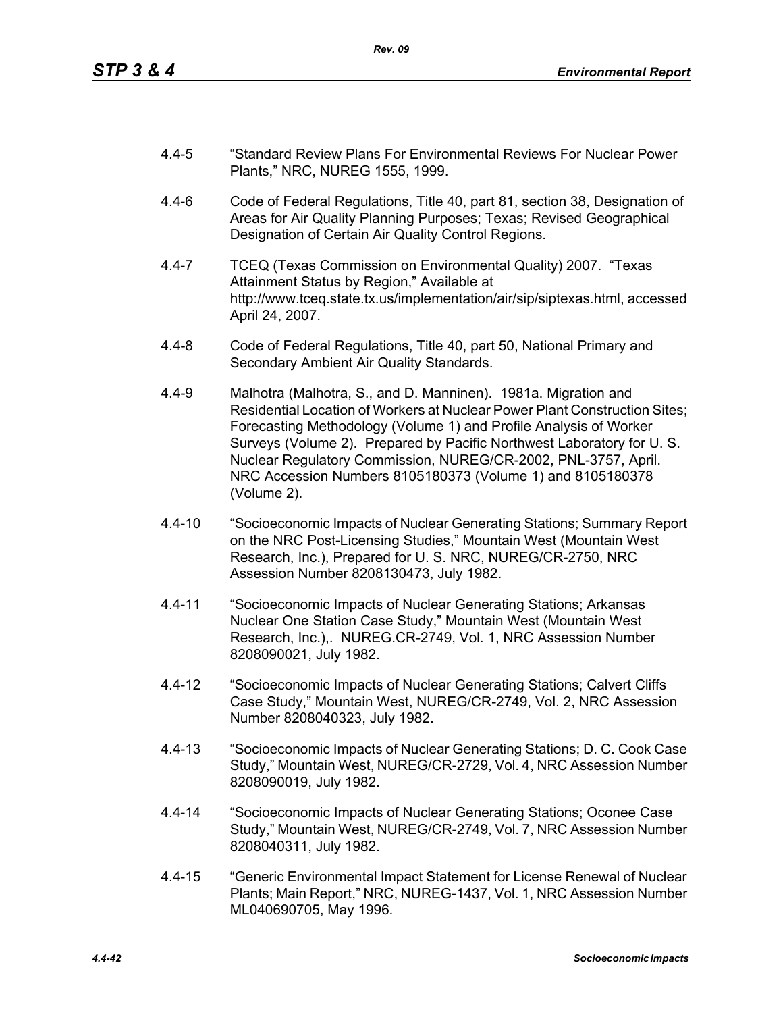- 4.4-5 "Standard Review Plans For Environmental Reviews For Nuclear Power Plants," NRC, NUREG 1555, 1999.
- 4.4-6 Code of Federal Regulations, Title 40, part 81, section 38, Designation of Areas for Air Quality Planning Purposes; Texas; Revised Geographical Designation of Certain Air Quality Control Regions.
- 4.4-7 TCEQ (Texas Commission on Environmental Quality) 2007. "Texas Attainment Status by Region," Available at http://www.tceq.state.tx.us/implementation/air/sip/siptexas.html, accessed April 24, 2007.
- 4.4-8 Code of Federal Regulations, Title 40, part 50, National Primary and Secondary Ambient Air Quality Standards.
- 4.4-9 Malhotra (Malhotra, S., and D. Manninen). 1981a. Migration and Residential Location of Workers at Nuclear Power Plant Construction Sites; Forecasting Methodology (Volume 1) and Profile Analysis of Worker Surveys (Volume 2). Prepared by Pacific Northwest Laboratory for U. S. Nuclear Regulatory Commission, NUREG/CR-2002, PNL-3757, April. NRC Accession Numbers 8105180373 (Volume 1) and 8105180378 (Volume 2).
- 4.4-10 "Socioeconomic Impacts of Nuclear Generating Stations; Summary Report on the NRC Post-Licensing Studies," Mountain West (Mountain West Research, Inc.), Prepared for U. S. NRC, NUREG/CR-2750, NRC Assession Number 8208130473, July 1982.
- 4.4-11 "Socioeconomic Impacts of Nuclear Generating Stations; Arkansas Nuclear One Station Case Study," Mountain West (Mountain West Research, Inc.),. NUREG.CR-2749, Vol. 1, NRC Assession Number 8208090021, July 1982.
- 4.4-12 "Socioeconomic Impacts of Nuclear Generating Stations; Calvert Cliffs Case Study," Mountain West, NUREG/CR-2749, Vol. 2, NRC Assession Number 8208040323, July 1982.
- 4.4-13 "Socioeconomic Impacts of Nuclear Generating Stations; D. C. Cook Case Study," Mountain West, NUREG/CR-2729, Vol. 4, NRC Assession Number 8208090019, July 1982.
- 4.4-14 "Socioeconomic Impacts of Nuclear Generating Stations; Oconee Case Study," Mountain West, NUREG/CR-2749, Vol. 7, NRC Assession Number 8208040311, July 1982.
- 4.4-15 "Generic Environmental Impact Statement for License Renewal of Nuclear Plants; Main Report," NRC, NUREG-1437, Vol. 1, NRC Assession Number ML040690705, May 1996.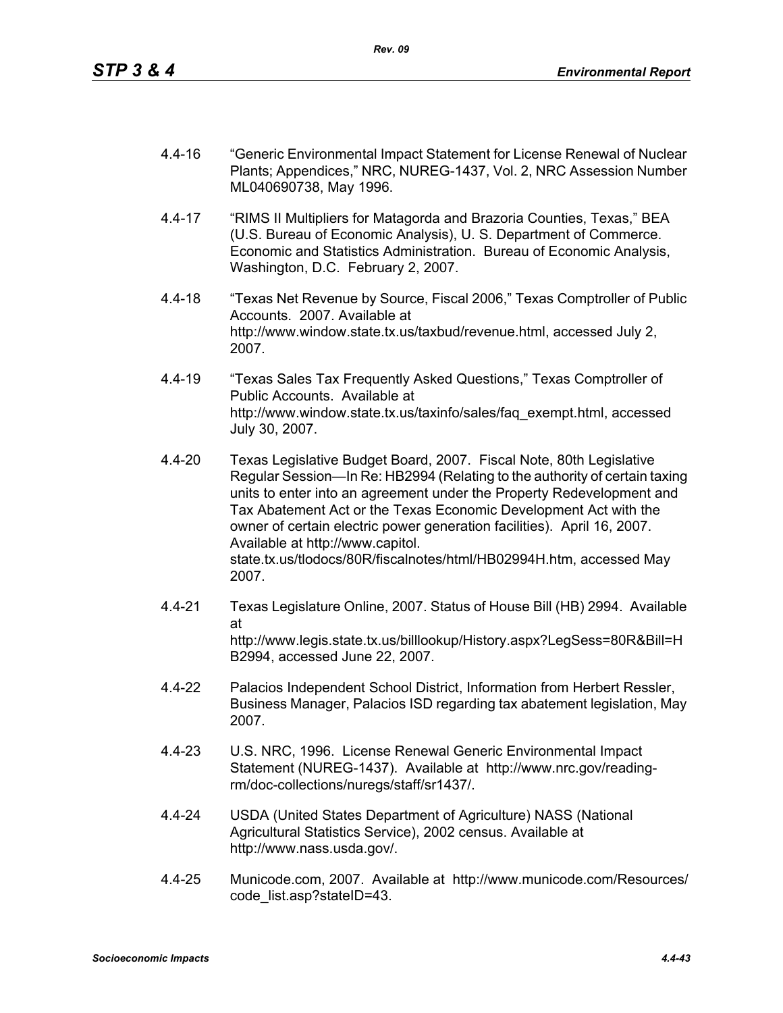- 4.4-16 "Generic Environmental Impact Statement for License Renewal of Nuclear Plants; Appendices," NRC, NUREG-1437, Vol. 2, NRC Assession Number ML040690738, May 1996.
- 4.4-17 "RIMS II Multipliers for Matagorda and Brazoria Counties, Texas," BEA (U.S. Bureau of Economic Analysis), U. S. Department of Commerce. Economic and Statistics Administration. Bureau of Economic Analysis, Washington, D.C. February 2, 2007.
- 4.4-18 "Texas Net Revenue by Source, Fiscal 2006," Texas Comptroller of Public Accounts. 2007. Available at http://www.window.state.tx.us/taxbud/revenue.html, accessed July 2, 2007.
- 4.4-19 "Texas Sales Tax Frequently Asked Questions," Texas Comptroller of Public Accounts. Available at http://www.window.state.tx.us/taxinfo/sales/faq\_exempt.html, accessed July 30, 2007.
- 4.4-20 Texas Legislative Budget Board, 2007. Fiscal Note, 80th Legislative Regular Session—In Re: HB2994 (Relating to the authority of certain taxing units to enter into an agreement under the Property Redevelopment and Tax Abatement Act or the Texas Economic Development Act with the owner of certain electric power generation facilities). April 16, 2007. Available at http://www.capitol. state.tx.us/tlodocs/80R/fiscalnotes/html/HB02994H.htm, accessed May 2007.
- 4.4-21 Texas Legislature Online, 2007. Status of House Bill (HB) 2994. Available at http://www.legis.state.tx.us/billlookup/History.aspx?LegSess=80R&Bill=H B2994, accessed June 22, 2007.
- 4.4-22 Palacios Independent School District, Information from Herbert Ressler, Business Manager, Palacios ISD regarding tax abatement legislation, May 2007.
- 4.4-23 U.S. NRC, 1996. License Renewal Generic Environmental Impact Statement (NUREG-1437). Available at http://www.nrc.gov/readingrm/doc-collections/nuregs/staff/sr1437/.
- 4.4-24 USDA (United States Department of Agriculture) NASS (National Agricultural Statistics Service), 2002 census. Available at http://www.nass.usda.gov/.
- 4.4-25 Municode.com, 2007. Available at http://www.municode.com/Resources/ code\_list.asp?stateID=43.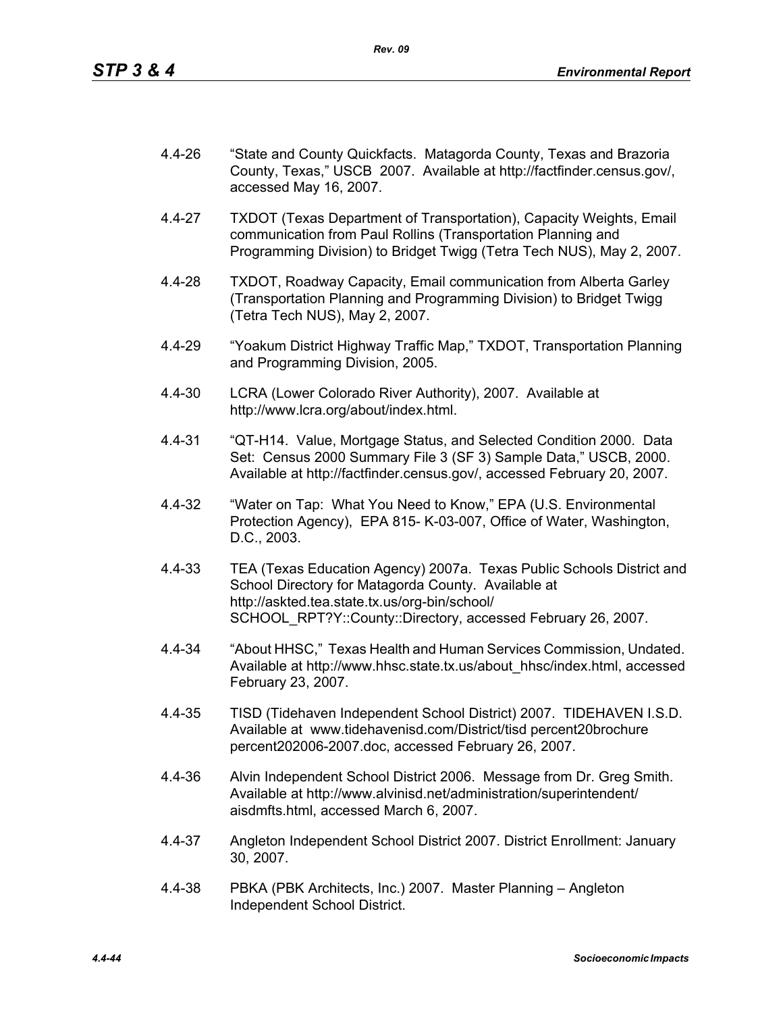4.4-26 "State and County Quickfacts. Matagorda County, Texas and Brazoria County, Texas," USCB 2007. Available at http://factfinder.census.gov/, accessed May 16, 2007.

*Rev. 09*

- 4.4-27 TXDOT (Texas Department of Transportation), Capacity Weights, Email communication from Paul Rollins (Transportation Planning and Programming Division) to Bridget Twigg (Tetra Tech NUS), May 2, 2007.
- 4.4-28 TXDOT, Roadway Capacity, Email communication from Alberta Garley (Transportation Planning and Programming Division) to Bridget Twigg (Tetra Tech NUS), May 2, 2007.
- 4.4-29 "Yoakum District Highway Traffic Map," TXDOT, Transportation Planning and Programming Division, 2005.
- 4.4-30 LCRA (Lower Colorado River Authority), 2007. Available at http://www.lcra.org/about/index.html.
- 4.4-31 "QT-H14. Value, Mortgage Status, and Selected Condition 2000. Data Set: Census 2000 Summary File 3 (SF 3) Sample Data," USCB, 2000. Available at http://factfinder.census.gov/, accessed February 20, 2007.
- 4.4-32 "Water on Tap: What You Need to Know," EPA (U.S. Environmental Protection Agency), EPA 815- K-03-007, Office of Water, Washington, D.C., 2003.
- 4.4-33 TEA (Texas Education Agency) 2007a. Texas Public Schools District and School Directory for Matagorda County. Available at http://askted.tea.state.tx.us/org-bin/school/ SCHOOL\_RPT?Y::County::Directory, accessed February 26, 2007.
- 4.4-34 "About HHSC," Texas Health and Human Services Commission, Undated. Available at http://www.hhsc.state.tx.us/about\_hhsc/index.html, accessed February 23, 2007.
- 4.4-35 TISD (Tidehaven Independent School District) 2007. TIDEHAVEN I.S.D. Available at www.tidehavenisd.com/District/tisd percent20brochure percent202006-2007.doc, accessed February 26, 2007.
- 4.4-36 Alvin Independent School District 2006. Message from Dr. Greg Smith. Available at http://www.alvinisd.net/administration/superintendent/ aisdmfts.html, accessed March 6, 2007.
- 4.4-37 Angleton Independent School District 2007. District Enrollment: January 30, 2007.
- 4.4-38 PBKA (PBK Architects, Inc.) 2007. Master Planning Angleton Independent School District.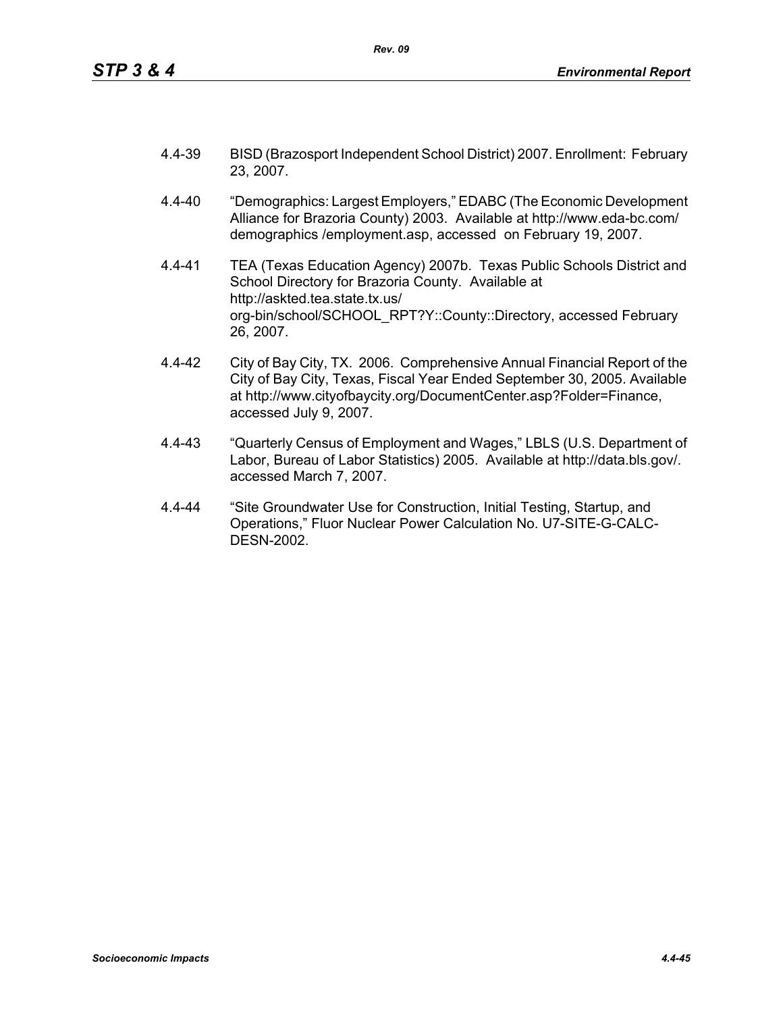- 4.4-39 BISD (Brazosport Independent School District) 2007. Enrollment: February 23, 2007.
- 4.4-40 "Demographics: Largest Employers," EDABC (The Economic Development Alliance for Brazoria County) 2003. Available at http://www.eda-bc.com/ demographics /employment.asp, accessed on February 19, 2007.
- 4.4-41 TEA (Texas Education Agency) 2007b. Texas Public Schools District and School Directory for Brazoria County. Available at http://askted.tea.state.tx.us/ org-bin/school/SCHOOL\_RPT?Y::County::Directory, accessed February 26, 2007.
- 4.4-42 City of Bay City, TX. 2006. Comprehensive Annual Financial Report of the City of Bay City, Texas, Fiscal Year Ended September 30, 2005. Available at http://www.cityofbaycity.org/DocumentCenter.asp?Folder=Finance, accessed July 9, 2007.
- 4.4-43 "Quarterly Census of Employment and Wages," LBLS (U.S. Department of Labor, Bureau of Labor Statistics) 2005. Available at http://data.bls.gov/. accessed March 7, 2007.
- 4.4-44 "Site Groundwater Use for Construction, Initial Testing, Startup, and Operations," Fluor Nuclear Power Calculation No. U7-SITE-G-CALC-DESN-2002.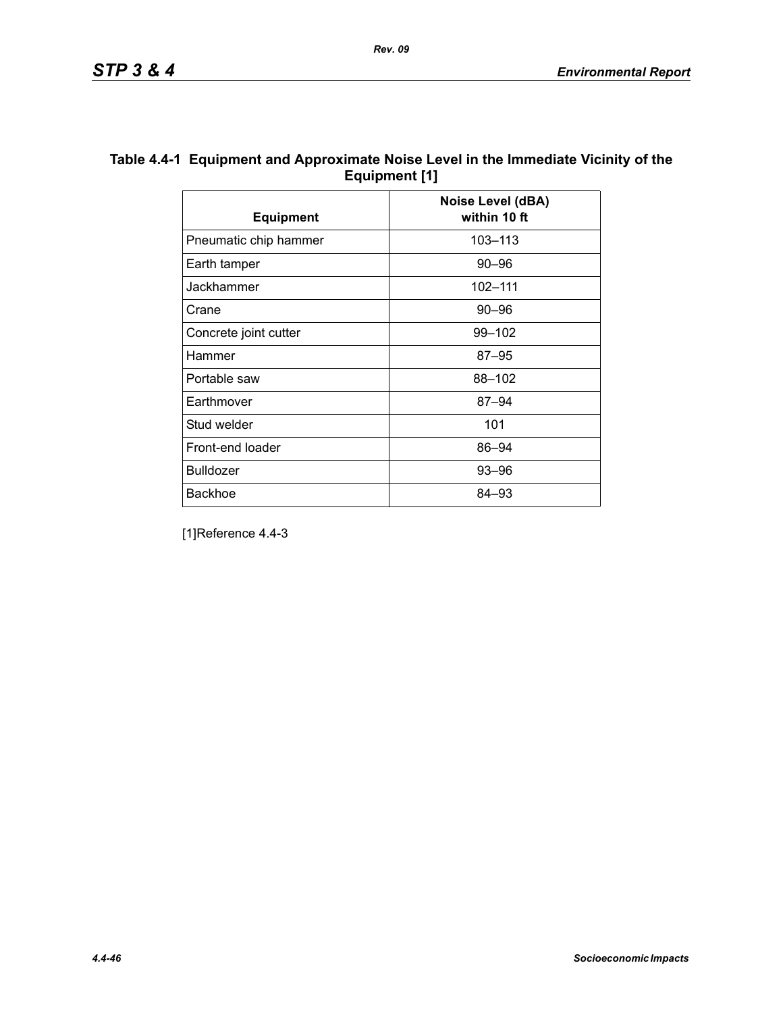| Table 4.4-1 Equipment and Approximate Noise Level in the Immediate Vicinity of the |
|------------------------------------------------------------------------------------|
| Equipment [1]                                                                      |

| <b>Equipment</b>      | Noise Level (dBA)<br>within 10 ft |
|-----------------------|-----------------------------------|
| Pneumatic chip hammer | $103 - 113$                       |
| Earth tamper          | $90 - 96$                         |
| Jackhammer            | 102-111                           |
| Crane                 | $90 - 96$                         |
| Concrete joint cutter | 99-102                            |
| Hammer                | $87 - 95$                         |
| Portable saw          | 88-102                            |
| Earthmover            | $87 - 94$                         |
| Stud welder           | 101                               |
| Front-end loader      | 86-94                             |
| <b>Bulldozer</b>      | $93 - 96$                         |
| <b>Backhoe</b>        | 84–93                             |

[1]Reference 4.4-3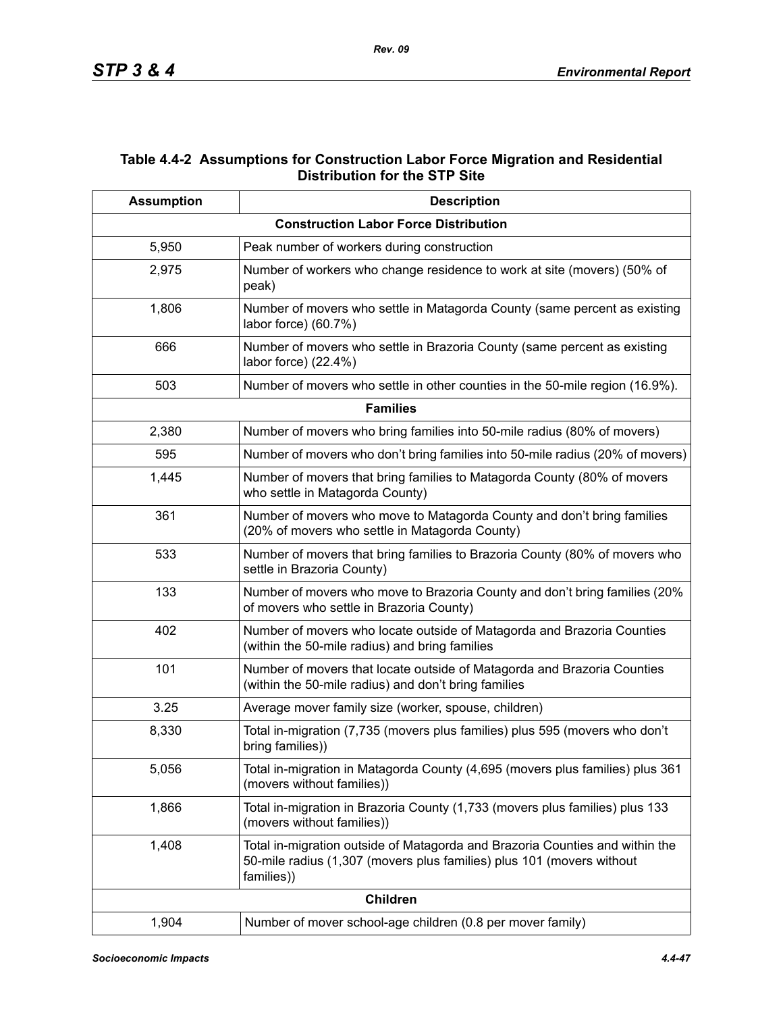## **Table 4.4-2 Assumptions for Construction Labor Force Migration and Residential Distribution for the STP Site**

| <b>Assumption</b> | <b>Description</b>                                                                                                                                                  |
|-------------------|---------------------------------------------------------------------------------------------------------------------------------------------------------------------|
|                   | <b>Construction Labor Force Distribution</b>                                                                                                                        |
| 5,950             | Peak number of workers during construction                                                                                                                          |
| 2,975             | Number of workers who change residence to work at site (movers) (50% of<br>peak)                                                                                    |
| 1,806             | Number of movers who settle in Matagorda County (same percent as existing<br>labor force) (60.7%)                                                                   |
| 666               | Number of movers who settle in Brazoria County (same percent as existing<br>labor force) (22.4%)                                                                    |
| 503               | Number of movers who settle in other counties in the 50-mile region (16.9%).                                                                                        |
|                   | <b>Families</b>                                                                                                                                                     |
| 2,380             | Number of movers who bring families into 50-mile radius (80% of movers)                                                                                             |
| 595               | Number of movers who don't bring families into 50-mile radius (20% of movers)                                                                                       |
| 1,445             | Number of movers that bring families to Matagorda County (80% of movers<br>who settle in Matagorda County)                                                          |
| 361               | Number of movers who move to Matagorda County and don't bring families<br>(20% of movers who settle in Matagorda County)                                            |
| 533               | Number of movers that bring families to Brazoria County (80% of movers who<br>settle in Brazoria County)                                                            |
| 133               | Number of movers who move to Brazoria County and don't bring families (20%<br>of movers who settle in Brazoria County)                                              |
| 402               | Number of movers who locate outside of Matagorda and Brazoria Counties<br>(within the 50-mile radius) and bring families                                            |
| 101               | Number of movers that locate outside of Matagorda and Brazoria Counties<br>(within the 50-mile radius) and don't bring families                                     |
| 3.25              | Average mover family size (worker, spouse, children)                                                                                                                |
| 8,330             | Total in-migration (7,735 (movers plus families) plus 595 (movers who don't<br>bring families))                                                                     |
| 5,056             | Total in-migration in Matagorda County (4,695 (movers plus families) plus 361<br>(movers without families))                                                         |
| 1,866             | Total in-migration in Brazoria County (1,733 (movers plus families) plus 133<br>(movers without families))                                                          |
| 1,408             | Total in-migration outside of Matagorda and Brazoria Counties and within the<br>50-mile radius (1,307 (movers plus families) plus 101 (movers without<br>families)) |
|                   | <b>Children</b>                                                                                                                                                     |
| 1,904             | Number of mover school-age children (0.8 per mover family)                                                                                                          |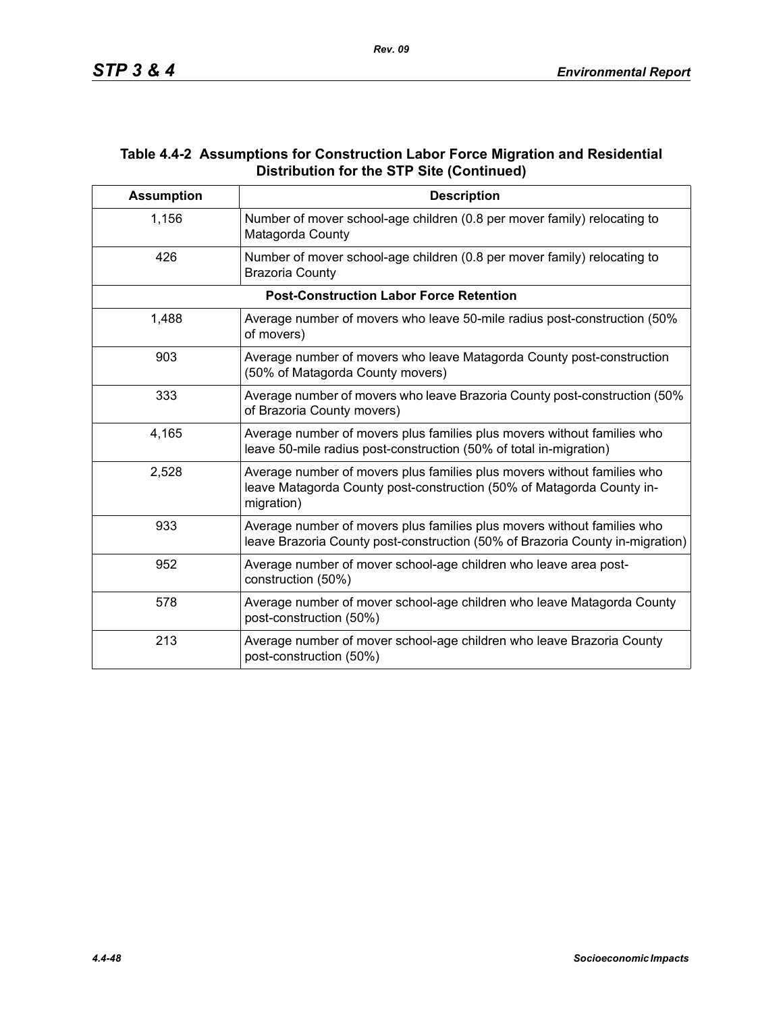## **Table 4.4-2 Assumptions for Construction Labor Force Migration and Residential Distribution for the STP Site (Continued)**

| <b>Assumption</b> | <b>Description</b>                                                                                                                                             |
|-------------------|----------------------------------------------------------------------------------------------------------------------------------------------------------------|
| 1,156             | Number of mover school-age children (0.8 per mover family) relocating to<br>Matagorda County                                                                   |
| 426               | Number of mover school-age children (0.8 per mover family) relocating to<br><b>Brazoria County</b>                                                             |
|                   | <b>Post-Construction Labor Force Retention</b>                                                                                                                 |
| 1,488             | Average number of movers who leave 50-mile radius post-construction (50%<br>of movers)                                                                         |
| 903               | Average number of movers who leave Matagorda County post-construction<br>(50% of Matagorda County movers)                                                      |
| 333               | Average number of movers who leave Brazoria County post-construction (50%)<br>of Brazoria County movers)                                                       |
| 4,165             | Average number of movers plus families plus movers without families who<br>leave 50-mile radius post-construction (50% of total in-migration)                  |
| 2,528             | Average number of movers plus families plus movers without families who<br>leave Matagorda County post-construction (50% of Matagorda County in-<br>migration) |
| 933               | Average number of movers plus families plus movers without families who<br>leave Brazoria County post-construction (50% of Brazoria County in-migration)       |
| 952               | Average number of mover school-age children who leave area post-<br>construction (50%)                                                                         |
| 578               | Average number of mover school-age children who leave Matagorda County<br>post-construction (50%)                                                              |
| 213               | Average number of mover school-age children who leave Brazoria County<br>post-construction (50%)                                                               |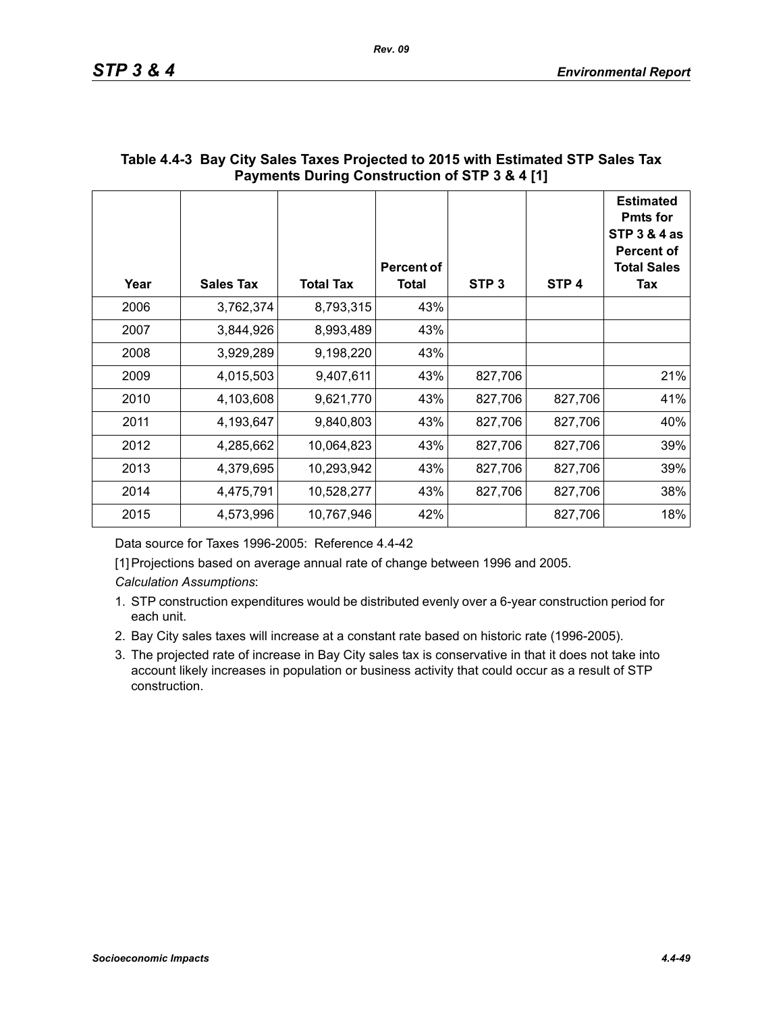| Year | <b>Sales Tax</b> | <b>Total Tax</b> | <b>Percent of</b><br>Total | STP <sub>3</sub> | STP <sub>4</sub> | <b>Estimated</b><br><b>Pmts for</b><br>STP 3 & 4 as<br><b>Percent of</b><br><b>Total Sales</b><br>Tax |
|------|------------------|------------------|----------------------------|------------------|------------------|-------------------------------------------------------------------------------------------------------|
| 2006 | 3,762,374        | 8,793,315        | 43%                        |                  |                  |                                                                                                       |
| 2007 | 3,844,926        | 8,993,489        | 43%                        |                  |                  |                                                                                                       |
| 2008 | 3,929,289        | 9,198,220        | 43%                        |                  |                  |                                                                                                       |
| 2009 | 4,015,503        | 9,407,611        | 43%                        | 827,706          |                  | 21%                                                                                                   |
| 2010 | 4,103,608        | 9,621,770        | 43%                        | 827,706          | 827,706          | 41%                                                                                                   |
| 2011 | 4,193,647        | 9,840,803        | 43%                        | 827,706          | 827,706          | 40%                                                                                                   |
| 2012 | 4,285,662        | 10,064,823       | 43%                        | 827,706          | 827,706          | 39%                                                                                                   |
| 2013 | 4,379,695        | 10,293,942       | 43%                        | 827,706          | 827,706          | 39%                                                                                                   |
| 2014 | 4,475,791        | 10,528,277       | 43%                        | 827,706          | 827,706          | 38%                                                                                                   |
| 2015 | 4,573,996        | 10,767,946       | 42%                        |                  | 827,706          | 18%                                                                                                   |

## **Table 4.4-3 Bay City Sales Taxes Projected to 2015 with Estimated STP Sales Tax Payments During Construction of STP 3 & 4 [1]**

*Rev. 09*

Data source for Taxes 1996-2005: Reference 4.4-42

[1] Projections based on average annual rate of change between 1996 and 2005.

*Calculation Assumptions*:

- 1. STP construction expenditures would be distributed evenly over a 6-year construction period for each unit.
- 2. Bay City sales taxes will increase at a constant rate based on historic rate (1996-2005).
- 3. The projected rate of increase in Bay City sales tax is conservative in that it does not take into account likely increases in population or business activity that could occur as a result of STP construction.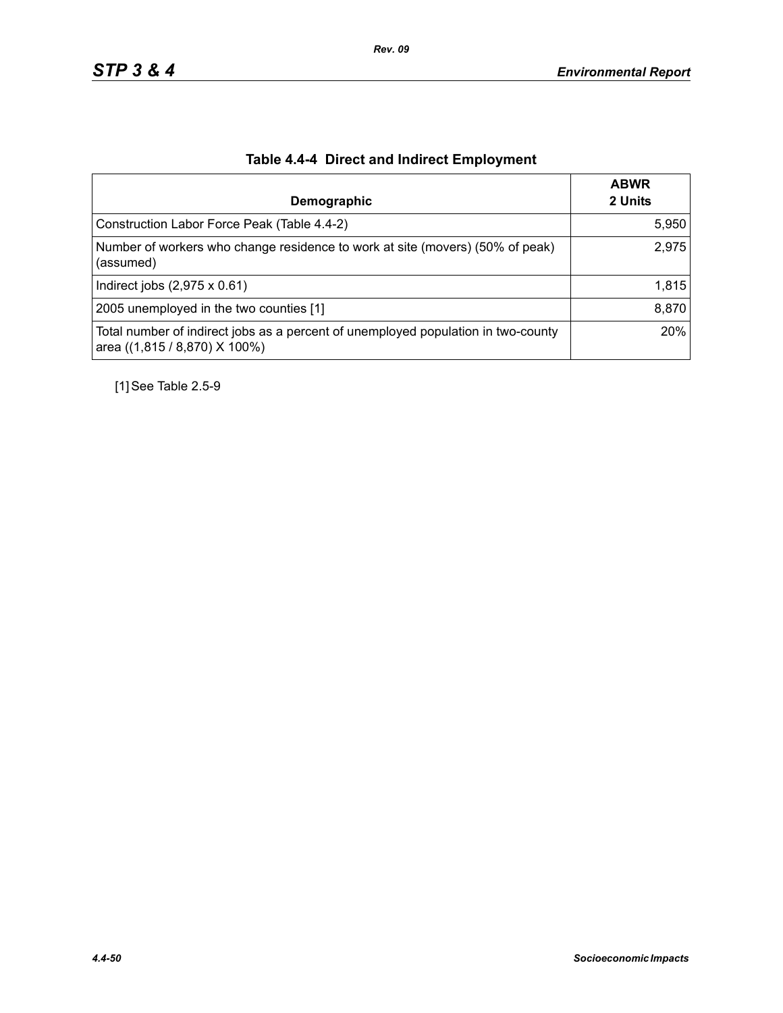| Demographic                                                                                                        | <b>ABWR</b><br>2 Units |
|--------------------------------------------------------------------------------------------------------------------|------------------------|
| Construction Labor Force Peak (Table 4.4-2)                                                                        | 5,950                  |
| Number of workers who change residence to work at site (movers) (50% of peak)<br>(assumed)                         | 2,975                  |
| Indirect jobs $(2,975 \times 0.61)$                                                                                | 1,815                  |
| 2005 unemployed in the two counties [1]                                                                            | 8,870                  |
| Total number of indirect jobs as a percent of unemployed population in two-county<br>area ((1,815 / 8,870) X 100%) | 20%                    |

# **Table 4.4-4 Direct and Indirect Employment**

[1] See Table 2.5-9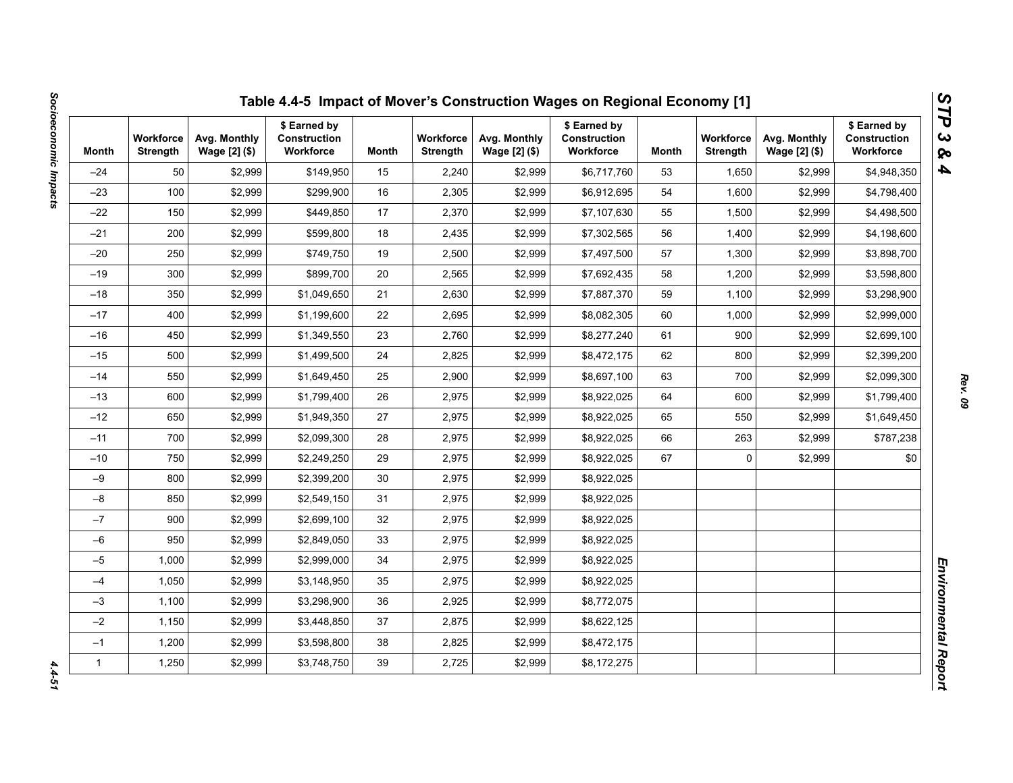| Month        | <b>Workforce</b><br><b>Strength</b> | Avg. Monthly<br>Wage [2] (\$) | \$ Earned by<br>Construction<br>Workforce | Month | <b>Workforce</b><br><b>Strength</b> | Avg. Monthly<br>Wage [2] (\$) | \$ Earned by<br><b>Construction</b><br>Workforce | Month | <b>Workforce</b><br><b>Strength</b> | Avg. Monthly<br>Wage [2] (\$) | \$ Earned by<br>Construction<br>Workforce |
|--------------|-------------------------------------|-------------------------------|-------------------------------------------|-------|-------------------------------------|-------------------------------|--------------------------------------------------|-------|-------------------------------------|-------------------------------|-------------------------------------------|
| $-24$        | 50                                  | \$2,999                       | \$149,950                                 | 15    | 2,240                               | \$2,999                       | \$6,717,760                                      | 53    | 1,650                               | \$2,999                       | \$4,948,350                               |
| $-23$        | 100                                 | \$2,999                       | \$299,900                                 | 16    | 2,305                               | \$2,999                       | \$6,912,695                                      | 54    | 1,600                               | \$2,999                       | \$4,798,400                               |
| $-22$        | 150                                 | \$2,999                       | \$449,850                                 | 17    | 2,370                               | \$2,999                       | \$7,107,630                                      | 55    | 1,500                               | \$2,999                       | \$4,498,500                               |
| $-21$        | 200                                 | \$2,999                       | \$599,800                                 | 18    | 2,435                               | \$2,999                       | \$7,302,565                                      | 56    | 1,400                               | \$2,999                       | \$4,198,600                               |
| $-20$        | 250                                 | \$2,999                       | \$749,750                                 | 19    | 2,500                               | \$2,999                       | \$7,497,500                                      | 57    | 1,300                               | \$2,999                       | \$3,898,700                               |
| $-19$        | 300                                 | \$2,999                       | \$899.700                                 | 20    | 2,565                               | \$2,999                       | \$7,692,435                                      | 58    | 1,200                               | \$2,999                       | \$3,598,800                               |
| $-18$        | 350                                 | \$2,999                       | \$1,049,650                               | 21    | 2,630                               | \$2,999                       | \$7,887,370                                      | 59    | 1,100                               | \$2,999                       | \$3,298,900                               |
| $-17$        | 400                                 | \$2,999                       | \$1,199,600                               | 22    | 2,695                               | \$2,999                       | \$8,082,305                                      | 60    | 1,000                               | \$2,999                       | \$2,999,000                               |
| $-16$        | 450                                 | \$2,999                       | \$1,349,550                               | 23    | 2,760                               | \$2,999                       | \$8,277,240                                      | 61    | 900                                 | \$2,999                       | \$2,699,100                               |
| $-15$        | 500                                 | \$2,999                       | \$1,499,500                               | 24    | 2,825                               | \$2,999                       | \$8,472,175                                      | 62    | 800                                 | \$2,999                       | \$2,399,200                               |
| $-14$        | 550                                 | \$2,999                       | \$1,649,450                               | 25    | 2,900                               | \$2,999                       | \$8,697,100                                      | 63    | 700                                 | \$2,999                       | \$2,099,300                               |
| $-13$        | 600                                 | \$2,999                       | \$1,799,400                               | 26    | 2,975                               | \$2,999                       | \$8,922,025                                      | 64    | 600                                 | \$2,999                       | \$1,799,400                               |
| $-12$        | 650                                 | \$2,999                       | \$1,949,350                               | 27    | 2,975                               | \$2,999                       | \$8,922,025                                      | 65    | 550                                 | \$2,999                       | \$1,649,450                               |
| $-11$        | 700                                 | \$2,999                       | \$2,099,300                               | 28    | 2,975                               | \$2,999                       | \$8,922,025                                      | 66    | 263                                 | \$2,999                       | \$787,238                                 |
| $-10$        | 750                                 | \$2,999                       | \$2,249,250                               | 29    | 2,975                               | \$2,999                       | \$8,922,025                                      | 67    | 0                                   | \$2,999                       | \$0                                       |
| $-9$         | 800                                 | \$2,999                       | \$2,399,200                               | 30    | 2,975                               | \$2,999                       | \$8,922,025                                      |       |                                     |                               |                                           |
| $-8$         | 850                                 | \$2,999                       | \$2,549,150                               | 31    | 2,975                               | \$2,999                       | \$8,922,025                                      |       |                                     |                               |                                           |
| $-7$         | 900                                 | \$2,999                       | \$2,699,100                               | 32    | 2,975                               | \$2,999                       | \$8,922,025                                      |       |                                     |                               |                                           |
| $-6$         | 950                                 | \$2,999                       | \$2,849,050                               | 33    | 2,975                               | \$2,999                       | \$8,922,025                                      |       |                                     |                               |                                           |
| $-5$         | 1,000                               | \$2,999                       | \$2,999,000                               | 34    | 2,975                               | \$2,999                       | \$8,922,025                                      |       |                                     |                               |                                           |
| $-4$         | 1,050                               | \$2,999                       | \$3,148,950                               | 35    | 2,975                               | \$2,999                       | \$8,922,025                                      |       |                                     |                               |                                           |
| $-3$         | 1,100                               | \$2,999                       | \$3,298,900                               | 36    | 2,925                               | \$2,999                       | \$8,772,075                                      |       |                                     |                               |                                           |
| $-2$         | 1,150                               | \$2,999                       | \$3,448,850                               | 37    | 2,875                               | \$2,999                       | \$8,622,125                                      |       |                                     |                               |                                           |
| $-1$         | 1,200                               | \$2,999                       | \$3,598,800                               | 38    | 2,825                               | \$2,999                       | \$8,472,175                                      |       |                                     |                               |                                           |
| $\mathbf{1}$ | 1,250                               | \$2,999                       | \$3,748,750                               | 39    | 2,725                               | \$2,999                       | \$8,172,275                                      |       |                                     |                               |                                           |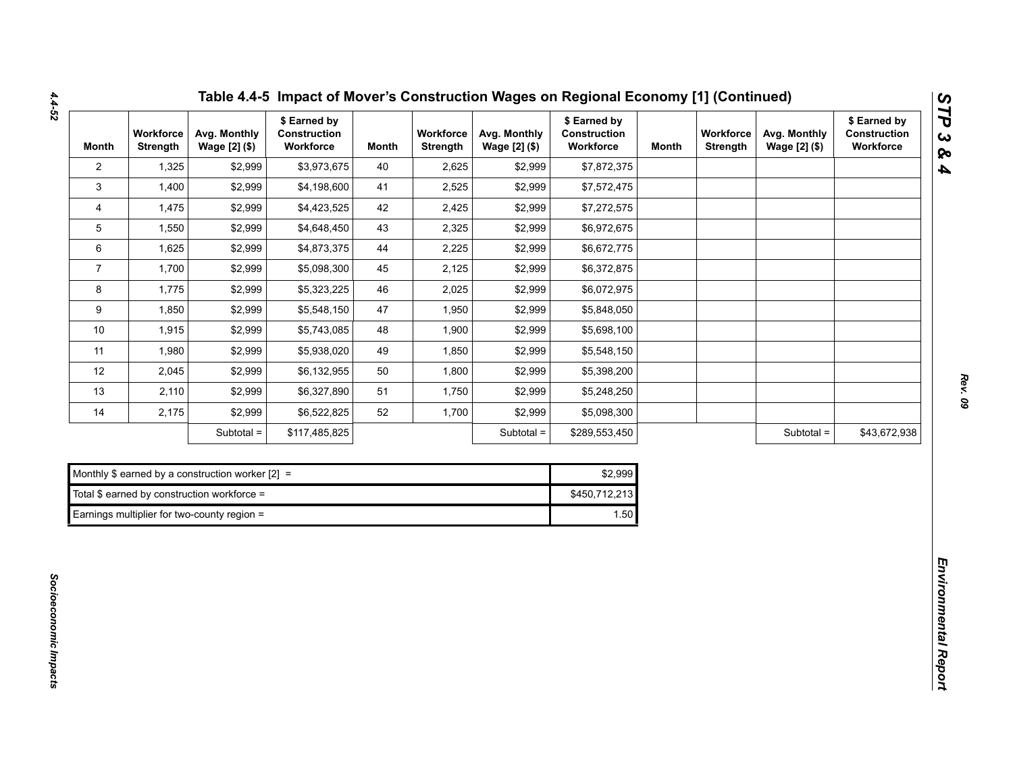| <b>Month</b>   | Workforce<br><b>Strength</b> | Avg. Monthly<br>Wage [2] (\$)                      | \$ Earned by<br>Construction<br>Workforce | <b>Month</b> | Workforce<br><b>Strength</b> | Avg. Monthly<br>Wage [2] (\$) | \$ Earned by<br>Construction<br>Workforce | <b>Month</b> | Workforce<br><b>Strength</b> | Avg. Monthly<br>Wage [2] (\$) | \$ Earned by<br>Construction<br>Workforce |
|----------------|------------------------------|----------------------------------------------------|-------------------------------------------|--------------|------------------------------|-------------------------------|-------------------------------------------|--------------|------------------------------|-------------------------------|-------------------------------------------|
| $\overline{2}$ | 1,325                        | \$2,999                                            | \$3,973,675                               | 40           | 2,625                        | \$2,999                       | \$7,872,375                               |              |                              |                               |                                           |
| 3              | 1,400                        | \$2,999                                            | \$4,198,600                               | 41           | 2,525                        | \$2,999                       | \$7,572,475                               |              |                              |                               |                                           |
| 4              | 1,475                        | \$2,999                                            | \$4,423,525                               | 42           | 2,425                        | \$2,999                       | \$7,272,575                               |              |                              |                               |                                           |
| 5              | 1,550                        | \$2,999                                            | \$4,648,450                               | 43           | 2,325                        | \$2,999                       | \$6,972,675                               |              |                              |                               |                                           |
| 6              | 1,625                        | \$2,999                                            | \$4,873,375                               | 44           | 2,225                        | \$2,999                       | \$6,672,775                               |              |                              |                               |                                           |
| $\overline{7}$ | 1,700                        | \$2,999                                            | \$5,098,300                               | 45           | 2,125                        | \$2,999                       | \$6,372,875                               |              |                              |                               |                                           |
| 8              | 1,775                        | \$2,999                                            | \$5,323,225                               | 46           | 2,025                        | \$2,999                       | \$6,072,975                               |              |                              |                               |                                           |
| 9              | 1,850                        | \$2,999                                            | \$5,548,150                               | 47           | 1,950                        | \$2,999                       | \$5,848,050                               |              |                              |                               |                                           |
| $10\,$         | 1,915                        | \$2,999                                            | \$5,743,085                               | 48           | 1,900                        | \$2,999                       | \$5,698,100                               |              |                              |                               |                                           |
| 11             | 1,980                        | \$2,999                                            | \$5,938,020                               | 49           | 1,850                        | \$2,999                       | \$5,548,150                               |              |                              |                               |                                           |
| 12             | 2,045                        | \$2,999                                            | \$6,132,955                               | 50           | 1,800                        | \$2,999                       | \$5,398,200                               |              |                              |                               |                                           |
| 13             | 2,110                        | \$2,999                                            | \$6,327,890                               | 51           | 1,750                        | \$2,999                       | \$5,248,250                               |              |                              |                               |                                           |
| 14             | 2,175                        | \$2,999                                            | \$6,522,825                               | 52           | 1,700                        | \$2,999                       | \$5,098,300                               |              |                              |                               |                                           |
|                |                              | Subtotal =                                         | \$117,485,825                             |              |                              | Subtotal =                    | \$289,553,450                             |              |                              | Subtotal =                    | \$43,672,938                              |
|                |                              |                                                    |                                           |              |                              |                               |                                           |              |                              |                               |                                           |
|                |                              | Monthly \$ earned by a construction worker $[2] =$ |                                           |              |                              |                               | \$2,999                                   |              |                              |                               |                                           |
|                |                              | Total $$$ earned by construction workforce =       |                                           |              |                              |                               | \$450,712,213                             |              |                              |                               |                                           |
|                |                              | Earnings multiplier for two-county region =        |                                           |              |                              |                               | 1.50                                      |              |                              |                               |                                           |

| Monthly \$ earned by a construction worker $[2] =$ | \$2.999       |
|----------------------------------------------------|---------------|
| Total \$ earned by construction workforce =        | \$450.712.213 |
| Earnings multiplier for two-county region =        | 1.50          |

*4.4-52*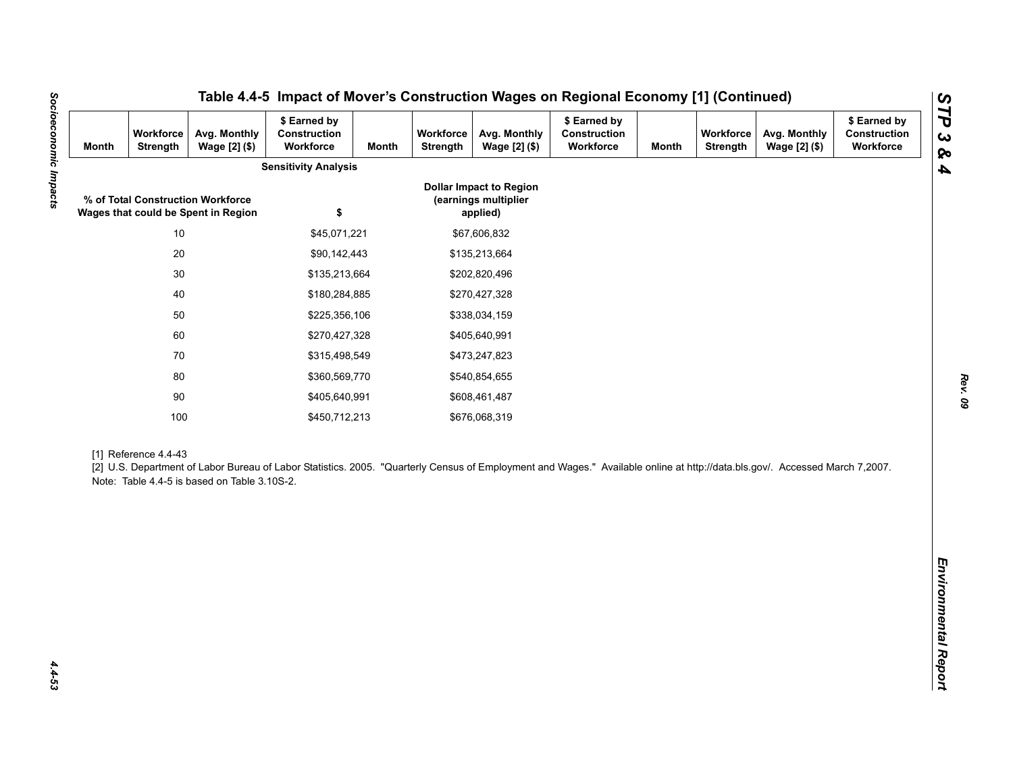| <b>Month</b> | Workforce<br>Strength | Avg. Monthly<br>Wage [2] (\$)                                            | \$ Earned by<br>Construction<br>Workforce                                                                                                                                   | <b>Month</b> | Workforce<br>Strength | Avg. Monthly<br>Wage [2] (\$)                                      | \$ Earned by<br>Construction<br>Workforce | <b>Month</b> | Workforce<br><b>Strength</b> | Avg. Monthly<br>Wage [2] (\$) | \$ Earned by<br>Construction<br>Workforce |
|--------------|-----------------------|--------------------------------------------------------------------------|-----------------------------------------------------------------------------------------------------------------------------------------------------------------------------|--------------|-----------------------|--------------------------------------------------------------------|-------------------------------------------|--------------|------------------------------|-------------------------------|-------------------------------------------|
|              |                       |                                                                          | <b>Sensitivity Analysis</b>                                                                                                                                                 |              |                       |                                                                    |                                           |              |                              |                               |                                           |
|              |                       | % of Total Construction Workforce<br>Wages that could be Spent in Region | \$                                                                                                                                                                          |              |                       | <b>Dollar Impact to Region</b><br>(earnings multiplier<br>applied) |                                           |              |                              |                               |                                           |
|              | $10$                  |                                                                          | \$45,071,221                                                                                                                                                                |              |                       | \$67,606,832                                                       |                                           |              |                              |                               |                                           |
|              | $20\,$                |                                                                          | \$90,142,443                                                                                                                                                                |              |                       | \$135,213,664                                                      |                                           |              |                              |                               |                                           |
|              | $30\,$                |                                                                          | \$135,213,664                                                                                                                                                               |              |                       | \$202,820,496                                                      |                                           |              |                              |                               |                                           |
|              | 40                    |                                                                          | \$180,284,885                                                                                                                                                               |              |                       | \$270,427,328                                                      |                                           |              |                              |                               |                                           |
|              | 50                    |                                                                          | \$225,356,106                                                                                                                                                               |              |                       | \$338,034,159                                                      |                                           |              |                              |                               |                                           |
|              | 60                    |                                                                          | \$270,427,328                                                                                                                                                               |              |                       | \$405,640,991                                                      |                                           |              |                              |                               |                                           |
|              | 70                    |                                                                          | \$315,498,549                                                                                                                                                               |              |                       | \$473,247,823                                                      |                                           |              |                              |                               |                                           |
|              | 80                    |                                                                          | \$360,569,770                                                                                                                                                               |              |                       | \$540,854,655                                                      |                                           |              |                              |                               |                                           |
|              | $90\,$                |                                                                          | \$405,640,991                                                                                                                                                               |              |                       | \$608,461,487                                                      |                                           |              |                              |                               |                                           |
|              | 100                   |                                                                          | \$450,712,213                                                                                                                                                               |              |                       | \$676,068,319                                                      |                                           |              |                              |                               |                                           |
|              | [1] Reference 4.4-43  | Note: Table 4.4-5 is based on Table 3.10S-2.                             | [2] U.S. Department of Labor Bureau of Labor Statistics. 2005. "Quarterly Census of Employment and Wages." Available online at http://data.bls.gov/. Accessed March 7,2007. |              |                       |                                                                    |                                           |              |                              |                               |                                           |
|              |                       |                                                                          |                                                                                                                                                                             |              |                       |                                                                    |                                           |              |                              |                               |                                           |
|              |                       |                                                                          |                                                                                                                                                                             |              |                       |                                                                    |                                           |              |                              |                               |                                           |
|              |                       |                                                                          |                                                                                                                                                                             |              |                       |                                                                    |                                           |              |                              |                               |                                           |
|              |                       |                                                                          |                                                                                                                                                                             |              |                       |                                                                    |                                           |              |                              |                               |                                           |

 $4.4 - 53$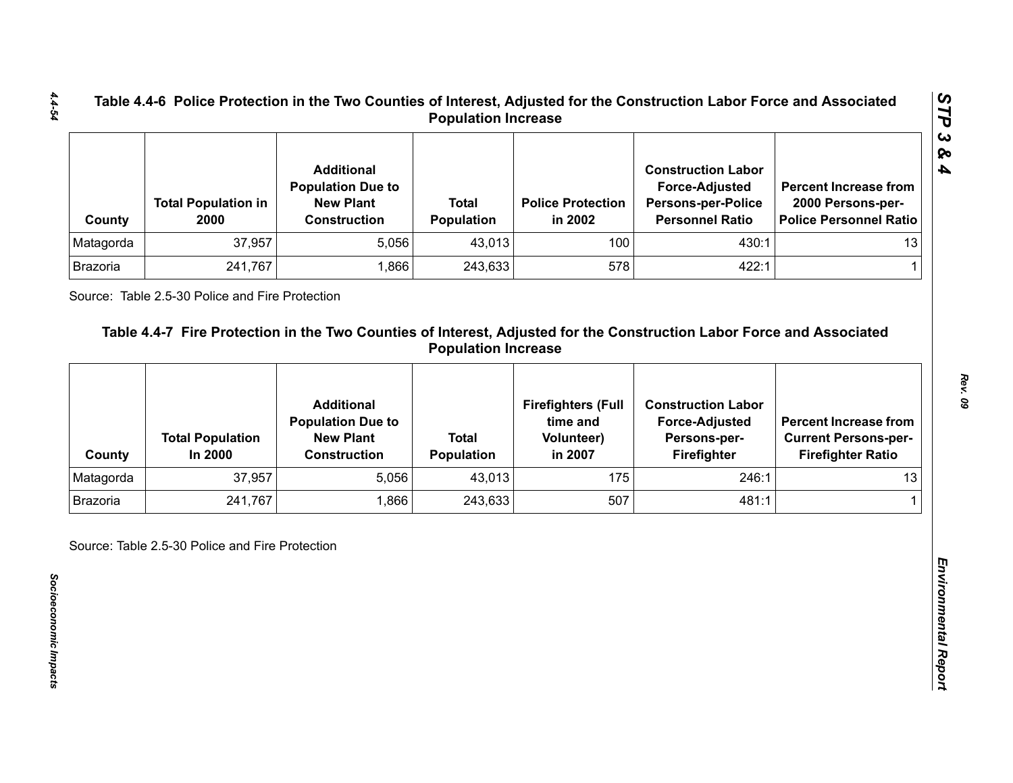| County    | <b>Total Population in</b><br>2000 | <b>Additional</b><br><b>Population Due to</b><br><b>New Plant</b><br><b>Construction</b> | <b>Total</b><br><b>Population</b> | <b>Police Protection</b><br>in 2002 | <b>Construction Labor</b><br><b>Force-Adjusted</b><br><b>Persons-per-Police</b><br><b>Personnel Ratio</b> | <b>Percent Increase from</b><br>2000 Persons-per-<br>Police Personnel Ratio |
|-----------|------------------------------------|------------------------------------------------------------------------------------------|-----------------------------------|-------------------------------------|-----------------------------------------------------------------------------------------------------------|-----------------------------------------------------------------------------|
| Matagorda | 37,957                             | 5,056                                                                                    | 43,013                            | 100                                 | 430:1                                                                                                     | 13                                                                          |
| Brazoria  | 241,767                            | .866                                                                                     | 243,633                           | 578                                 | 422:1                                                                                                     |                                                                             |

| Matagorda       |                                    | <b>Construction</b>                           | Population                        | in 2002                               | <b>Persons-per-Police</b><br><b>Personnel Ratio</b> | 2000 Persons-per-<br><b>Police Personnel Ratio</b>      |
|-----------------|------------------------------------|-----------------------------------------------|-----------------------------------|---------------------------------------|-----------------------------------------------------|---------------------------------------------------------|
|                 | 37,957                             | 5,056                                         | 43,013                            | 100                                   | 430:1                                               | 13                                                      |
| Brazoria        | 241,767                            | 1,866                                         | 243,633                           | 578                                   | 422:1                                               | 1                                                       |
|                 |                                    | <b>Additional</b><br><b>Population Due to</b> |                                   | <b>Firefighters (Full</b><br>time and | <b>Construction Labor</b><br><b>Force-Adjusted</b>  | <b>Percent Increase from</b>                            |
| County          | <b>Total Population</b><br>In 2000 | <b>New Plant</b><br><b>Construction</b>       | <b>Total</b><br><b>Population</b> | <b>Volunteer)</b><br>in 2007          | Persons-per-<br>Firefighter                         | <b>Current Persons-per-</b><br><b>Firefighter Ratio</b> |
| Matagorda       | 37,957                             | 5,056                                         | 43,013                            | 175                                   | 246:1                                               | 13                                                      |
| <b>Brazoria</b> | 241,767                            | 1,866                                         | 243,633                           | 507                                   | 481:1                                               |                                                         |

*4.4-54*

*STP 3 & 4*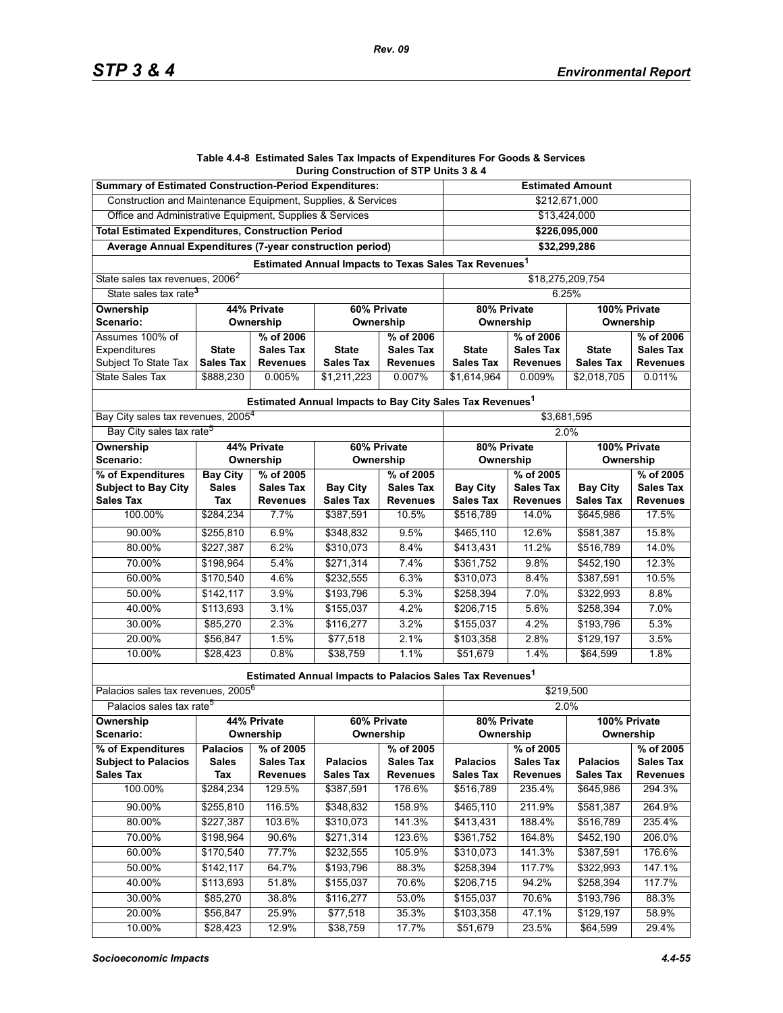#### **Table 4.4-8 Estimated Sales Tax Impacts of Expenditures For Goods & Services During Construction of STP Units 3 & 4**

*Rev. 09*

| <b>Summary of Estimated Construction-Period Expenditures:</b> |                  |                  |                                                                      |                  | <b>Estimated Amount</b>     |                             |                  |                  |  |  |
|---------------------------------------------------------------|------------------|------------------|----------------------------------------------------------------------|------------------|-----------------------------|-----------------------------|------------------|------------------|--|--|
| Construction and Maintenance Equipment, Supplies, & Services  |                  |                  |                                                                      |                  | \$212,671,000               |                             |                  |                  |  |  |
| Office and Administrative Equipment, Supplies & Services      |                  |                  |                                                                      |                  | \$13,424,000                |                             |                  |                  |  |  |
| <b>Total Estimated Expenditures, Construction Period</b>      |                  |                  |                                                                      |                  |                             | \$226,095,000               |                  |                  |  |  |
| Average Annual Expenditures (7-year construction period)      |                  |                  |                                                                      |                  |                             | \$32,299,286                |                  |                  |  |  |
|                                                               |                  |                  | Estimated Annual Impacts to Texas Sales Tax Revenues <sup>1</sup>    |                  |                             |                             |                  |                  |  |  |
| State sales tax revenues, 2006 <sup>2</sup>                   |                  |                  |                                                                      |                  |                             |                             | \$18,275,209,754 |                  |  |  |
| State sales tax rate <sup>3</sup>                             |                  |                  |                                                                      |                  | 6.25%                       |                             |                  |                  |  |  |
| 44% Private<br><b>Ownership</b><br>60% Private                |                  |                  |                                                                      |                  | 80% Private<br>100% Private |                             |                  |                  |  |  |
| Scenario:<br>Ownership                                        |                  | Ownership        |                                                                      | Ownership        |                             | Ownership                   |                  |                  |  |  |
| Assumes 100% of                                               |                  | % of 2006        |                                                                      | % of 2006        |                             | % of 2006                   |                  | % of 2006        |  |  |
| Expenditures                                                  | <b>State</b>     | <b>Sales Tax</b> | <b>State</b>                                                         | Sales Tax        | <b>State</b>                | <b>Sales Tax</b>            | <b>State</b>     | <b>Sales Tax</b> |  |  |
| Subject To State Tax                                          | <b>Sales Tax</b> | <b>Revenues</b>  | <b>Sales Tax</b>                                                     | <b>Revenues</b>  | <b>Sales Tax</b>            | <b>Revenues</b>             | <b>Sales Tax</b> | <b>Revenues</b>  |  |  |
| <b>State Sales Tax</b>                                        | \$888,230        | 0.005%           | \$1,211,223                                                          | 0.007%           | \$1,614,964                 | 0.009%                      | \$2,018,705      | 0.011%           |  |  |
|                                                               |                  |                  | Estimated Annual Impacts to Bay City Sales Tax Revenues <sup>1</sup> |                  |                             |                             |                  |                  |  |  |
| Bay City sales tax revenues, 2005 <sup>4</sup>                |                  |                  |                                                                      |                  |                             |                             | \$3,681,595      |                  |  |  |
| Bay City sales tax rate <sup>5</sup>                          |                  |                  |                                                                      |                  | 2.0%                        |                             |                  |                  |  |  |
| Ownership                                                     |                  | 44% Private      |                                                                      | 60% Private      |                             | 80% Private<br>100% Private |                  |                  |  |  |
| <b>Scenario:</b>                                              | Ownership        |                  | Ownership                                                            |                  | Ownership                   |                             | Ownership        |                  |  |  |
| % of Expenditures                                             | <b>Bay City</b>  | % of 2005        |                                                                      | % of 2005        |                             | % of 2005                   |                  | % of 2005        |  |  |
| <b>Subject to Bay City</b>                                    | <b>Sales</b>     | <b>Sales Tax</b> | <b>Bay City</b>                                                      | Sales Tax        | <b>Bay City</b>             | <b>Sales Tax</b>            | <b>Bay City</b>  | <b>Sales Tax</b> |  |  |
| <b>Sales Tax</b>                                              | Tax              | <b>Revenues</b>  | <b>Sales Tax</b>                                                     | <b>Revenues</b>  | <b>Sales Tax</b>            | <b>Revenues</b>             | <b>Sales Tax</b> | <b>Revenues</b>  |  |  |
| 100.00%                                                       | \$284,234        | 7.7%             | \$387,591                                                            | 10.5%            | \$516,789                   | 14.0%                       | \$645,986        | 17.5%            |  |  |
| 90.00%                                                        | \$255,810        | 6.9%             | \$348.832                                                            | 9.5%             | \$465,110                   | 12.6%                       | \$581,387        | 15.8%            |  |  |
| 80.00%                                                        | \$227,387        | 6.2%             | \$310,073                                                            | 8.4%             | \$413,431                   | 11.2%                       | \$516,789        | 14.0%            |  |  |
| 70.00%                                                        | \$198,964        | 5.4%             | \$271,314                                                            | 7.4%             | \$361,752                   | 9.8%                        | \$452,190        | 12.3%            |  |  |
| 60.00%                                                        | \$170,540        | 4.6%             | \$232,555                                                            | 6.3%             | \$310,073                   | 8.4%                        | \$387,591        | 10.5%            |  |  |
| 50.00%                                                        | \$142, 117       | 3.9%             | \$193,796                                                            | 5.3%             | \$258,394                   | 7.0%                        | \$322,993        | 8.8%             |  |  |
| 40.00%                                                        | \$113,693        | 3.1%             | \$155,037                                                            | 4.2%             | \$206,715                   | 5.6%                        | \$258,394        | 7.0%             |  |  |
| 30.00%                                                        | \$85,270         | 2.3%             | \$116,277                                                            | 3.2%             | \$155,037                   | 4.2%                        | \$193,796        | 5.3%             |  |  |
| 20.00%                                                        | \$56,847         | 1.5%             | \$77,518                                                             | 2.1%             | \$103,358                   | 2.8%                        | \$129,197        | 3.5%             |  |  |
| 10.00%                                                        | \$28,423         | 0.8%             | \$38,759                                                             | 1.1%             | \$51,679                    | 1.4%                        | \$64,599         | 1.8%             |  |  |
|                                                               |                  |                  | Estimated Annual Impacts to Palacios Sales Tax Revenues <sup>1</sup> |                  |                             |                             |                  |                  |  |  |
| Palacios sales tax revenues, 2005 <sup>6</sup>                |                  |                  |                                                                      |                  |                             |                             | \$219,500        |                  |  |  |
| Palacios sales tax rate <sup>5</sup>                          |                  |                  |                                                                      |                  |                             |                             | 2.0%             |                  |  |  |
| Ownership                                                     |                  | 44% Private      |                                                                      |                  | 80% Private<br>100% Private |                             |                  |                  |  |  |
| Scenario:                                                     |                  | Ownership        | 60% Private<br>Ownership                                             |                  | Ownership                   |                             | Ownership        |                  |  |  |
| % of Expenditures                                             | <b>Palacios</b>  | % of 2005        |                                                                      | % of 2005        |                             | % of 2005                   |                  | % of 2005        |  |  |
| <b>Subject to Palacios</b>                                    | <b>Sales</b>     | <b>Sales Tax</b> | <b>Palacios</b>                                                      | <b>Sales Tax</b> | <b>Palacios</b>             | <b>Sales Tax</b>            | <b>Palacios</b>  | <b>Sales Tax</b> |  |  |
| <b>Sales Tax</b>                                              | Tax              | <b>Revenues</b>  | <b>Sales Tax</b>                                                     | <b>Revenues</b>  | <b>Sales Tax</b>            | <b>Revenues</b>             | <b>Sales Tax</b> | <b>Revenues</b>  |  |  |
| 100.00%                                                       | \$284,234        | 129.5%           | \$387,591                                                            | 176.6%           | \$516,789                   | 235.4%                      | \$645,986        | 294.3%           |  |  |
| 90.00%                                                        | \$255,810        | 116.5%           | \$348,832                                                            | 158.9%           | \$465,110                   | 211.9%                      | \$581,387        | 264.9%           |  |  |
| 80.00%                                                        | \$227,387        | 103.6%           | \$310,073                                                            | 141.3%           | \$413,431                   | 188.4%                      | \$516,789        | 235.4%           |  |  |
| 70.00%                                                        | \$198,964        | 90.6%            | \$271,314                                                            | 123.6%           | \$361,752                   | 164.8%                      | \$452,190        | 206.0%           |  |  |
| 60.00%                                                        | \$170,540        | 77.7%            | \$232,555                                                            | 105.9%           | \$310,073                   | 141.3%                      | \$387,591        | 176.6%           |  |  |
| 50.00%                                                        | \$142,117        | 64.7%            | \$193,796                                                            | 88.3%            | \$258,394                   | 117.7%                      | \$322,993        | 147.1%           |  |  |
| 40.00%                                                        | \$113,693        | 51.8%            | \$155,037                                                            | 70.6%            | \$206,715                   | 94.2%                       | \$258,394        | 117.7%           |  |  |
| 30.00%                                                        | \$85,270         | 38.8%            | \$116,277                                                            | 53.0%            | \$155,037                   | 70.6%                       | \$193,796        | 88.3%            |  |  |
| 20.00%                                                        | \$56,847         | 25.9%            | \$77,518                                                             | 35.3%            | \$103,358                   | 47.1%                       | \$129,197        | 58.9%            |  |  |
| 10.00%                                                        | \$28,423         | 12.9%            | \$38,759                                                             | 17.7%            | \$51,679                    | 23.5%                       | \$64,599         | 29.4%            |  |  |